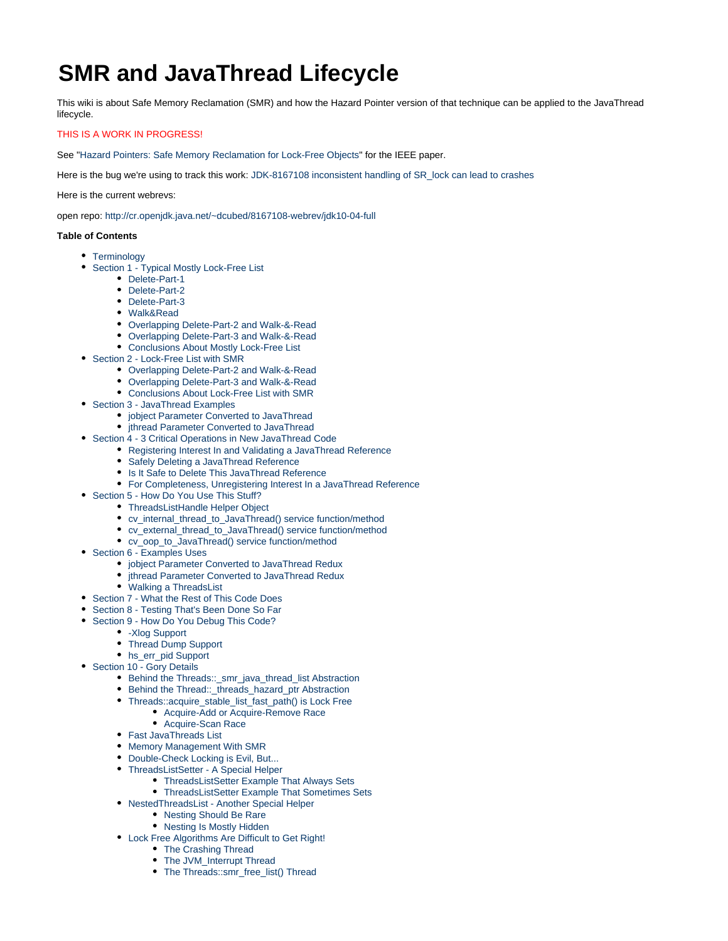# **SMR and JavaThread Lifecycle**

This wiki is about Safe Memory Reclamation (SMR) and how the Hazard Pointer version of that technique can be applied to the JavaThread lifecycle.

## THIS IS A WORK IN PROGRESS!

See ["Hazard Pointers: Safe Memory Reclamation for Lock-Free Objects](http://cr.openjdk.java.net/~dcubed/8167108-webrev/Hazard_Pointers_-_Safe_Memory_Reclamation_for_Lock-Free_Objects.pdf)" for the IEEE paper.

Here is the bug we're using to track this work: [JDK-8167108 inconsistent handling of SR\\_lock can lead to crashes](https://bugs.openjdk.java.net/browse/JDK-8167108)

Here is the current webrevs:

open repo:<http://cr.openjdk.java.net/~dcubed/8167108-webrev/jdk10-04-full>

### **Table of Contents**

- [Terminology](#page-1-0)
- [Section 1 Typical Mostly Lock-Free List](#page-1-1)
	- [Delete-Part-1](#page-1-2)
	- [Delete-Part-2](#page-2-0)
	- [Delete-Part-3](#page-2-1)
	- [Walk&Read](#page-3-0)
	- [Overlapping Delete-Part-2 and Walk-&-Read](#page-3-1)
	- [Overlapping Delete-Part-3 and Walk-&-Read](#page-3-2)
	- [Conclusions About Mostly Lock-Free List](#page-4-0)
- [Section 2 Lock-Free List with SMR](#page-4-1)
	- [Overlapping Delete-Part-2 and Walk-&-Read](#page-4-2)
	- [Overlapping Delete-Part-3 and Walk-&-Read](#page-5-0)
	- [Conclusions About Lock-Free List with SMR](#page-6-0)
- [Section 3 JavaThread Examples](#page-7-0)
	- [jobject Parameter Converted to JavaThread](#page-7-1)
	- ithread Parameter Converted to JavaThread
- [Section 4 3 Critical Operations in New JavaThread Code](#page-9-0)
	- [Registering Interest In and Validating a JavaThread Reference](#page-10-0)
		- [Safely Deleting a JavaThread Reference](#page-11-0)
	- [Is It Safe to Delete This JavaThread Reference](#page-13-0)
	- [For Completeness, Unregistering Interest In a JavaThread Reference](#page-14-0)
- [Section 5 How Do You Use This Stuff?](#page-15-0)
	- [ThreadsListHandle Helper Object](#page-15-1)
	- [cv\\_internal\\_thread\\_to\\_JavaThread\(\) service function/method](#page-16-0)
	- [cv\\_external\\_thread\\_to\\_JavaThread\(\) service function/method](#page-16-1)
	- [cv\\_oop\\_to\\_JavaThread\(\) service function/method](#page-17-0)
- [Section 6 Examples Uses](#page-18-0)
	- [jobject Parameter Converted to JavaThread Redux](#page-18-1)
	- [jthread Parameter Converted to JavaThread Redux](#page-19-0)
	- [Walking a ThreadsList](#page-20-0)
- [Section 7 What the Rest of This Code Does](#page-20-1)
- **[Section 8 Testing That's Been Done So Far](#page-21-0)**
- [Section 9 How Do You Debug This Code?](#page-22-0)
	- [-Xlog Support](#page-22-1)
	- [Thread Dump Support](#page-23-0)
	- [hs\\_err\\_pid Support](#page-26-0)
- [Section 10 Gory Details](#page-28-0)
	- [Behind the Threads::\\_smr\\_java\\_thread\\_list Abstraction](#page-28-1)
	- [Behind the Thread::\\_threads\\_hazard\\_ptr Abstraction](#page-28-2)
	- [Threads::acquire\\_stable\\_list\\_fast\\_path\(\) is Lock Free](#page-28-3)
		- [Acquire-Add or Acquire-Remove Race](#page-28-4)
		- [Acquire-Scan Race](#page-29-0)
	- [Fast JavaThreads List](#page-30-0)
	- [Memory Management With SMR](#page-31-0)
	- [Double-Check Locking is Evil, But...](#page-32-0)
	- [ThreadsListSetter A Special Helper](#page-34-0)
		- [ThreadsListSetter Example That Always Sets](#page-34-1)
		- [ThreadsListSetter Example That Sometimes Sets](#page-35-0)
	- [NestedThreadsList Another Special Helper](#page-37-0)
		- [Nesting Should Be Rare](#page-37-1)
		- [Nesting Is Mostly Hidden](#page-37-2)
	- [Lock Free Algorithms Are Difficult to Get Right!](#page-38-0)
		- [The Crashing Thread](#page-38-1) • [The JVM\\_Interrupt Thread](#page-39-0)
		- [The Threads::smr\\_free\\_list\(\) Thread](#page-40-0)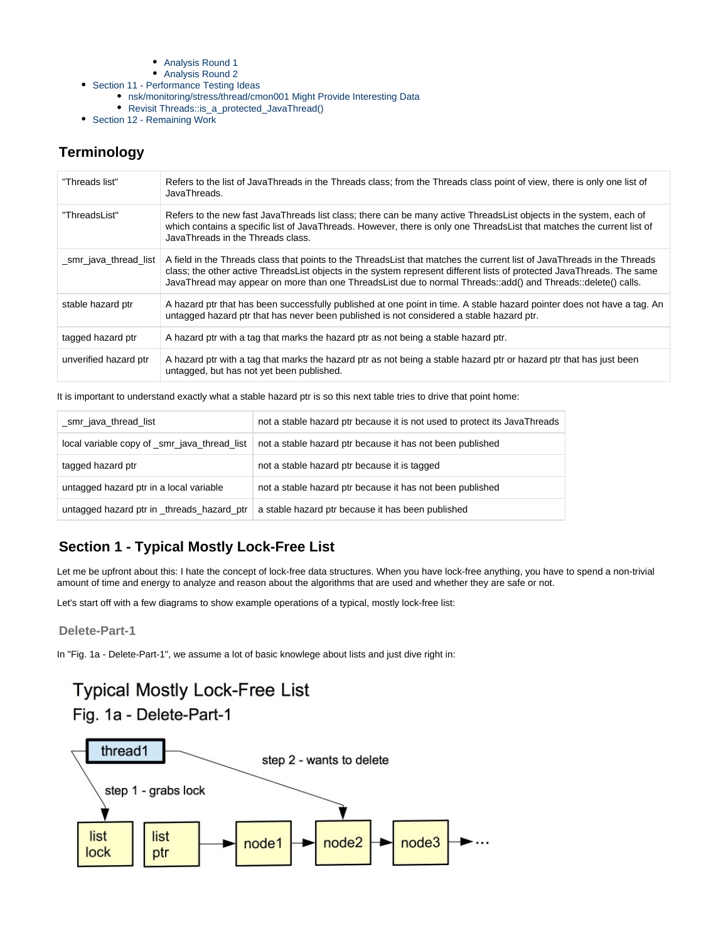- ٠ [Analysis Round 1](#page-41-0)
- [Analysis Round 2](#page-42-0)
- [Section 11 Performance Testing Ideas](#page-44-0)
	- [nsk/monitoring/stress/thread/cmon001 Might Provide Interesting Data](#page-44-1)
	- [Revisit Threads::is\\_a\\_protected\\_JavaThread\(\)](#page-45-0)
- [Section 12 Remaining Work](#page-45-1)

# <span id="page-1-0"></span>**Terminology**

| "Threads list"        | Refers to the list of JavaThreads in the Threads class; from the Threads class point of view, there is only one list of<br>JavaThreads.                                                                                                                                                                                                                           |
|-----------------------|-------------------------------------------------------------------------------------------------------------------------------------------------------------------------------------------------------------------------------------------------------------------------------------------------------------------------------------------------------------------|
| "ThreadsList"         | Refers to the new fast JavaThreads list class; there can be many active ThreadsList objects in the system, each of<br>which contains a specific list of JavaThreads. However, there is only one ThreadsList that matches the current list of<br>JavaThreads in the Threads class.                                                                                 |
| _smr_java_thread_list | A field in the Threads class that points to the ThreadsList that matches the current list of JavaThreads in the Threads<br>class; the other active ThreadsList objects in the system represent different lists of protected JavaThreads. The same<br>JavaThread may appear on more than one ThreadsList due to normal Threads::add() and Threads::delete() calls. |
| stable hazard ptr     | A hazard ptr that has been successfully published at one point in time. A stable hazard pointer does not have a tag. An<br>untagged hazard ptr that has never been published is not considered a stable hazard ptr.                                                                                                                                               |
| tagged hazard ptr     | A hazard ptr with a tag that marks the hazard ptr as not being a stable hazard ptr.                                                                                                                                                                                                                                                                               |
| unverified hazard ptr | A hazard ptr with a tag that marks the hazard ptr as not being a stable hazard ptr or hazard ptr that has just been<br>untagged, but has not yet been published.                                                                                                                                                                                                  |

It is important to understand exactly what a stable hazard ptr is so this next table tries to drive that point home:

| _smr_java_thread_list                        | not a stable hazard ptr because it is not used to protect its JavaThreads |
|----------------------------------------------|---------------------------------------------------------------------------|
| local variable copy of _smr_java_thread_list | not a stable hazard ptr because it has not been published                 |
| tagged hazard ptr                            | not a stable hazard ptr because it is tagged                              |
| untagged hazard ptr in a local variable      | not a stable hazard ptr because it has not been published                 |
| untagged hazard ptr in _threads_hazard_ptr   | a stable hazard ptr because it has been published                         |

# <span id="page-1-1"></span>**Section 1 - Typical Mostly Lock-Free List**

Let me be upfront about this: I hate the concept of lock-free data structures. When you have lock-free anything, you have to spend a non-trivial amount of time and energy to analyze and reason about the algorithms that are used and whether they are safe or not.

Let's start off with a few diagrams to show example operations of a typical, mostly lock-free list:

## <span id="page-1-2"></span>**Delete-Part-1**

In "Fig. 1a - Delete-Part-1", we assume a lot of basic knowlege about lists and just dive right in:

# **Typical Mostly Lock-Free List**

Fig. 1a - Delete-Part-1

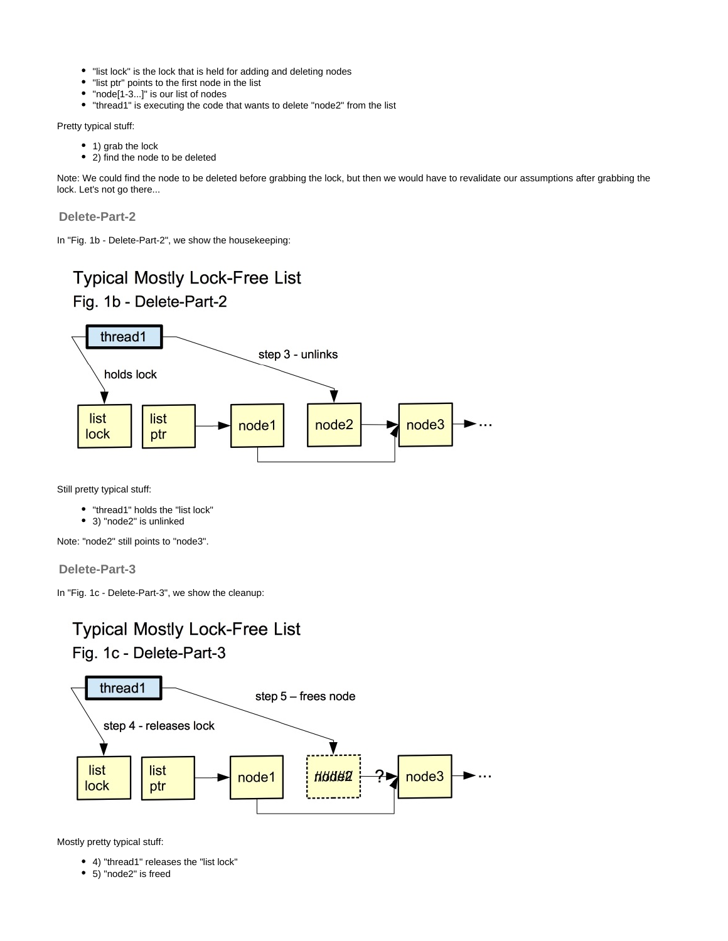- "list lock" is the lock that is held for adding and deleting nodes
- "list ptr" points to the first node in the list
- "node[1-3...]" is our list of nodes
- "thread1" is executing the code that wants to delete "node2" from the list

Pretty typical stuff:

- 1) grab the lock
- 2) find the node to be deleted

Note: We could find the node to be deleted before grabbing the lock, but then we would have to revalidate our assumptions after grabbing the lock. Let's not go there...

<span id="page-2-0"></span>**Delete-Part-2**

In "Fig. 1b - Delete-Part-2", we show the housekeeping:



Still pretty typical stuff:

- "thread1" holds the "list lock"
- 3) "node2" is unlinked

Note: "node2" still points to "node3".

## <span id="page-2-1"></span>**Delete-Part-3**

In "Fig. 1c - Delete-Part-3", we show the cleanup:



# Fig. 1c - Delete-Part-3



Mostly pretty typical stuff:

- 4) "thread1" releases the "list lock"
- 5) "node2" is freed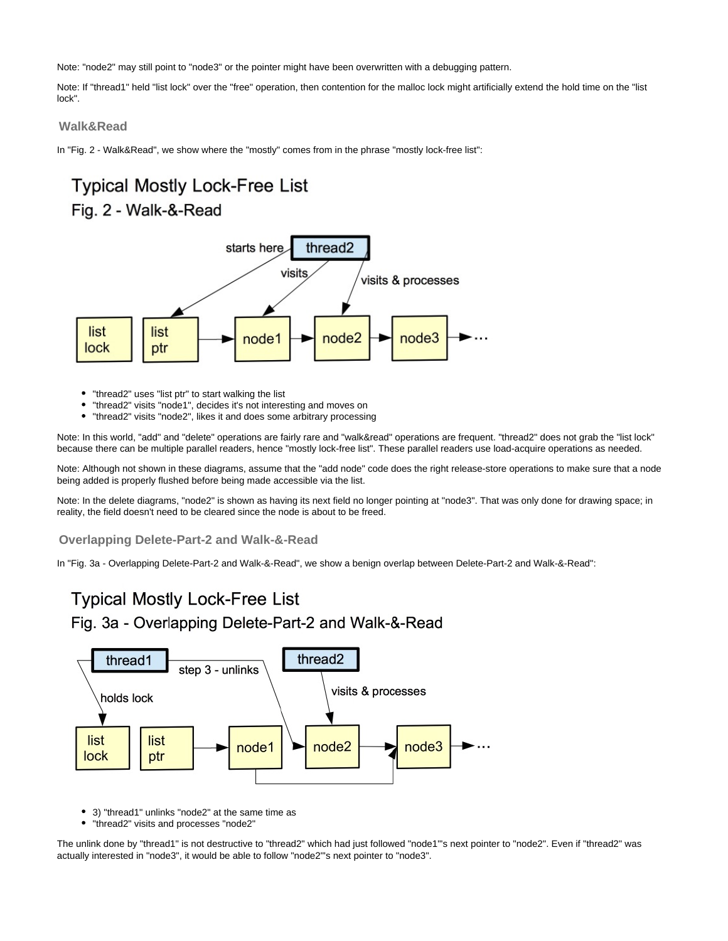Note: "node2" may still point to "node3" or the pointer might have been overwritten with a debugging pattern.

Note: If "thread1" held "list lock" over the "free" operation, then contention for the malloc lock might artificially extend the hold time on the "list lock".

## <span id="page-3-0"></span>**Walk&Read**

In "Fig. 2 - Walk&Read", we show where the "mostly" comes from in the phrase "mostly lock-free list":

# **Typical Mostly Lock-Free List** Fig. 2 - Walk-&-Read



- "thread2" uses "list ptr" to start walking the list
- "thread2" visits "node1", decides it's not interesting and moves on
- "thread2" visits "node2", likes it and does some arbitrary processing

Note: In this world, "add" and "delete" operations are fairly rare and "walk&read" operations are frequent. "thread2" does not grab the "list lock" because there can be multiple parallel readers, hence "mostly lock-free list". These parallel readers use load-acquire operations as needed.

Note: Although not shown in these diagrams, assume that the "add node" code does the right release-store operations to make sure that a node being added is properly flushed before being made accessible via the list.

Note: In the delete diagrams, "node2" is shown as having its next field no longer pointing at "node3". That was only done for drawing space; in reality, the field doesn't need to be cleared since the node is about to be freed.

## <span id="page-3-1"></span>**Overlapping Delete-Part-2 and Walk-&-Read**

In "Fig. 3a - Overlapping Delete-Part-2 and Walk-&-Read", we show a benign overlap between Delete-Part-2 and Walk-&-Read":

# **Typical Mostly Lock-Free List** Fig. 3a - Overlapping Delete-Part-2 and Walk-&-Read



- 3) "thread1" unlinks "node2" at the same time as
- "thread2" visits and processes "node2"

<span id="page-3-2"></span>The unlink done by "thread1" is not destructive to "thread2" which had just followed "node1"'s next pointer to "node2". Even if "thread2" was actually interested in "node3", it would be able to follow "node2"'s next pointer to "node3".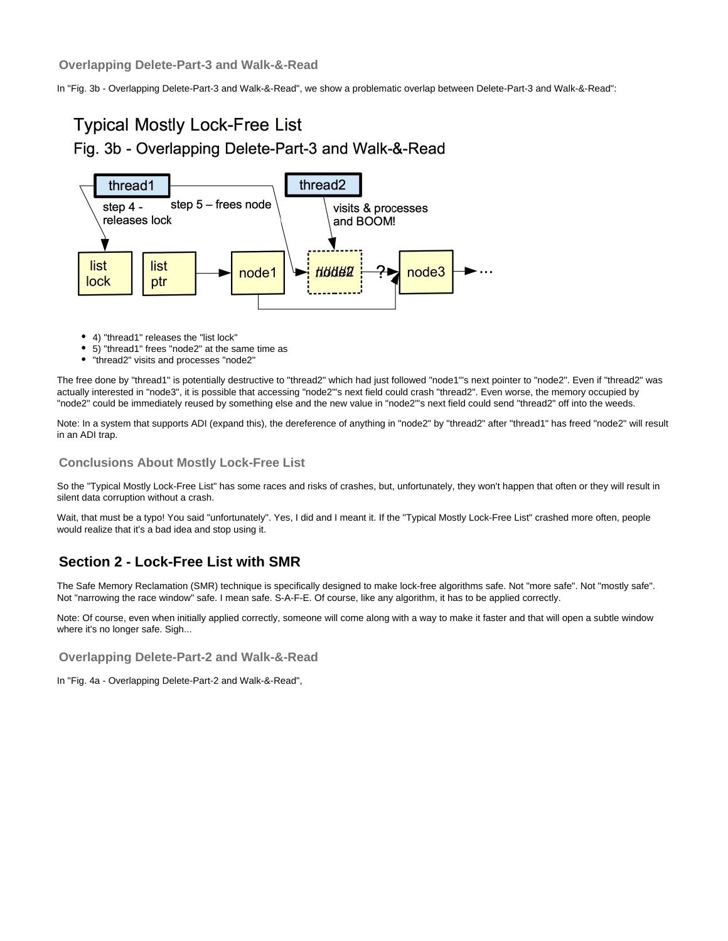In "Fig. 3b - Overlapping Delete-Part-3 and Walk-&-Read", we show a problematic overlap between Delete-Part-3 and Walk-&-Read":

# **Typical Mostly Lock-Free List** Fig. 3b - Overlapping Delete-Part-3 and Walk-&-Read



- 4) "thread1" releases the "list lock"
- 5) "thread1" frees "node2" at the same time as
- "thread2" visits and processes "node2"

The free done by "thread1" is potentially destructive to "thread2" which had just followed "node1"'s next pointer to "node2". Even if "thread2" was actually interested in "node3", it is possible that accessing "node2"'s next field could crash "thread2". Even worse, the memory occupied by "node2" could be immediately reused by something else and the new value in "node2"'s next field could send "thread2" off into the weeds.

Note: In a system that supports ADI (expand this), the dereference of anything in "node2" by "thread2" after "thread1" has freed "node2" will result in an ADI trap.

## <span id="page-4-0"></span>**Conclusions About Mostly Lock-Free List**

So the "Typical Mostly Lock-Free List" has some races and risks of crashes, but, unfortunately, they won't happen that often or they will result in silent data corruption without a crash.

Wait, that must be a typo! You said "unfortunately". Yes, I did and I meant it. If the "Typical Mostly Lock-Free List" crashed more often, people would realize that it's a bad idea and stop using it.

## <span id="page-4-1"></span>**Section 2 - Lock-Free List with SMR**

The Safe Memory Reclamation (SMR) technique is specifically designed to make lock-free algorithms safe. Not "more safe". Not "mostly safe". Not "narrowing the race window" safe. I mean safe. S-A-F-E. Of course, like any algorithm, it has to be applied correctly.

Note: Of course, even when initially applied correctly, someone will come along with a way to make it faster and that will open a subtle window where it's no longer safe. Sigh...

<span id="page-4-2"></span>**Overlapping Delete-Part-2 and Walk-&-Read**

In "Fig. 4a - Overlapping Delete-Part-2 and Walk-&-Read",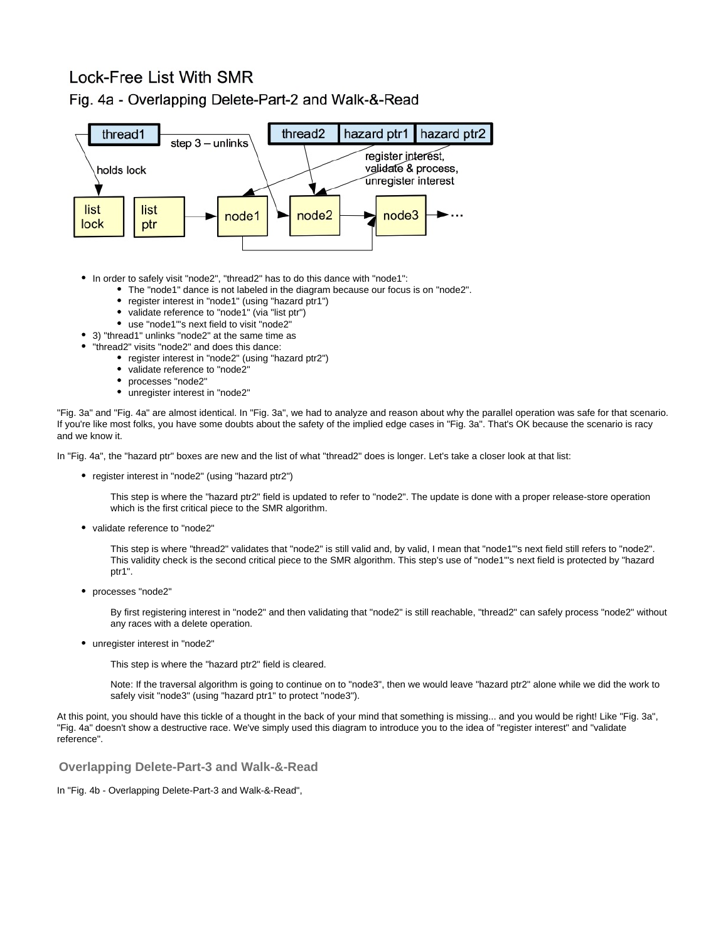# Lock-Free List With SMR



Fig. 4a - Overlapping Delete-Part-2 and Walk-&-Read

- In order to safely visit "node2", "thread2" has to do this dance with "node1":
	- The "node1" dance is not labeled in the diagram because our focus is on "node2".
	- $\bullet$ register interest in "node1" (using "hazard ptr1")
	- validate reference to "node1" (via "list ptr")  $\bullet$
	- use "node1"'s next field to visit "node2"
- 3) "thread1" unlinks "node2" at the same time as
	- "thread2" visits "node2" and does this dance:
		- register interest in "node2" (using "hazard ptr2")
		- validate reference to "node2"
		- processes "node2"
		- unregister interest in "node2"

"Fig. 3a" and "Fig. 4a" are almost identical. In "Fig. 3a", we had to analyze and reason about why the parallel operation was safe for that scenario. If you're like most folks, you have some doubts about the safety of the implied edge cases in "Fig. 3a". That's OK because the scenario is racy and we know it.

In "Fig. 4a", the "hazard ptr" boxes are new and the list of what "thread2" does is longer. Let's take a closer look at that list:

• register interest in "node2" (using "hazard ptr2")

This step is where the "hazard ptr2" field is updated to refer to "node2". The update is done with a proper release-store operation which is the first critical piece to the SMR algorithm.

validate reference to "node2"

This step is where "thread2" validates that "node2" is still valid and, by valid, I mean that "node1"'s next field still refers to "node2". This validity check is the second critical piece to the SMR algorithm. This step's use of "node1"'s next field is protected by "hazard ptr1".

processes "node2"

By first registering interest in "node2" and then validating that "node2" is still reachable, "thread2" can safely process "node2" without any races with a delete operation.

unregister interest in "node2"

This step is where the "hazard ptr2" field is cleared.

Note: If the traversal algorithm is going to continue on to "node3", then we would leave "hazard ptr2" alone while we did the work to safely visit "node3" (using "hazard ptr1" to protect "node3").

At this point, you should have this tickle of a thought in the back of your mind that something is missing... and you would be right! Like "Fig. 3a", "Fig. 4a" doesn't show a destructive race. We've simply used this diagram to introduce you to the idea of "register interest" and "validate reference".

<span id="page-5-0"></span>**Overlapping Delete-Part-3 and Walk-&-Read**

In "Fig. 4b - Overlapping Delete-Part-3 and Walk-&-Read",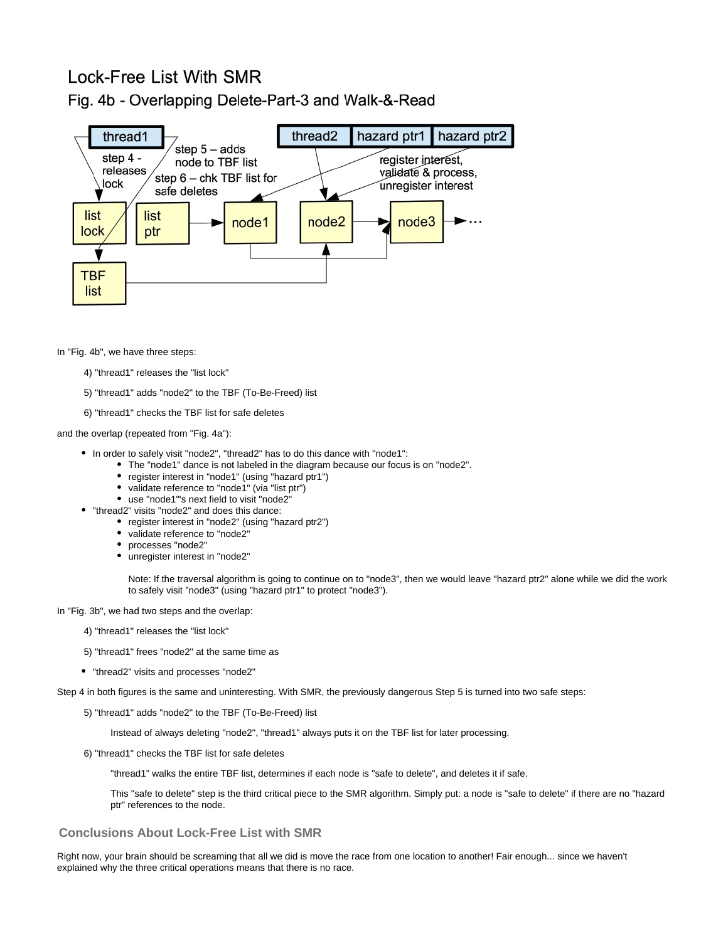# Lock-Free List With SMR

## Fig. 4b - Overlapping Delete-Part-3 and Walk-&-Read



In "Fig. 4b", we have three steps:

- 4) "thread1" releases the "list lock"
- 5) "thread1" adds "node2" to the TBF (To-Be-Freed) list
- 6) "thread1" checks the TBF list for safe deletes

and the overlap (repeated from "Fig. 4a"):

- In order to safely visit "node2", "thread2" has to do this dance with "node1":
	- The "node1" dance is not labeled in the diagram because our focus is on "node2".
		- register interest in "node1" (using "hazard ptr1")
		- validate reference to "node1" (via "list ptr")
		- use "node1"'s next field to visit "node2"
- "thread2" visits "node2" and does this dance:
	- register interest in "node2" (using "hazard ptr2")
	- validate reference to "node2"
	- processes "node2"
	- unregister interest in "node2"

Note: If the traversal algorithm is going to continue on to "node3", then we would leave "hazard ptr2" alone while we did the work to safely visit "node3" (using "hazard ptr1" to protect "node3").

In "Fig. 3b", we had two steps and the overlap:

- 4) "thread1" releases the "list lock"
- 5) "thread1" frees "node2" at the same time as
- "thread2" visits and processes "node2"

Step 4 in both figures is the same and uninteresting. With SMR, the previously dangerous Step 5 is turned into two safe steps:

5) "thread1" adds "node2" to the TBF (To-Be-Freed) list

Instead of always deleting "node2", "thread1" always puts it on the TBF list for later processing.

6) "thread1" checks the TBF list for safe deletes

"thread1" walks the entire TBF list, determines if each node is "safe to delete", and deletes it if safe.

This "safe to delete" step is the third critical piece to the SMR algorithm. Simply put: a node is "safe to delete" if there are no "hazard ptr" references to the node.

## <span id="page-6-0"></span>**Conclusions About Lock-Free List with SMR**

Right now, your brain should be screaming that all we did is move the race from one location to another! Fair enough... since we haven't explained why the three critical operations means that there is no race.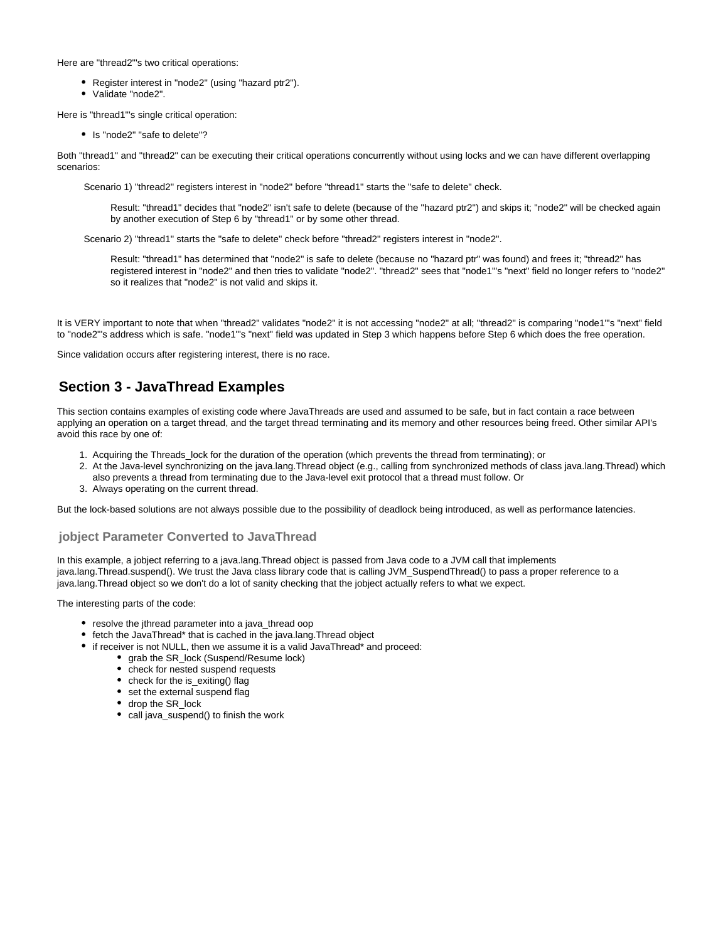Here are "thread2"'s two critical operations:

- Register interest in "node2" (using "hazard ptr2").
- Validate "node2".

Here is "thread1"'s single critical operation:

• Is "node2" "safe to delete"?

Both "thread1" and "thread2" can be executing their critical operations concurrently without using locks and we can have different overlapping scenarios:

Scenario 1) "thread2" registers interest in "node2" before "thread1" starts the "safe to delete" check.

Result: "thread1" decides that "node2" isn't safe to delete (because of the "hazard ptr2") and skips it; "node2" will be checked again by another execution of Step 6 by "thread1" or by some other thread.

Scenario 2) "thread1" starts the "safe to delete" check before "thread2" registers interest in "node2".

Result: "thread1" has determined that "node2" is safe to delete (because no "hazard ptr" was found) and frees it; "thread2" has registered interest in "node2" and then tries to validate "node2". "thread2" sees that "node1"'s "next" field no longer refers to "node2" so it realizes that "node2" is not valid and skips it.

It is VERY important to note that when "thread2" validates "node2" it is not accessing "node2" at all; "thread2" is comparing "node1"s "next" field to "node2"'s address which is safe. "node1"'s "next" field was updated in Step 3 which happens before Step 6 which does the free operation.

Since validation occurs after registering interest, there is no race.

## <span id="page-7-0"></span>**Section 3 - JavaThread Examples**

This section contains examples of existing code where JavaThreads are used and assumed to be safe, but in fact contain a race between applying an operation on a target thread, and the target thread terminating and its memory and other resources being freed. Other similar API's avoid this race by one of:

- 1. Acquiring the Threads\_lock for the duration of the operation (which prevents the thread from terminating); or
- 2. At the Java-level synchronizing on the java.lang.Thread object (e.g., calling from synchronized methods of class java.lang.Thread) which also prevents a thread from terminating due to the Java-level exit protocol that a thread must follow. Or
- 3. Always operating on the current thread.

But the lock-based solutions are not always possible due to the possibility of deadlock being introduced, as well as performance latencies.

## <span id="page-7-1"></span>**jobject Parameter Converted to JavaThread**

In this example, a jobject referring to a java.lang.Thread object is passed from Java code to a JVM call that implements java.lang.Thread.suspend(). We trust the Java class library code that is calling JVM\_SuspendThread() to pass a proper reference to a java.lang.Thread object so we don't do a lot of sanity checking that the jobject actually refers to what we expect.

The interesting parts of the code:

- resolve the jthread parameter into a java\_thread oop
- fetch the JavaThread\* that is cached in the java.lang.Thread object
- if receiver is not NULL, then we assume it is a valid JavaThread\* and proceed:
	- grab the SR\_lock (Suspend/Resume lock)
	- check for nested suspend requests
	- check for the is\_exiting() flag
	- set the external suspend flag
	- drop the SR\_lock
	- call java suspend() to finish the work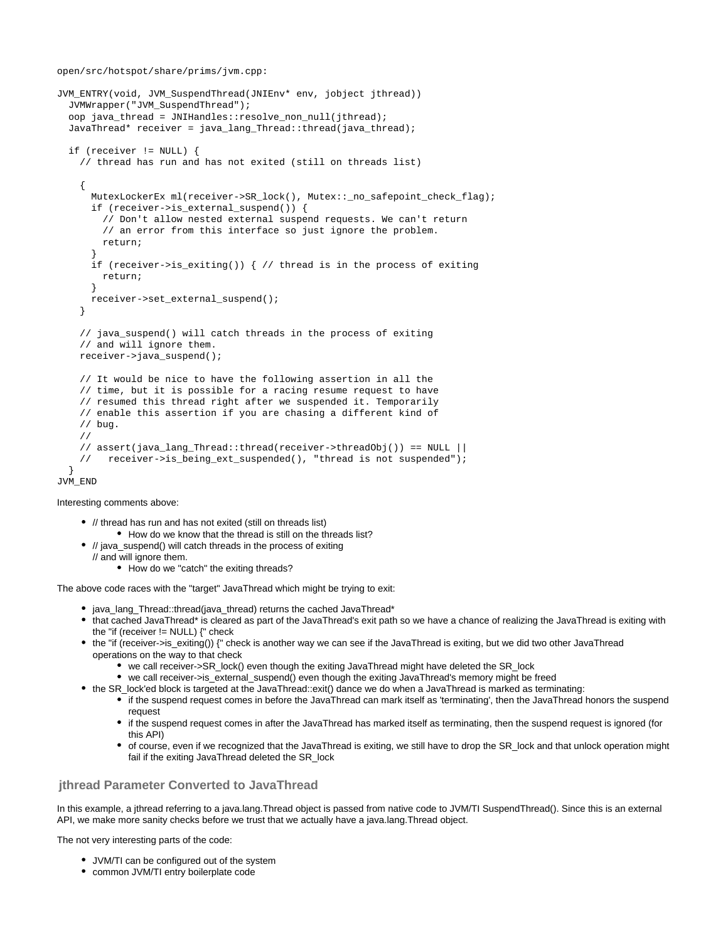open/src/hotspot/share/prims/jvm.cpp:

```
JVM_ENTRY(void, JVM_SuspendThread(JNIEnv* env, jobject jthread))
   JVMWrapper("JVM_SuspendThread");
  oop java thread = JNIHandles::resolve non null(jthread);
   JavaThread* receiver = java_lang_Thread::thread(java_thread);
   if (receiver != NULL) {
     // thread has run and has not exited (still on threads list)
\{ MutexLockerEx ml(receiver->SR_lock(), Mutex::_no_safepoint_check_flag);
       if (receiver->is_external_suspend()) {
         // Don't allow nested external suspend requests. We can't return
         // an error from this interface so just ignore the problem.
        return;
 }
       if (receiver->is_exiting()) { // thread is in the process of exiting
      return;<br>}
 }
      receiver->set_external_suspend();
     }
     // java_suspend() will catch threads in the process of exiting
     // and will ignore them.
     receiver->java_suspend();
     // It would be nice to have the following assertion in all the
     // time, but it is possible for a racing resume request to have
     // resumed this thread right after we suspended it. Temporarily
     // enable this assertion if you are chasing a different kind of
     // bug.
     //
     // assert(java_lang_Thread::thread(receiver->threadObj()) == NULL ||
     // receiver->is_being_ext_suspended(), "thread is not suspended");
 }
JVM_END
```
Interesting comments above:

- // thread has run and has not exited (still on threads list) • How do we know that the thread is still on the threads list?
- // java\_suspend() will catch threads in the process of exiting
	- // and will ignore them.
		- How do we "catch" the exiting threads?

The above code races with the "target" JavaThread which might be trying to exit:

- java lang Thread::thread(java thread) returns the cached JavaThread\*
- that cached JavaThread\* is cleared as part of the JavaThread's exit path so we have a chance of realizing the JavaThread is exiting with the "if (receiver  $!=$  NULL)  $\{$ " check
- the "if (receiver->is\_exiting()) {" check is another way we can see if the JavaThread is exiting, but we did two other JavaThread operations on the way to that check
	- we call receiver->SR\_lock() even though the exiting JavaThread might have deleted the SR\_lock
	- we call receiver->is\_external\_suspend() even though the exiting JavaThread's memory might be freed
- the SR\_lock'ed block is targeted at the JavaThread::exit() dance we do when a JavaThread is marked as terminating:
	- if the suspend request comes in before the JavaThread can mark itself as 'terminating', then the JavaThread honors the suspend request
	- if the suspend request comes in after the JavaThread has marked itself as terminating, then the suspend request is ignored (for this API)
	- of course, even if we recognized that the JavaThread is exiting, we still have to drop the SR\_lock and that unlock operation might fail if the exiting JavaThread deleted the SR\_lock

### <span id="page-8-0"></span>**jthread Parameter Converted to JavaThread**

In this example, a jthread referring to a java.lang.Thread object is passed from native code to JVM/TI SuspendThread(). Since this is an external API, we make more sanity checks before we trust that we actually have a java.lang.Thread object.

The not very interesting parts of the code:

- JVM/TI can be configured out of the system
- common JVM/TI entry boilerplate code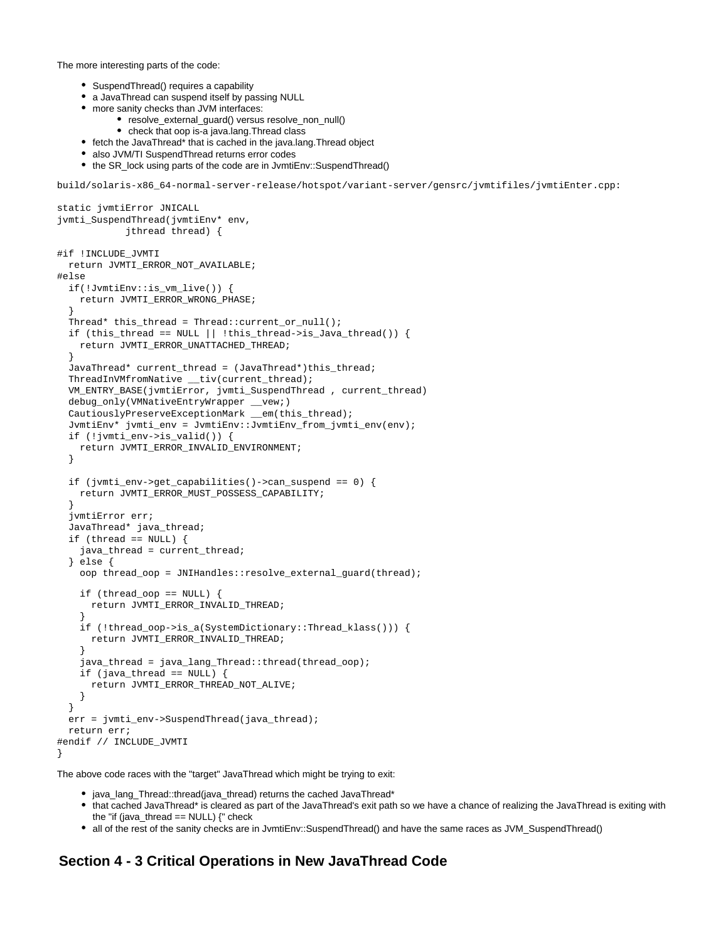The more interesting parts of the code:

- SuspendThread() requires a capability
- a JavaThread can suspend itself by passing NULL
- more sanity checks than JVM interfaces:
	- resolve external quard() versus resolve non null()
	- check that oop is-a java.lang.Thread class
- fetch the JavaThread\* that is cached in the java.lang.Thread object
- also JVM/TI SuspendThread returns error codes
- the SR\_lock using parts of the code are in JvmtiEnv::SuspendThread()

build/solaris-x86\_64-normal-server-release/hotspot/variant-server/gensrc/jvmtifiles/jvmtiEnter.cpp:

```
static jvmtiError JNICALL
jvmti_SuspendThread(jvmtiEnv* env,
             jthread thread) {
#if !INCLUDE_JVMTI
  return JVMTI_ERROR_NOT_AVAILABLE;
#else
   if(!JvmtiEnv::is_vm_live()) {
     return JVMTI_ERROR_WRONG_PHASE;
 }
 Thread* this_thread = Thread::current_or_null();
  if (this_thread == NULL || !this_thread->is_Java_thread()) {
    return JVMTI_ERROR_UNATTACHED_THREAD;
 }
  JavaThread* current_thread = (JavaThread*)this_thread;
 ThreadInVMfromNative __tiv(current_thread);
  VM_ENTRY_BASE(jvmtiError, jvmti_SuspendThread , current_thread)
 debug_only(VMNativeEntryWrapper __vew;)
   CautiouslyPreserveExceptionMark __em(this_thread);
   JvmtiEnv* jvmti_env = JvmtiEnv::JvmtiEnv_from_jvmti_env(env);
   if (!jvmti_env->is_valid()) {
     return JVMTI_ERROR_INVALID_ENVIRONMENT;
   }
   if (jvmti_env->get_capabilities()->can_suspend == 0) {
    return JVMTI_ERROR_MUST_POSSESS_CAPABILITY;
 }
   jvmtiError err;
   JavaThread* java_thread;
  if (thread == NULL) {
     java_thread = current_thread;
   } else {
     oop thread_oop = JNIHandles::resolve_external_guard(thread);
     if (thread_oop == NULL) {
       return JVMTI_ERROR_INVALID_THREAD;
 }
     if (!thread_oop->is_a(SystemDictionary::Thread_klass())) {
      return JVMTI_ERROR_INVALID_THREAD;
 }
     java_thread = java_lang_Thread::thread(thread_oop);
     if (java_thread == NULL) {
      return JVMTI_ERROR_THREAD_NOT_ALIVE;
     }
 }
   err = jvmti_env->SuspendThread(java_thread);
  return err;
#endif // INCLUDE_JVMTI
}
```
The above code races with the "target" JavaThread which might be trying to exit:

- java\_lang\_Thread::thread(java\_thread) returns the cached JavaThread\*
- that cached JavaThread\* is cleared as part of the JavaThread's exit path so we have a chance of realizing the JavaThread is exiting with the "if (java\_thread == NULL) {" check
- all of the rest of the sanity checks are in JvmtiEnv::SuspendThread() and have the same races as JVM\_SuspendThread()

## <span id="page-9-0"></span>**Section 4 - 3 Critical Operations in New JavaThread Code**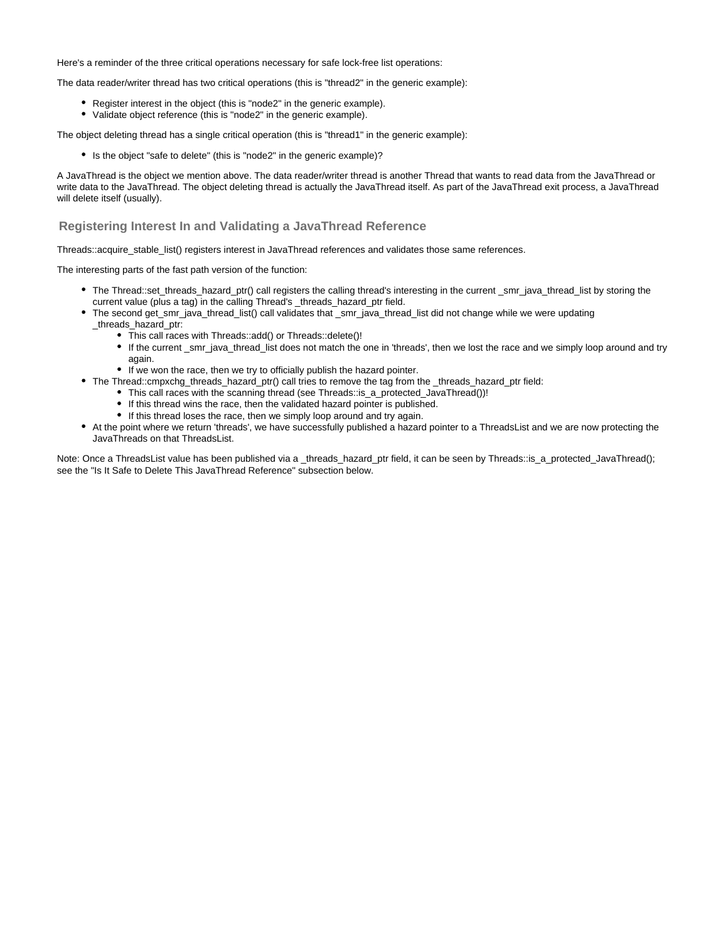Here's a reminder of the three critical operations necessary for safe lock-free list operations:

The data reader/writer thread has two critical operations (this is "thread2" in the generic example):

- Register interest in the object (this is "node2" in the generic example).
- Validate object reference (this is "node2" in the generic example).

The object deleting thread has a single critical operation (this is "thread1" in the generic example):

• Is the object "safe to delete" (this is "node2" in the generic example)?

A JavaThread is the object we mention above. The data reader/writer thread is another Thread that wants to read data from the JavaThread or write data to the JavaThread. The object deleting thread is actually the JavaThread itself. As part of the JavaThread exit process, a JavaThread will delete itself (usually).

## <span id="page-10-0"></span>**Registering Interest In and Validating a JavaThread Reference**

Threads::acquire\_stable\_list() registers interest in JavaThread references and validates those same references.

The interesting parts of the fast path version of the function:

- The Thread::set\_threads\_hazard\_ptr() call registers the calling thread's interesting in the current \_smr\_java\_thread\_list by storing the current value (plus a tag) in the calling Thread's \_threads\_hazard\_ptr field.
- The second get\_smr\_java\_thread\_list() call validates that \_smr\_java\_thread\_list did not change while we were updating \_threads\_hazard\_ptr:
	- This call races with Threads::add() or Threads::delete()!
	- If the current \_smr\_java\_thread\_list does not match the one in 'threads', then we lost the race and we simply loop around and try again.
	- If we won the race, then we try to officially publish the hazard pointer.
- The Thread::cmpxchg\_threads\_hazard\_ptr() call tries to remove the tag from the \_threads\_hazard\_ptr field:
	- This call races with the scanning thread (see Threads::is\_a\_protected\_JavaThread())!
	- If this thread wins the race, then the validated hazard pointer is published.
	- If this thread loses the race, then we simply loop around and try again.
- At the point where we return 'threads', we have successfully published a hazard pointer to a ThreadsList and we are now protecting the JavaThreads on that ThreadsList.

Note: Once a ThreadsList value has been published via a \_threads\_hazard\_ptr field, it can be seen by Threads::is\_a\_protected\_JavaThread(); see the "Is It Safe to Delete This JavaThread Reference" subsection below.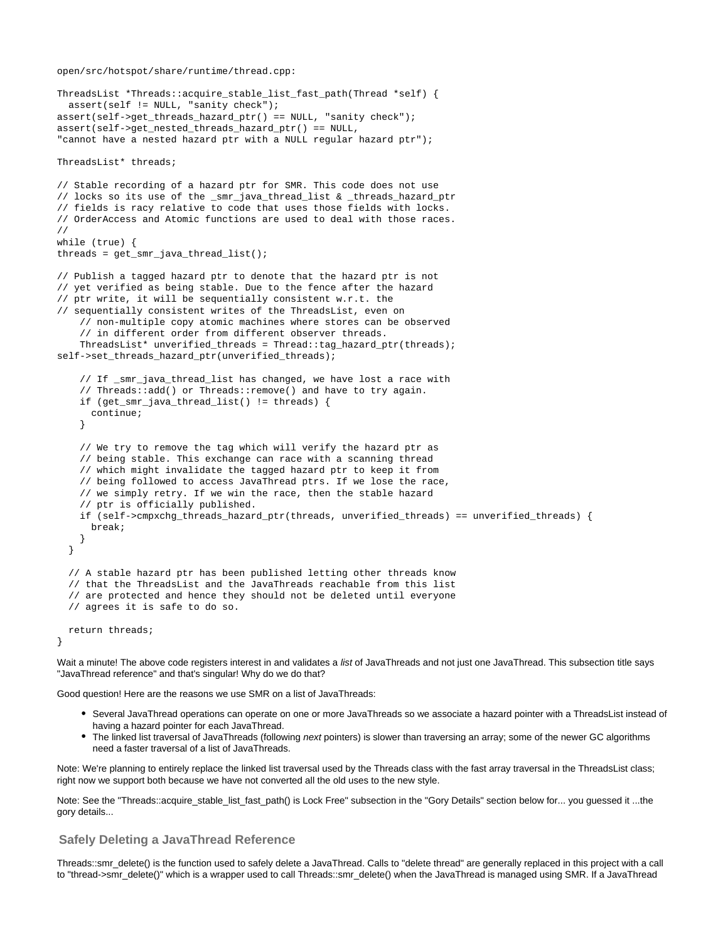```
ThreadsList *Threads::acquire_stable_list_fast_path(Thread *self) {
   assert(self != NULL, "sanity check");
assert(self->qet threads hazard ptr() == NULL, "sanity check");
assert(self->get_nested_threads_hazard_ptr() == NULL,
"cannot have a nested hazard ptr with a NULL regular hazard ptr");
ThreadsList* threads;
// Stable recording of a hazard ptr for SMR. This code does not use
// locks so its use of the _smr_java_thread_list & _threads_hazard_ptr
// fields is racy relative to code that uses those fields with locks.
// OrderAccess and Atomic functions are used to deal with those races.
//
while (true) {
threads = get_smr_java_thread_list();
// Publish a tagged hazard ptr to denote that the hazard ptr is not
// yet verified as being stable. Due to the fence after the hazard
// ptr write, it will be sequentially consistent w.r.t. the
// sequentially consistent writes of the ThreadsList, even on
     // non-multiple copy atomic machines where stores can be observed
     // in different order from different observer threads.
     ThreadsList* unverified_threads = Thread::tag_hazard_ptr(threads);
self->set_threads_hazard_ptr(unverified_threads);
     // If _smr_java_thread_list has changed, we have lost a race with
     // Threads::add() or Threads::remove() and have to try again.
    if (get smr java thread list() != threads) {
       continue;
     }
     // We try to remove the tag which will verify the hazard ptr as
     // being stable. This exchange can race with a scanning thread
     // which might invalidate the tagged hazard ptr to keep it from
     // being followed to access JavaThread ptrs. If we lose the race,
     // we simply retry. If we win the race, then the stable hazard
     // ptr is officially published.
     if (self->cmpxchg_threads_hazard_ptr(threads, unverified_threads) == unverified_threads) {
       break;
     }
   }
   // A stable hazard ptr has been published letting other threads know
   // that the ThreadsList and the JavaThreads reachable from this list
   // are protected and hence they should not be deleted until everyone
   // agrees it is safe to do so.
   return threads;
}
```
Wait a minute! The above code registers interest in and validates a list of JavaThreads and not just one JavaThread. This subsection title says "JavaThread reference" and that's singular! Why do we do that?

Good question! Here are the reasons we use SMR on a list of JavaThreads:

- Several JavaThread operations can operate on one or more JavaThreads so we associate a hazard pointer with a ThreadsList instead of having a hazard pointer for each JavaThread.
- The linked list traversal of JavaThreads (following next pointers) is slower than traversing an array; some of the newer GC algorithms need a faster traversal of a list of JavaThreads.

Note: We're planning to entirely replace the linked list traversal used by the Threads class with the fast array traversal in the ThreadsList class; right now we support both because we have not converted all the old uses to the new style.

Note: See the "Threads::acquire\_stable\_list\_fast\_path() is Lock Free" subsection in the "Gory Details" section below for... you guessed it ...the gory details...

#### <span id="page-11-0"></span>**Safely Deleting a JavaThread Reference**

Threads::smr\_delete() is the function used to safely delete a JavaThread. Calls to "delete thread" are generally replaced in this project with a call to "thread->smr\_delete()" which is a wrapper used to call Threads::smr\_delete() when the JavaThread is managed using SMR. If a JavaThread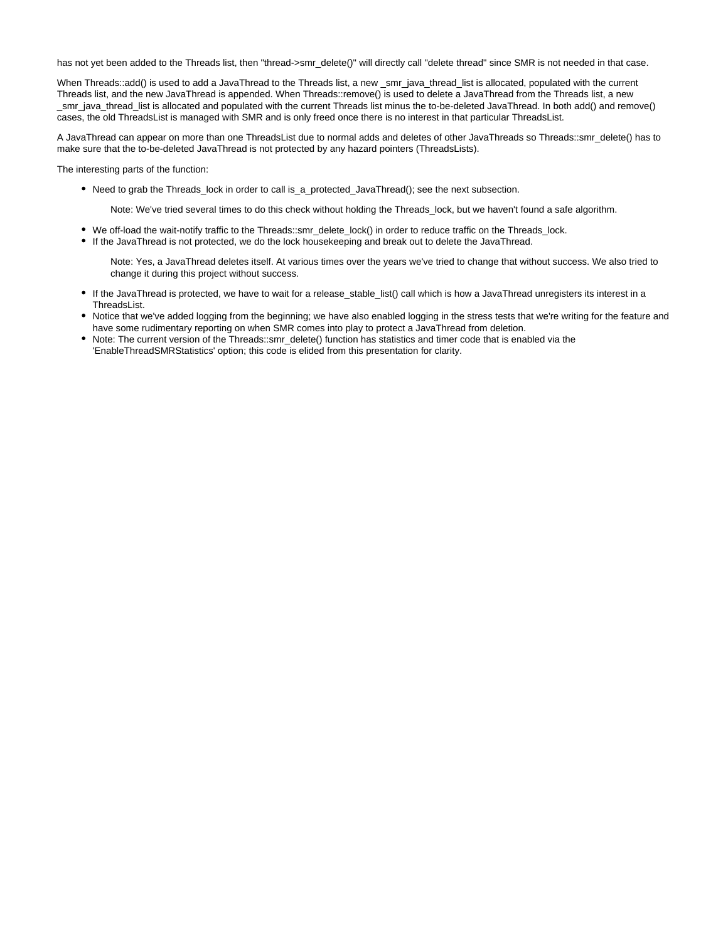has not yet been added to the Threads list, then "thread->smr\_delete()" will directly call "delete thread" since SMR is not needed in that case.

When Threads::add() is used to add a JavaThread to the Threads list, a new \_smr\_java\_thread\_list is allocated, populated with the current Threads list, and the new JavaThread is appended. When Threads::remove() is used to delete a JavaThread from the Threads list, a new \_smr\_java\_thread\_list is allocated and populated with the current Threads list minus the to-be-deleted JavaThread. In both add() and remove() cases, the old ThreadsList is managed with SMR and is only freed once there is no interest in that particular ThreadsList.

A JavaThread can appear on more than one ThreadsList due to normal adds and deletes of other JavaThreads so Threads::smr\_delete() has to make sure that the to-be-deleted JavaThread is not protected by any hazard pointers (ThreadsLists).

The interesting parts of the function:

Need to grab the Threads\_lock in order to call is\_a\_protected\_JavaThread(); see the next subsection.

Note: We've tried several times to do this check without holding the Threads\_lock, but we haven't found a safe algorithm.

- We off-load the wait-notify traffic to the Threads::smr\_delete\_lock() in order to reduce traffic on the Threads\_lock.
- If the JavaThread is not protected, we do the lock housekeeping and break out to delete the JavaThread.

Note: Yes, a JavaThread deletes itself. At various times over the years we've tried to change that without success. We also tried to change it during this project without success.

- If the JavaThread is protected, we have to wait for a release\_stable\_list() call which is how a JavaThread unregisters its interest in a ThreadsList.
- Notice that we've added logging from the beginning; we have also enabled logging in the stress tests that we're writing for the feature and have some rudimentary reporting on when SMR comes into play to protect a JavaThread from deletion.
- Note: The current version of the Threads::smr\_delete() function has statistics and timer code that is enabled via the 'EnableThreadSMRStatistics' option; this code is elided from this presentation for clarity.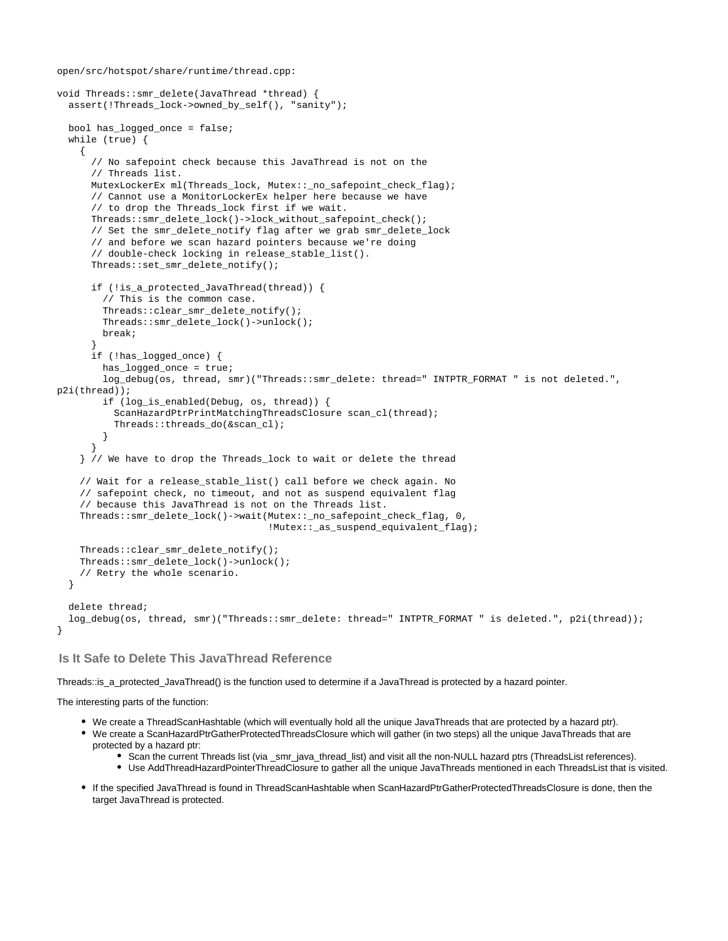```
void Threads::smr_delete(JavaThread *thread) {
   assert(!Threads_lock->owned_by_self(), "sanity");
   bool has_logged_once = false;
   while (true) {
    \left\{ \right. // No safepoint check because this JavaThread is not on the
       // Threads list.
      MutexLockerEx ml(Threads lock, Mutex:: no safepoint check flag);
       // Cannot use a MonitorLockerEx helper here because we have
       // to drop the Threads_lock first if we wait.
       Threads::smr_delete_lock()->lock_without_safepoint_check();
       // Set the smr_delete_notify flag after we grab smr_delete_lock
       // and before we scan hazard pointers because we're doing
       // double-check locking in release_stable_list().
       Threads::set_smr_delete_notify();
       if (!is_a_protected_JavaThread(thread)) {
         // This is the common case.
         Threads::clear_smr_delete_notify();
         Threads::smr_delete_lock()->unlock();
        break;
 }
       if (!has_logged_once) {
        has logged once = true;
         log_debug(os, thread, smr)("Threads::smr_delete: thread=" INTPTR_FORMAT " is not deleted.",
p2i(thread));
         if (log_is_enabled(Debug, os, thread)) {
           ScanHazardPtrPrintMatchingThreadsClosure scan_cl(thread);
           Threads::threads_do(&scan_cl);
         }
 }
     } // We have to drop the Threads_lock to wait or delete the thread
     // Wait for a release_stable_list() call before we check again. No
     // safepoint check, no timeout, and not as suspend equivalent flag
     // because this JavaThread is not on the Threads list.
     Threads::smr_delete_lock()->wait(Mutex::_no_safepoint_check_flag, 0,
                                       !Mutex::_as_suspend_equivalent_flag);
     Threads::clear_smr_delete_notify();
     Threads::smr_delete_lock()->unlock();
     // Retry the whole scenario.
 }
   delete thread;
   log_debug(os, thread, smr)("Threads::smr_delete: thread=" INTPTR_FORMAT " is deleted.", p2i(thread));
}
```
### <span id="page-13-0"></span>**Is It Safe to Delete This JavaThread Reference**

Threads::is\_a\_protected\_JavaThread() is the function used to determine if a JavaThread is protected by a hazard pointer.

The interesting parts of the function:

- We create a ThreadScanHashtable (which will eventually hold all the unique JavaThreads that are protected by a hazard ptr).
- We create a ScanHazardPtrGatherProtectedThreadsClosure which will gather (in two steps) all the unique JavaThreads that are protected by a hazard ptr:
	- Scan the current Threads list (via \_smr\_java\_thread\_list) and visit all the non-NULL hazard ptrs (ThreadsList references).
	- Use AddThreadHazardPointerThreadClosure to gather all the unique JavaThreads mentioned in each ThreadsList that is visited.
- If the specified JavaThread is found in ThreadScanHashtable when ScanHazardPtrGatherProtectedThreadsClosure is done, then the target JavaThread is protected.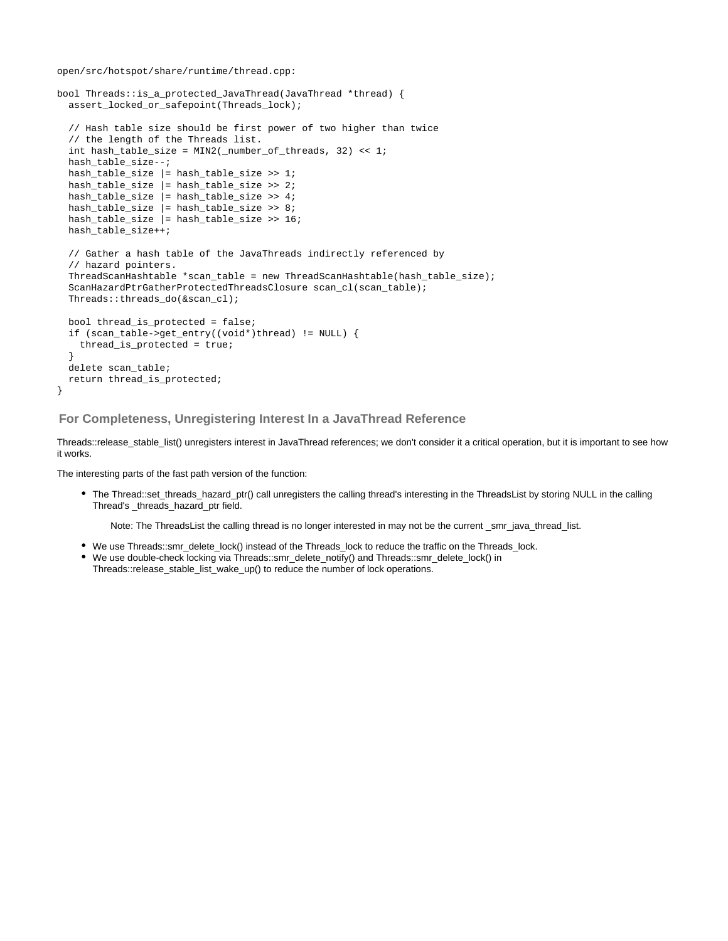```
bool Threads::is_a_protected_JavaThread(JavaThread *thread) {
   assert_locked_or_safepoint(Threads_lock);
   // Hash table size should be first power of two higher than twice
   // the length of the Threads list.
   int hash_table_size = MIN2(_number_of_threads, 32) << 1;
   hash_table_size--;
  hash table size |= hash table size >> 1;
  hash table size |= hash table size >> 2;
   hash_table_size |= hash_table_size >> 4;
   hash_table_size |= hash_table_size >> 8;
   hash_table_size |= hash_table_size >> 16;
   hash_table_size++;
   // Gather a hash table of the JavaThreads indirectly referenced by
   // hazard pointers.
   ThreadScanHashtable *scan_table = new ThreadScanHashtable(hash_table_size);
   ScanHazardPtrGatherProtectedThreadsClosure scan_cl(scan_table);
   Threads::threads_do(&scan_cl);
   bool thread_is_protected = false;
   if (scan_table->get_entry((void*)thread) != NULL) {
     thread_is_protected = true;
 }
   delete scan_table;
   return thread_is_protected;
```
<span id="page-14-0"></span>**For Completeness, Unregistering Interest In a JavaThread Reference**

Threads::release\_stable\_list() unregisters interest in JavaThread references; we don't consider it a critical operation, but it is important to see how it works.

The interesting parts of the fast path version of the function:

}

The Thread::set\_threads\_hazard\_ptr() call unregisters the calling thread's interesting in the ThreadsList by storing NULL in the calling Thread's \_threads\_hazard\_ptr field.

Note: The ThreadsList the calling thread is no longer interested in may not be the current \_smr\_java\_thread\_list.

- We use Threads::smr\_delete\_lock() instead of the Threads\_lock to reduce the traffic on the Threads\_lock.
- We use double-check locking via Threads::smr\_delete\_notify() and Threads::smr\_delete\_lock() in Threads::release\_stable\_list\_wake\_up() to reduce the number of lock operations.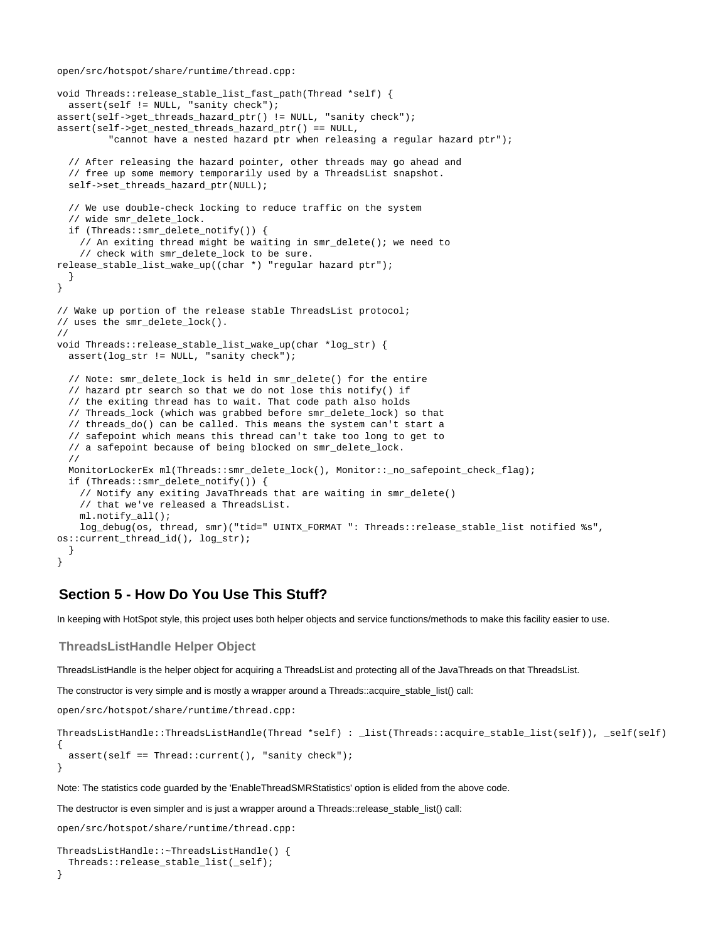```
void Threads::release_stable_list_fast_path(Thread *self) {
   assert(self != NULL, "sanity check");
assert(self->qet threads hazard ptr() != NULL, "sanity check");
assert(self->get_nested_threads_hazard_ptr() == NULL,
          "cannot have a nested hazard ptr when releasing a regular hazard ptr");
   // After releasing the hazard pointer, other threads may go ahead and
   // free up some memory temporarily used by a ThreadsList snapshot.
  self->set_threads_hazard_ptr(NULL);
   // We use double-check locking to reduce traffic on the system
   // wide smr_delete_lock.
   if (Threads::smr_delete_notify()) {
     // An exiting thread might be waiting in smr_delete(); we need to
     // check with smr_delete_lock to be sure.
release_stable_list_wake_up((char *) "regular hazard ptr");
  }
}
// Wake up portion of the release stable ThreadsList protocol;
// uses the smr_delete_lock().
//
void Threads::release_stable_list_wake_up(char *log_str) {
  assert(log_str != NULL, "sanity check");
  // Note: smr_delete_lock is held in smr_delete() for the entire
   // hazard ptr search so that we do not lose this notify() if
   // the exiting thread has to wait. That code path also holds
   // Threads_lock (which was grabbed before smr_delete_lock) so that
   // threads_do() can be called. This means the system can't start a
   // safepoint which means this thread can't take too long to get to
   // a safepoint because of being blocked on smr_delete_lock.
   //
  MonitorLockerEx ml(Threads::smr_delete_lock(), Monitor::_no_safepoint_check_flag);
   if (Threads::smr_delete_notify()) {
     // Notify any exiting JavaThreads that are waiting in smr_delete()
     // that we've released a ThreadsList.
    ml.notify_all();
   log_debug(os, thread, smr)("tid=" UINTX_FORMAT ": Threads::release_stable_list notified %s",
os::current_thread_id(), log_str);
   }
}
```
## <span id="page-15-0"></span>**Section 5 - How Do You Use This Stuff?**

In keeping with HotSpot style, this project uses both helper objects and service functions/methods to make this facility easier to use.

#### <span id="page-15-1"></span>**ThreadsListHandle Helper Object**

ThreadsListHandle is the helper object for acquiring a ThreadsList and protecting all of the JavaThreads on that ThreadsList.

The constructor is very simple and is mostly a wrapper around a Threads::acquire\_stable\_list() call:

open/src/hotspot/share/runtime/thread.cpp:

```
ThreadsListHandle::ThreadsListHandle(Thread *self) : _list(Threads::acquire_stable_list(self)), _self(self)
{
 assert(self == Thread::current(), "sanity check");
}
```
Note: The statistics code guarded by the 'EnableThreadSMRStatistics' option is elided from the above code.

The destructor is even simpler and is just a wrapper around a Threads::release\_stable\_list() call:

open/src/hotspot/share/runtime/thread.cpp:

```
ThreadsListHandle::~ThreadsListHandle() {
   Threads::release_stable_list(_self);
```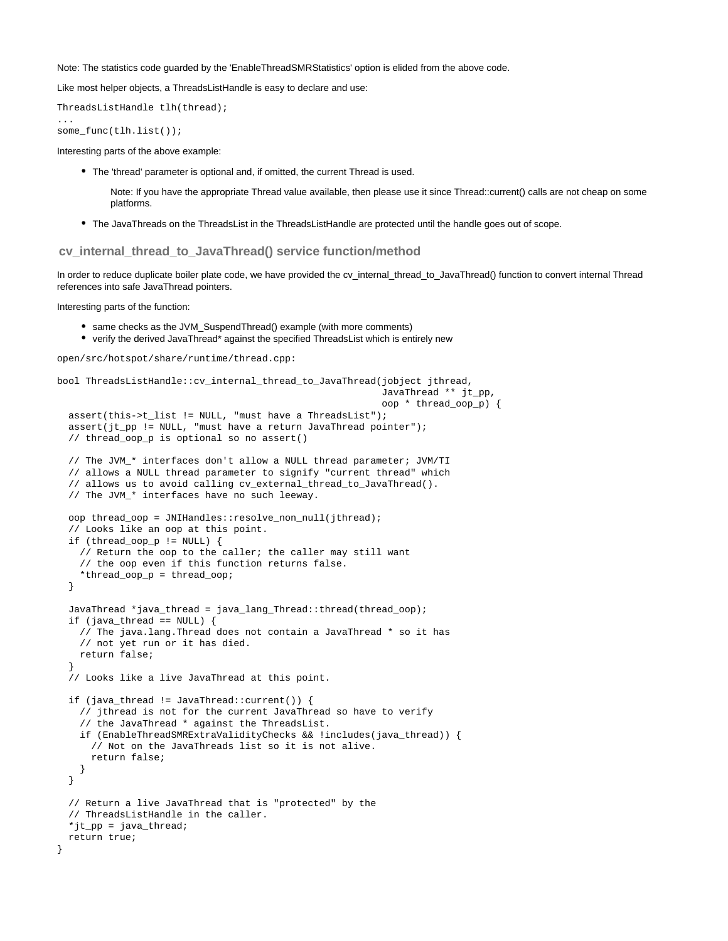Note: The statistics code guarded by the 'EnableThreadSMRStatistics' option is elided from the above code.

Like most helper objects, a ThreadsListHandle is easy to declare and use:

ThreadsListHandle tlh(thread);

some\_func(tlh.list());

...

Interesting parts of the above example:

- The 'thread' parameter is optional and, if omitted, the current Thread is used.
	- Note: If you have the appropriate Thread value available, then please use it since Thread::current() calls are not cheap on some platforms.
- The JavaThreads on the ThreadsList in the ThreadsListHandle are protected until the handle goes out of scope.

<span id="page-16-0"></span>**cv\_internal\_thread\_to\_JavaThread() service function/method**

In order to reduce duplicate boiler plate code, we have provided the cv\_internal\_thread\_to\_JavaThread() function to convert internal Thread references into safe JavaThread pointers.

Interesting parts of the function:

- same checks as the JVM\_SuspendThread() example (with more comments)
- verify the derived JavaThread\* against the specified ThreadsList which is entirely new

open/src/hotspot/share/runtime/thread.cpp:

```
bool ThreadsListHandle::cv_internal_thread_to_JavaThread(jobject jthread,
                                                            JavaThread ** jt_pp,
                                                            oop * thread_oop_p) {
   assert(this->t_list != NULL, "must have a ThreadsList");
   assert(jt_pp != NULL, "must have a return JavaThread pointer");
   // thread_oop_p is optional so no assert()
   // The JVM_* interfaces don't allow a NULL thread parameter; JVM/TI
   // allows a NULL thread parameter to signify "current thread" which
   // allows us to avoid calling cv_external_thread_to_JavaThread().
   // The JVM_* interfaces have no such leeway.
   oop thread_oop = JNIHandles::resolve_non_null(jthread);
   // Looks like an oop at this point.
   if (thread_oop_p != NULL) {
     // Return the oop to the caller; the caller may still want
     // the oop even if this function returns false.
     *thread_oop_p = thread_oop;
   }
   JavaThread *java_thread = java_lang_Thread::thread(thread_oop);
   if (java_thread == NULL) {
     // The java.lang.Thread does not contain a JavaThread * so it has
     // not yet run or it has died.
     return false;
 }
   // Looks like a live JavaThread at this point.
   if (java_thread != JavaThread::current()) {
     // jthread is not for the current JavaThread so have to verify
     // the JavaThread * against the ThreadsList.
     if (EnableThreadSMRExtraValidityChecks && !includes(java_thread)) {
       // Not on the JavaThreads list so it is not alive.
       return false;
     }
   }
   // Return a live JavaThread that is "protected" by the
   // ThreadsListHandle in the caller.
   *jt_pp = java_thread;
   return true;
}
```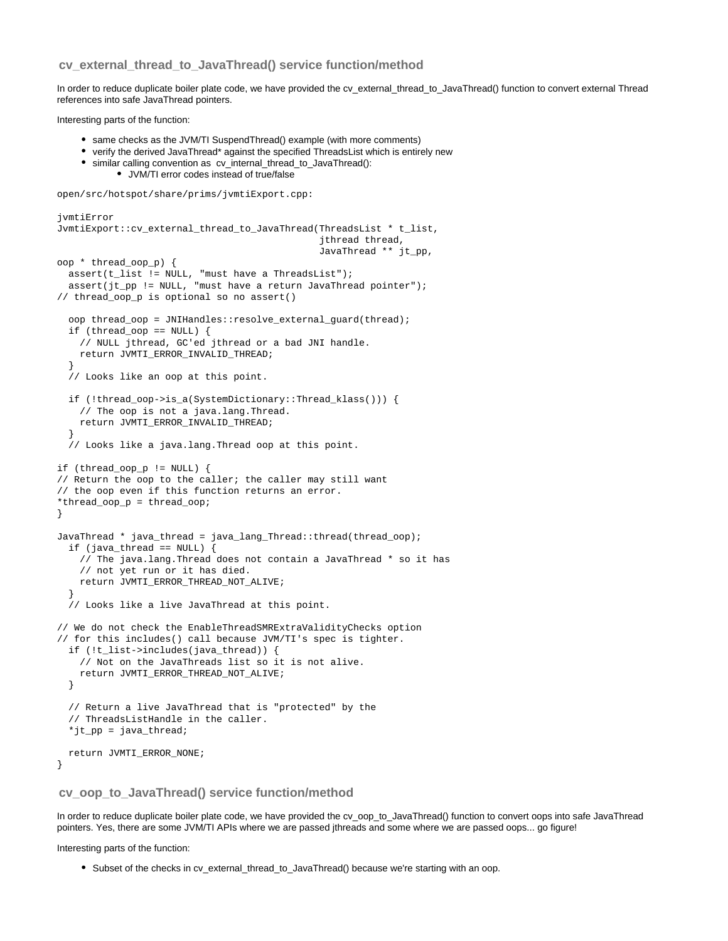## **cv\_external\_thread\_to\_JavaThread() service function/method**

In order to reduce duplicate boiler plate code, we have provided the cv\_external\_thread\_to\_JavaThread() function to convert external Thread references into safe JavaThread pointers.

Interesting parts of the function:

- same checks as the JVM/TI SuspendThread() example (with more comments)
- verify the derived JavaThread\* against the specified ThreadsList which is entirely new
- similar calling convention as cv\_internal\_thread\_to\_JavaThread(): JVM/TI error codes instead of true/false

open/src/hotspot/share/prims/jvmtiExport.cpp:

```
jvmtiError
JvmtiExport::cv_external_thread_to_JavaThread(ThreadsList * t_list,
                                                jthread thread,
                                                JavaThread ** jt_pp,
oop * thread_oop_p) {
  assert(t<sub>1</sub> != NULL, "must have a ThreadsList");
   assert(jt_pp != NULL, "must have a return JavaThread pointer");
// thread_oop_p is optional so no assert()
   oop thread_oop = JNIHandles::resolve_external_guard(thread);
   if (thread_oop == NULL) {
     // NULL jthread, GC'ed jthread or a bad JNI handle.
     return JVMTI_ERROR_INVALID_THREAD;
 }
   // Looks like an oop at this point.
   if (!thread_oop->is_a(SystemDictionary::Thread_klass())) {
     // The oop is not a java.lang.Thread.
     return JVMTI_ERROR_INVALID_THREAD;
 }
   // Looks like a java.lang.Thread oop at this point.
if (thread_oop_p != NULL) {
// Return the oop to the caller; the caller may still want
// the oop even if this function returns an error.
*thread_oop_p = thread_oop;
}
JavaThread * java_thread = java_lang_Thread::thread(thread_oop);
   if (java_thread == NULL) {
     // The java.lang.Thread does not contain a JavaThread * so it has
     // not yet run or it has died.
     return JVMTI_ERROR_THREAD_NOT_ALIVE;
 }
   // Looks like a live JavaThread at this point.
// We do not check the EnableThreadSMRExtraValidityChecks option
// for this includes() call because JVM/TI's spec is tighter.
   if (!t_list->includes(java_thread)) {
     // Not on the JavaThreads list so it is not alive.
     return JVMTI_ERROR_THREAD_NOT_ALIVE;
   }
   // Return a live JavaThread that is "protected" by the
   // ThreadsListHandle in the caller.
   *jt_pp = java_thread;
   return JVMTI_ERROR_NONE;
}
```
### <span id="page-17-0"></span>**cv\_oop\_to\_JavaThread() service function/method**

In order to reduce duplicate boiler plate code, we have provided the cv\_oop\_to\_JavaThread() function to convert oops into safe JavaThread pointers. Yes, there are some JVM/TI APIs where we are passed jthreads and some where we are passed oops... go figure!

Interesting parts of the function:

Subset of the checks in cv\_external\_thread\_to\_JavaThread() because we're starting with an oop.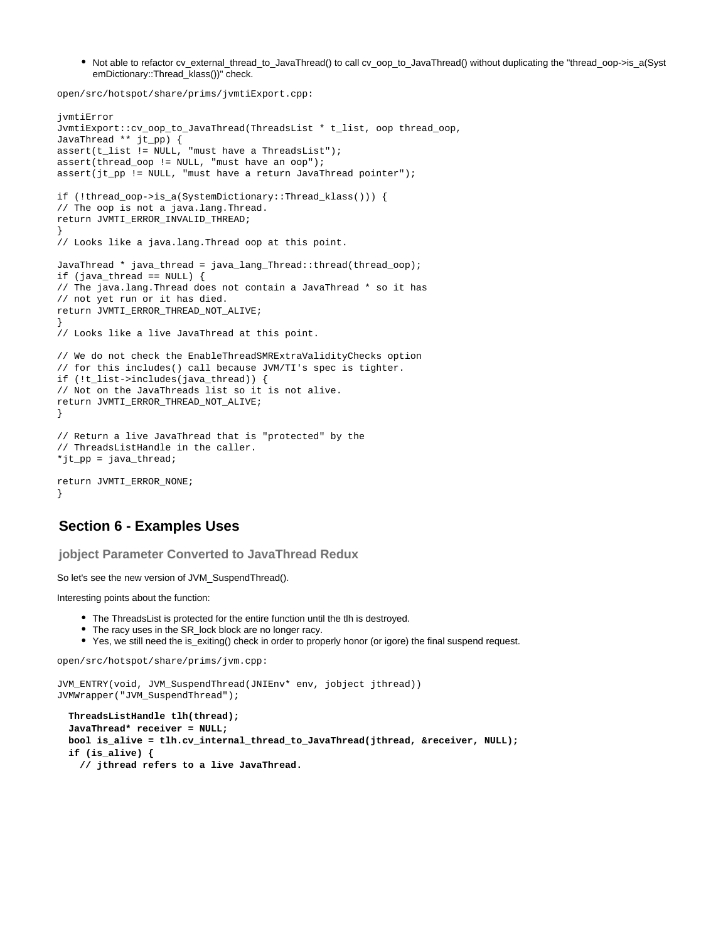• Not able to refactor cv\_external\_thread\_to\_JavaThread() to call cv\_oop\_to\_JavaThread() without duplicating the "thread\_oop->is\_a(Syst emDictionary::Thread\_klass())" check.

open/src/hotspot/share/prims/jvmtiExport.cpp:

```
jvmtiError
JvmtiExport::cv_oop_to_JavaThread(ThreadsList * t_list, oop thread_oop,
JavaThread ** jt_pp) {
assert(t_list := NULL, "must have a ThreadsList");
assert(thread_oop != NULL, "must have an oop");
assert(jt_pp != NULL, "must have a return JavaThread pointer");
if (!thread_oop->is_a(SystemDictionary::Thread_klass())) {
// The oop is not a java.lang.Thread.
return JVMTI_ERROR_INVALID_THREAD;
}
// Looks like a java.lang.Thread oop at this point.
JavaThread * java_thread = java_lang_Thread::thread(thread_oop);
if (java_thread == NULL) {
// The java.lang.Thread does not contain a JavaThread * so it has
// not yet run or it has died.
return JVMTI_ERROR_THREAD_NOT_ALIVE;
}
// Looks like a live JavaThread at this point.
// We do not check the EnableThreadSMRExtraValidityChecks option
// for this includes() call because JVM/TI's spec is tighter.
if (!t_list->includes(java_thread)) {
// Not on the JavaThreads list so it is not alive.
return JVMTI_ERROR_THREAD_NOT_ALIVE;
}
// Return a live JavaThread that is "protected" by the
// ThreadsListHandle in the caller.
*jt_pp = java_thread; 
return JVMTI_ERROR_NONE;
}
```
## <span id="page-18-0"></span>**Section 6 - Examples Uses**

<span id="page-18-1"></span>**jobject Parameter Converted to JavaThread Redux**

So let's see the new version of JVM\_SuspendThread().

Interesting points about the function:

- The ThreadsList is protected for the entire function until the tlh is destroyed.
- The racy uses in the SR\_lock block are no longer racy.
- Yes, we still need the is\_exiting() check in order to properly honor (or igore) the final suspend request.

open/src/hotspot/share/prims/jvm.cpp:

```
JVM_ENTRY(void, JVM_SuspendThread(JNIEnv* env, jobject jthread))
JVMWrapper("JVM_SuspendThread");
```

```
 ThreadsListHandle tlh(thread);
 JavaThread* receiver = NULL;
 bool is_alive = tlh.cv_internal_thread_to_JavaThread(jthread, &receiver, NULL);
 if (is_alive) {
   // jthread refers to a live JavaThread.
```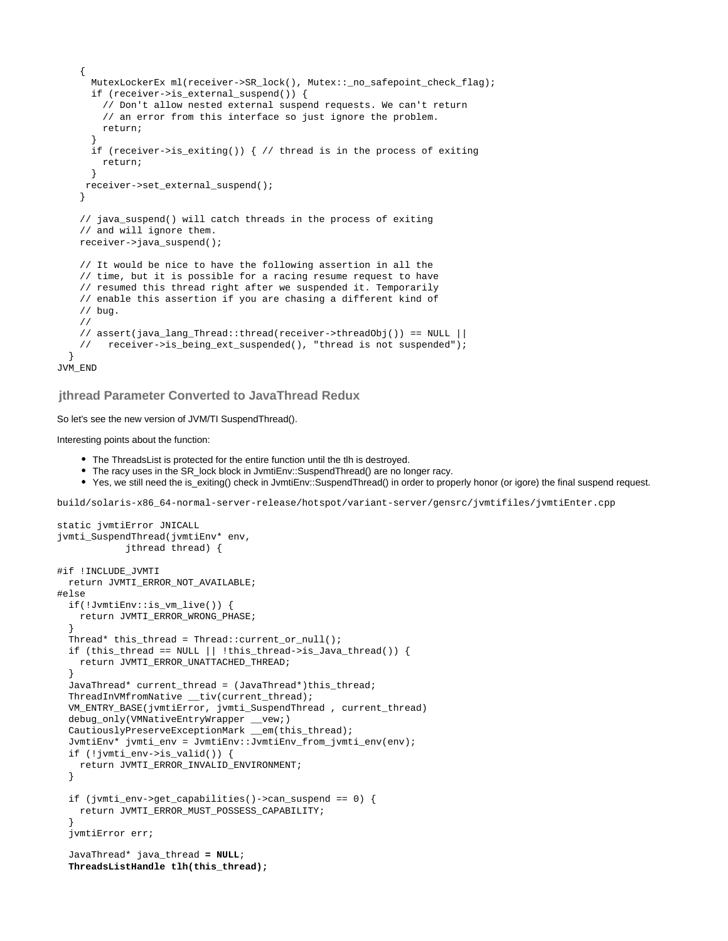```
 {
       MutexLockerEx ml(receiver->SR_lock(), Mutex::_no_safepoint_check_flag);
       if (receiver->is_external_suspend()) {
         // Don't allow nested external suspend requests. We can't return
         // an error from this interface so just ignore the problem.
        return;
 }
       if (receiver->is_exiting()) { // thread is in the process of exiting
        return;
       }
      receiver->set_external_suspend();
     }
     // java_suspend() will catch threads in the process of exiting
     // and will ignore them.
     receiver->java_suspend();
     // It would be nice to have the following assertion in all the
     // time, but it is possible for a racing resume request to have
     // resumed this thread right after we suspended it. Temporarily
     // enable this assertion if you are chasing a different kind of
     // bug.
     //
     // assert(java_lang_Thread::thread(receiver->threadObj()) == NULL ||
     // receiver->is_being_ext_suspended(), "thread is not suspended");
 }
JVM_END
```
<span id="page-19-0"></span>**jthread Parameter Converted to JavaThread Redux**

So let's see the new version of JVM/TI SuspendThread().

Interesting points about the function:

- The ThreadsList is protected for the entire function until the tlh is destroyed.
- The racy uses in the SR\_lock block in JvmtiEnv::SuspendThread() are no longer racy.
- Yes, we still need the is\_exiting() check in JvmtiEnv::SuspendThread() in order to properly honor (or igore) the final suspend request.

build/solaris-x86\_64-normal-server-release/hotspot/variant-server/gensrc/jvmtifiles/jvmtiEnter.cpp

```
static jvmtiError JNICALL
jvmti_SuspendThread(jvmtiEnv* env,
             jthread thread) {
#if !INCLUDE_JVMTI
   return JVMTI_ERROR_NOT_AVAILABLE;
#else
   if(!JvmtiEnv::is_vm_live()) {
     return JVMTI_ERROR_WRONG_PHASE;
 }
   Thread* this_thread = Thread::current_or_null();
  if (this_thread == NULL || !this_thread->is_Java_thread()) {
    return JVMTI_ERROR_UNATTACHED_THREAD;
 }
   JavaThread* current_thread = (JavaThread*)this_thread;
   ThreadInVMfromNative __tiv(current_thread);
   VM_ENTRY_BASE(jvmtiError, jvmti_SuspendThread , current_thread)
   debug_only(VMNativeEntryWrapper __vew;)
   CautiouslyPreserveExceptionMark __em(this_thread);
   JvmtiEnv* jvmti_env = JvmtiEnv::JvmtiEnv_from_jvmti_env(env);
   if (!jvmti_env->is_valid()) {
    return JVMTI_ERROR_INVALID_ENVIRONMENT;
   }
   if (jvmti_env->get_capabilities()->can_suspend == 0) {
     return JVMTI_ERROR_MUST_POSSESS_CAPABILITY;
 }
   jvmtiError err;
   JavaThread* java_thread = NULL;
   ThreadsListHandle tlh(this_thread);
```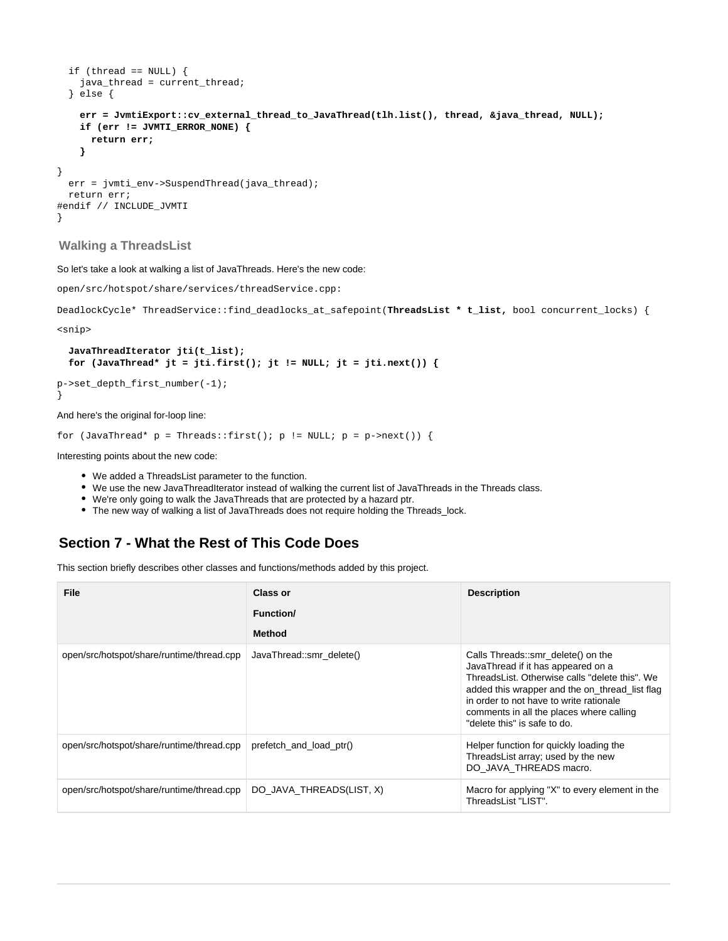```
if (thread == NULL) {
    java_thread = current_thread;
  } else {
    err = JvmtiExport::cv_external_thread_to_JavaThread(tlh.list(), thread, &java_thread, NULL);
    if (err != JVMTI_ERROR_NONE) {
      return err;
    }
}
  err = jvmti_env->SuspendThread(java_thread);
  return err;
#endif // INCLUDE_JVMTI
}
```
## <span id="page-20-0"></span>**Walking a ThreadsList**

So let's take a look at walking a list of JavaThreads. Here's the new code:

```
open/src/hotspot/share/services/threadService.cpp:
```

```
DeadlockCycle* ThreadService::find_deadlocks_at_safepoint(ThreadsList * t_list, bool concurrent_locks) {
```
<snip>

```
 JavaThreadIterator jti(t_list);
for (JavaThread* jt = jti.first(); jt != NULL; jt = jti.next()) \{
```
p->set\_depth\_first\_number(-1); }

And here's the original for-loop line:

```
for (JavaThread* p = Threads::first(); p != NULL; p = p->next()) {
```
Interesting points about the new code:

- We added a ThreadsList parameter to the function.
- We use the new JavaThreadIterator instead of walking the current list of JavaThreads in the Threads class.
- We're only going to walk the JavaThreads that are protected by a hazard ptr.
- The new way of walking a list of JavaThreads does not require holding the Threads\_lock.

# <span id="page-20-1"></span>**Section 7 - What the Rest of This Code Does**

This section briefly describes other classes and functions/methods added by this project.

| File                                      | <b>Class or</b>          | <b>Description</b>                                                                                                                                                                                                                                                                                  |
|-------------------------------------------|--------------------------|-----------------------------------------------------------------------------------------------------------------------------------------------------------------------------------------------------------------------------------------------------------------------------------------------------|
|                                           | <b>Function/</b>         |                                                                                                                                                                                                                                                                                                     |
|                                           | Method                   |                                                                                                                                                                                                                                                                                                     |
| open/src/hotspot/share/runtime/thread.cpp | JavaThread::smr delete() | Calls Threads::smr_delete() on the<br>JavaThread if it has appeared on a<br>ThreadsList. Otherwise calls "delete this". We<br>added this wrapper and the on_thread_list flag<br>in order to not have to write rationale<br>comments in all the places where calling<br>"delete this" is safe to do. |
| open/src/hotspot/share/runtime/thread.cpp | prefetch and load ptr()  | Helper function for quickly loading the<br>ThreadsList array; used by the new<br>DO JAVA THREADS macro.                                                                                                                                                                                             |
| open/src/hotspot/share/runtime/thread.cpp | DO JAVA THREADS(LIST, X) | Macro for applying "X" to every element in the<br>ThreadsList "LIST".                                                                                                                                                                                                                               |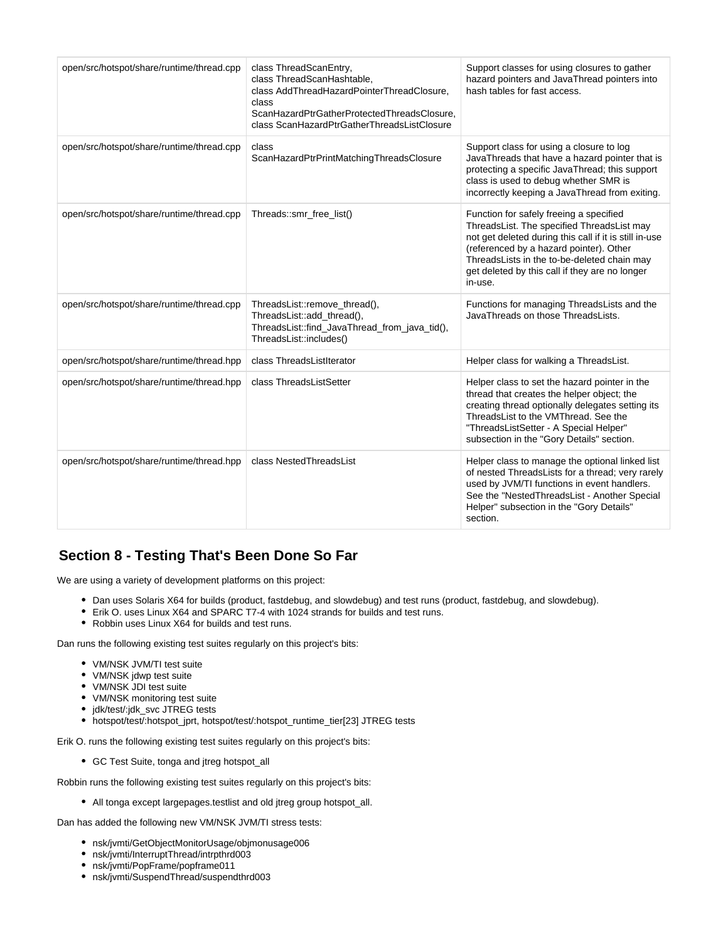| open/src/hotspot/share/runtime/thread.cpp | class ThreadScanEntry,<br>class ThreadScanHashtable.<br>class AddThreadHazardPointerThreadClosure,<br>class<br>ScanHazardPtrGatherProtectedThreadsClosure,<br>class ScanHazardPtrGatherThreadsListClosure | Support classes for using closures to gather<br>hazard pointers and JavaThread pointers into<br>hash tables for fast access.                                                                                                                                                                           |
|-------------------------------------------|-----------------------------------------------------------------------------------------------------------------------------------------------------------------------------------------------------------|--------------------------------------------------------------------------------------------------------------------------------------------------------------------------------------------------------------------------------------------------------------------------------------------------------|
| open/src/hotspot/share/runtime/thread.cpp | class<br>ScanHazardPtrPrintMatchingThreadsClosure                                                                                                                                                         | Support class for using a closure to log<br>JavaThreads that have a hazard pointer that is<br>protecting a specific JavaThread; this support<br>class is used to debug whether SMR is<br>incorrectly keeping a JavaThread from exiting.                                                                |
| open/src/hotspot/share/runtime/thread.cpp | Threads::smr_free_list()                                                                                                                                                                                  | Function for safely freeing a specified<br>ThreadsList. The specified ThreadsList may<br>not get deleted during this call if it is still in-use<br>(referenced by a hazard pointer). Other<br>ThreadsLists in the to-be-deleted chain may<br>get deleted by this call if they are no longer<br>in-use. |
| open/src/hotspot/share/runtime/thread.cpp | ThreadsList::remove_thread(),<br>ThreadsList::add_thread(),<br>ThreadsList::find_JavaThread_from_java_tid(),<br>ThreadsList::includes()                                                                   | Functions for managing ThreadsLists and the<br>JavaThreads on those ThreadsLists.                                                                                                                                                                                                                      |
| open/src/hotspot/share/runtime/thread.hpp | class ThreadsListIterator                                                                                                                                                                                 | Helper class for walking a ThreadsList.                                                                                                                                                                                                                                                                |
| open/src/hotspot/share/runtime/thread.hpp | class ThreadsListSetter                                                                                                                                                                                   | Helper class to set the hazard pointer in the<br>thread that creates the helper object; the<br>creating thread optionally delegates setting its<br>ThreadsList to the VMThread. See the<br>"ThreadsListSetter - A Special Helper"<br>subsection in the "Gory Details" section.                         |
| open/src/hotspot/share/runtime/thread.hpp | class NestedThreadsList                                                                                                                                                                                   | Helper class to manage the optional linked list<br>of nested ThreadsLists for a thread; very rarely<br>used by JVM/TI functions in event handlers.<br>See the "NestedThreadsList - Another Special<br>Helper" subsection in the "Gory Details"<br>section.                                             |

# <span id="page-21-0"></span>**Section 8 - Testing That's Been Done So Far**

We are using a variety of development platforms on this project:

- Dan uses Solaris X64 for builds (product, fastdebug, and slowdebug) and test runs (product, fastdebug, and slowdebug).
- Erik O. uses Linux X64 and SPARC T7-4 with 1024 strands for builds and test runs.
- Robbin uses Linux X64 for builds and test runs.

Dan runs the following existing test suites regularly on this project's bits:

- VM/NSK JVM/TI test suite
- VM/NSK jdwp test suite
- VM/NSK JDI test suite
- VM/NSK monitoring test suite
- jdk/test/:jdk\_svc JTREG tests
- hotspot/test/:hotspot\_jprt, hotspot/test/:hotspot\_runtime\_tier[23] JTREG tests

Erik O. runs the following existing test suites regularly on this project's bits:

GC Test Suite, tonga and jtreg hotspot\_all

Robbin runs the following existing test suites regularly on this project's bits:

All tonga except largepages.testlist and old jtreg group hotspot\_all.

Dan has added the following new VM/NSK JVM/TI stress tests:

- nsk/jvmti/GetObjectMonitorUsage/objmonusage006
- nsk/jvmti/InterruptThread/intrpthrd003
- nsk/jvmti/PopFrame/popframe011
- nsk/jvmti/SuspendThread/suspendthrd003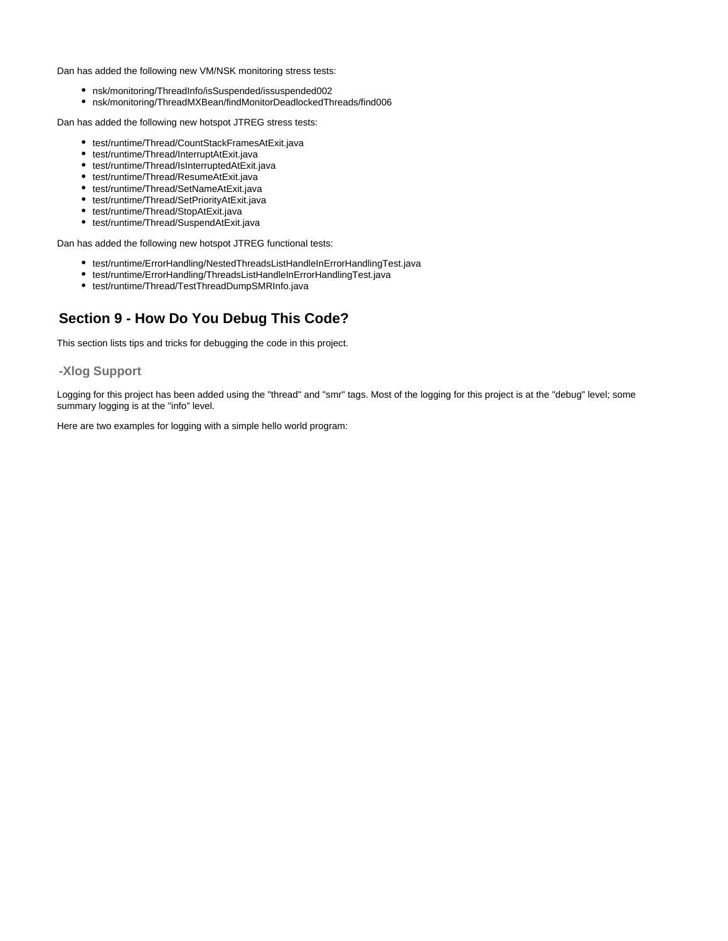Dan has added the following new VM/NSK monitoring stress tests:

- nsk/monitoring/ThreadInfo/isSuspended/issuspended002
- nsk/monitoring/ThreadMXBean/findMonitorDeadlockedThreads/find006

Dan has added the following new hotspot JTREG stress tests:

- test/runtime/Thread/CountStackFramesAtExit.java
- test/runtime/Thread/InterruptAtExit.java
- test/runtime/Thread/IsInterruptedAtExit.java
- test/runtime/Thread/ResumeAtExit.java
- test/runtime/Thread/SetNameAtExit.java
- test/runtime/Thread/SetPriorityAtExit.java
- test/runtime/Thread/StopAtExit.java
- test/runtime/Thread/SuspendAtExit.java

Dan has added the following new hotspot JTREG functional tests:

- test/runtime/ErrorHandling/NestedThreadsListHandleInErrorHandlingTest.java
- test/runtime/ErrorHandling/ThreadsListHandleInErrorHandlingTest.java
- test/runtime/Thread/TestThreadDumpSMRInfo.java

# <span id="page-22-0"></span>**Section 9 - How Do You Debug This Code?**

This section lists tips and tricks for debugging the code in this project.

## <span id="page-22-1"></span>**-Xlog Support**

Logging for this project has been added using the "thread" and "smr" tags. Most of the logging for this project is at the "debug" level; some summary logging is at the "info" level.

Here are two examples for logging with a simple hello world program: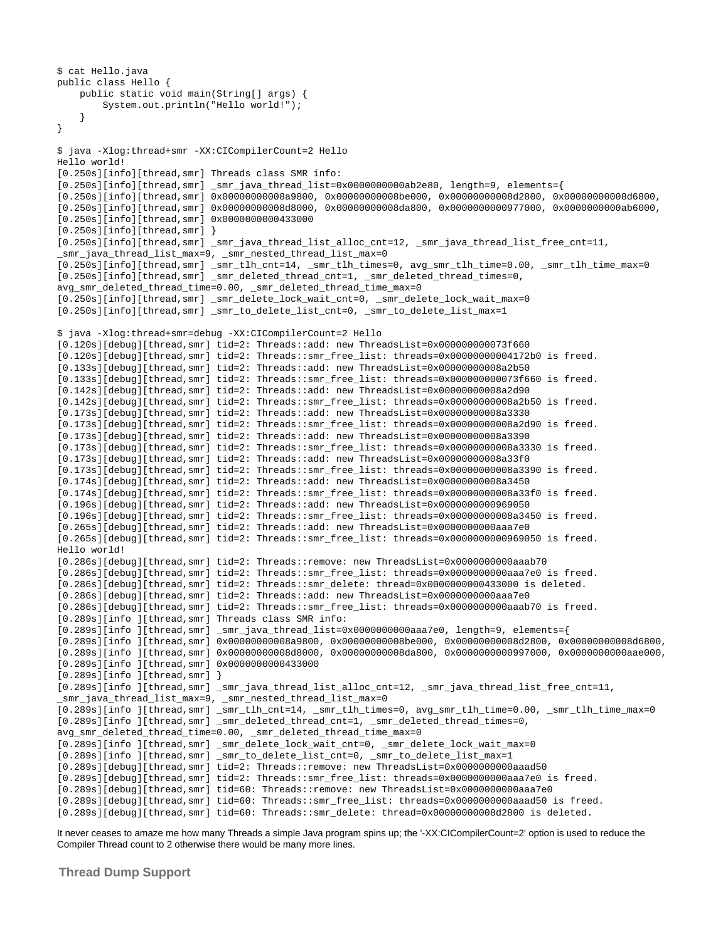```
$ cat Hello.java
public class Hello {
     public static void main(String[] args) {
         System.out.println("Hello world!");
     }
}
$ java -Xlog:thread+smr -XX:CICompilerCount=2 Hello
Hello world!
[0.250s][info][thread,smr] Threads class SMR info:
[0.250s][\text{info}][\text{thread},\text{smr}] smr java thread \text{list=0x000000000ab2e80}, length=9, elements={
[0.250s][info][thread,smr] 0x00000000008a9800, 0x00000000008be000, 0x00000000008d2800, 0x00000000008d6800,
[0.250s][info][thread,smr] 0x00000000008d8000, 0x00000000008da800, 0x0000000000977000, 0x0000000000ab6000,
[0.250s][info][thread,smr] 0x0000000000433000
[0.250s][info][thread,smr][0.250s][info][thread,smr] _smr_java_thread_list_alloc_cnt=12, _smr_java_thread_list_free_cnt=11,
_smr_java_thread_list_max=9, _smr_nested_thread_list_max=0
[0.250s][info][thread,smr] _smr_tlh_cnt=14, _smr_tlh_times=0, avg_smr_tlh_time=0.00, _smr_tlh_time_max=0
[0.250s][info][thread,smr] _smr_deleted_thread_cnt=1, _smr_deleted_thread_times=0,
avg_smr_deleted_thread_time=0.00, _smr_deleted_thread_time_max=0
[0.250s][info][thread,smr] _smr_delete_lock_wait_cnt=0, _smr_delete_lock_wait_max=0
[0.250s][info][thread,smr] _smr_to_delete_list_cnt=0, _smr_to_delete_list_max=1
$ java -Xlog:thread+smr=debug -XX:CICompilerCount=2 Hello
[0.120s][debug][thread,smr] tid=2: Threads::add: new ThreadsList=0x000000000073f660
[0.120s][debug][thread,smr] tid=2: Threads::smr_free_list: threads=0x00000000004172b0 is freed.
[0.133s][debug][thread,smr] tid=2: Threads::add: new ThreadsList=0x00000000008a2b50
[0.133s][debug][thread,smr] tid=2: Threads::smr_free_list: threads=0x000000000073f660 is freed.
[0.142s][debug][thread,smr] tid=2: Threads::add: new ThreadsList=0x00000000008a2d90
[0.142s][debug][thread,smr] tid=2: Threads::smr_free_list: threads=0x00000000008a2b50 is freed.
[0.173s][debug][thread,smr] tid=2: Threads::add: new ThreadsList=0x00000000008a3330
[0.173s][debug][thread,smr] tid=2: Threads::smr_free_list: threads=0x00000000008a2d90 is freed.
[0.173s][debug][thread,smr] tid=2: Threads::add: new ThreadsList=0x00000000008a3390
[0.173s][debug][thread,smr] tid=2: Threads::smr_free_list: threads=0x00000000008a3330 is freed.
[0.173s][debug][thread,smr] tid=2: Threads::add: new ThreadsList=0x00000000008a33f0
[0.173s][debug][thread,smr] tid=2: Threads::smr_free_list: threads=0x00000000008a3390 is freed.
[0.174s][debug][thread,smr] tid=2: Threads::add: new ThreadsList=0x00000000008a3450
[0.174s][debug][thread,smr] tid=2: Threads::smr_free_list: threads=0x00000000008a33f0 is freed.
[0.196s][debug][thread,smr] tid=2: Threads::add: new ThreadsList=0x0000000000969050
[0.196s][debug][thread,smr] tid=2: Threads::smr_free_list: threads=0x00000000008a3450 is freed.
[0.265s][debug][thread,smr] tid=2: Threads::add: new ThreadsList=0x0000000000aaa7e0
[0.265s][debug][thread,smr] tid=2: Threads::smr_free_list: threads=0x0000000000969050 is freed.
Hello world!
[0.286s][debug][thread,smr] tid=2: Threads::remove: new ThreadsList=0x0000000000aaab70
[0.286s][debug][thread,smr] tid=2: Threads::smr_free_list: threads=0x0000000000aaa7e0 is freed.
[0.286s][debug][thread,smr] tid=2: Threads::smr_delete: thread=0x0000000000433000 is deleted.
[0.286s][debug][thread,smr] tid=2: Threads::add: new ThreadsList=0x0000000000aaa7e0
[0.286s][debug][thread,smr] tid=2: Threads::smr_free_list: threads=0x0000000000aaab70 is freed.
[0.289s][info ][thread,smr] Threads class SMR info:
[0.289s][info ][thread,smr] _smr_java_thread_list=0x0000000000aaa7e0, length=9, elements={
[0.289s][info ][thread,smr] 0x00000000008a9800, 0x00000000008be000, 0x00000000008d2800, 0x00000000008d6800,
[0.289s][info ][thread,smr] 0x00000000008d8000, 0x00000000008da800, 0x0000000000997000, 0x0000000000aae000,
[0.289s][info ][thread,smr] 0x0000000000433000
[0.289s][info ][thread,smr] }
[0.289s][info ][thread,smr] _smr_java_thread_list_alloc_cnt=12, _smr_java_thread_list_free_cnt=11,
_smr_java_thread_list_max=9, _smr_nested_thread_list_max=0
[0.289s][info ][thread,smr] _smr_tlh_cnt=14, _smr_tlh_times=0, avg_smr_tlh_time=0.00, _smr_tlh_time_max=0
[0.289s][info ][thread,smr] _smr_deleted_thread_cnt=1, _smr_deleted_thread_times=0,
avg_smr_deleted_thread_time=0.00, _smr_deleted_thread_time_max=0
[0.289s][info ][thread,smr] _smr_delete_lock_wait_cnt=0, _smr_delete_lock_wait_max=0
[0.289s][info ][thread,smr] _smr_to_delete_list_cnt=0, _smr_to_delete_list_max=1
[0.289s][debug][thread,smr] tid=2: Threads::remove: new ThreadsList=0x0000000000aaad50
[0.289s][debug][thread,smr] tid=2: Threads::smr_free_list: threads=0x0000000000aaa7e0 is freed.
[0.289s][debug][thread,smr] tid=60: Threads::remove: new ThreadsList=0x0000000000aaa7e0
[0.289s][debug][thread,smr] tid=60: Threads::smr_free_list: threads=0x0000000000aaad50 is freed.
[0.289s][debug][thread,smr] tid=60: Threads::smr_delete: thread=0x00000000008d2800 is deleted.
```
It never ceases to amaze me how many Threads a simple Java program spins up; the '-XX:CICompilerCount=2' option is used to reduce the Compiler Thread count to 2 otherwise there would be many more lines.

<span id="page-23-0"></span>**Thread Dump Support**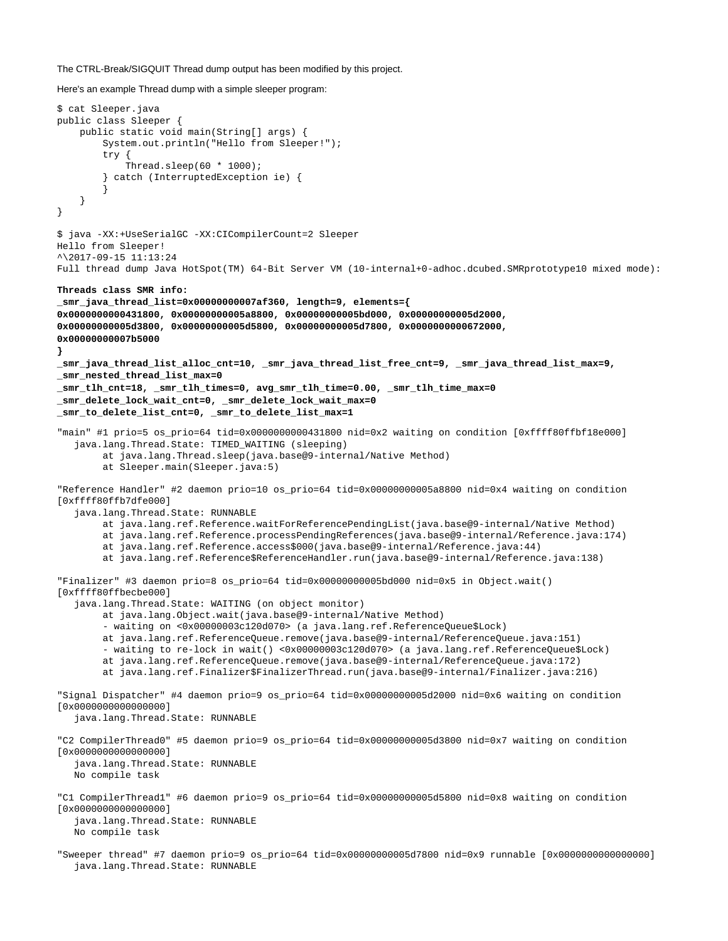The CTRL-Break/SIGQUIT Thread dump output has been modified by this project.

Here's an example Thread dump with a simple sleeper program:

java.lang.Thread.State: RUNNABLE

```
$ cat Sleeper.java
public class Sleeper {
     public static void main(String[] args) {
         System.out.println("Hello from Sleeper!");
         try {
            Thread.sleep(60 * 1000);
         } catch (InterruptedException ie) {
         }
     }
}
$ java -XX:+UseSerialGC -XX:CICompilerCount=2 Sleeper
Hello from Sleeper!
^\2017-09-15 11:13:24
Full thread dump Java HotSpot(TM) 64-Bit Server VM (10-internal+0-adhoc.dcubed.SMRprototype10 mixed mode):
Threads class SMR info:
_smr_java_thread_list=0x00000000007af360, length=9, elements={
0x0000000000431800, 0x00000000005a8800, 0x00000000005bd000, 0x00000000005d2000,
0x00000000005d3800, 0x00000000005d5800, 0x00000000005d7800, 0x0000000000672000,
0x00000000007b5000
}
_smr_java_thread_list_alloc_cnt=10, _smr_java_thread_list_free_cnt=9, _smr_java_thread_list_max=9,
_smr_nested_thread_list_max=0
_smr_tlh_cnt=18, _smr_tlh_times=0, avg_smr_tlh_time=0.00, _smr_tlh_time_max=0
_smr_delete_lock_wait_cnt=0, _smr_delete_lock_wait_max=0
_smr_to_delete_list_cnt=0, _smr_to_delete_list_max=1
"main" #1 prio=5 os_prio=64 tid=0x0000000000431800 nid=0x2 waiting on condition [0xffff80ffbf18e000]
    java.lang.Thread.State: TIMED_WAITING (sleeping)
         at java.lang.Thread.sleep(java.base@9-internal/Native Method)
         at Sleeper.main(Sleeper.java:5)
"Reference Handler" #2 daemon prio=10 os_prio=64 tid=0x00000000005a8800 nid=0x4 waiting on condition
[0xffff80ffb7dfe000]
    java.lang.Thread.State: RUNNABLE
         at java.lang.ref.Reference.waitForReferencePendingList(java.base@9-internal/Native Method)
         at java.lang.ref.Reference.processPendingReferences(java.base@9-internal/Reference.java:174)
         at java.lang.ref.Reference.access$000(java.base@9-internal/Reference.java:44)
         at java.lang.ref.Reference$ReferenceHandler.run(java.base@9-internal/Reference.java:138)
"Finalizer" #3 daemon prio=8 os_prio=64 tid=0x00000000005bd000 nid=0x5 in Object.wait()
[0xffff80ffbecbe000]
    java.lang.Thread.State: WAITING (on object monitor)
         at java.lang.Object.wait(java.base@9-internal/Native Method)
          - waiting on <0x00000003c120d070> (a java.lang.ref.ReferenceQueue$Lock)
         at java.lang.ref.ReferenceQueue.remove(java.base@9-internal/ReferenceQueue.java:151)
         - waiting to re-lock in wait() <0x00000003c120d070> (a java.lang.ref.ReferenceQueue$Lock)
         at java.lang.ref.ReferenceQueue.remove(java.base@9-internal/ReferenceQueue.java:172)
         at java.lang.ref.Finalizer$FinalizerThread.run(java.base@9-internal/Finalizer.java:216)
"Signal Dispatcher" #4 daemon prio=9 os_prio=64 tid=0x00000000005d2000 nid=0x6 waiting on condition
[0x0000000000000000]
    java.lang.Thread.State: RUNNABLE
"C2 CompilerThread0" #5 daemon prio=9 os_prio=64 tid=0x00000000005d3800 nid=0x7 waiting on condition
[0x0000000000000000]
    java.lang.Thread.State: RUNNABLE
    No compile task
"C1 CompilerThread1" #6 daemon prio=9 os_prio=64 tid=0x00000000005d5800 nid=0x8 waiting on condition
[0x0000000000000000]
    java.lang.Thread.State: RUNNABLE
    No compile task
"Sweeper thread" #7 daemon prio=9 os_prio=64 tid=0x00000000005d7800 nid=0x9 runnable [0x0000000000000000]
```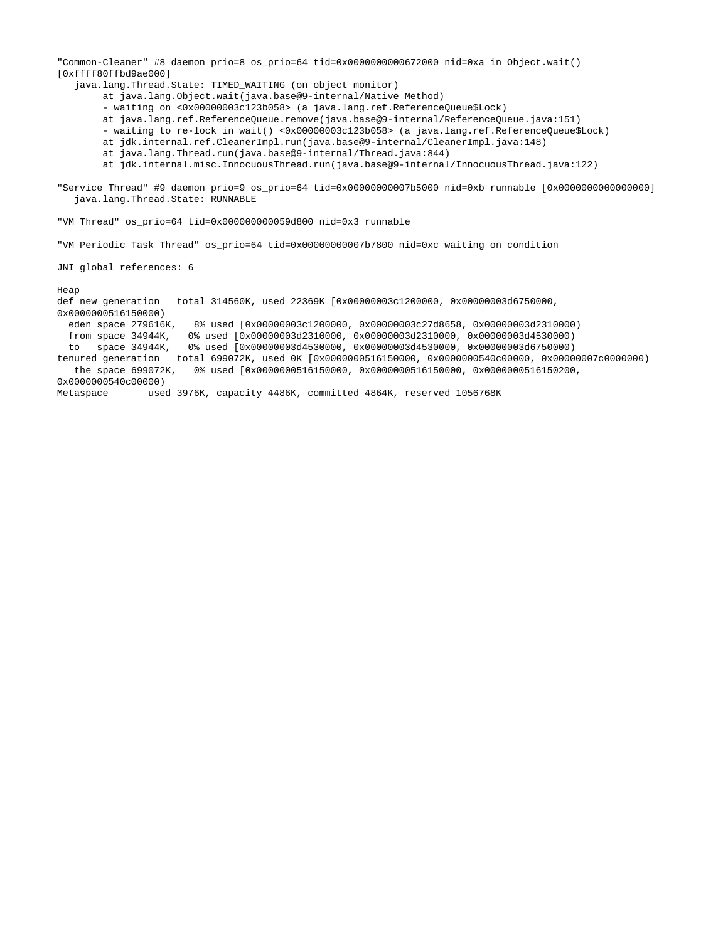"Common-Cleaner" #8 daemon prio=8 os\_prio=64 tid=0x0000000000672000 nid=0xa in Object.wait() [0xffff80ffbd9ae000] java.lang.Thread.State: TIMED\_WAITING (on object monitor) at java.lang.Object.wait(java.base@9-internal/Native Method) - waiting on <0x00000003c123b058> (a java.lang.ref.ReferenceQueue\$Lock) at java.lang.ref.ReferenceQueue.remove(java.base@9-internal/ReferenceQueue.java:151) - waiting to re-lock in wait() <0x00000003c123b058> (a java.lang.ref.ReferenceQueue\$Lock) at jdk.internal.ref.CleanerImpl.run(java.base@9-internal/CleanerImpl.java:148) at java.lang.Thread.run(java.base@9-internal/Thread.java:844) at jdk.internal.misc.InnocuousThread.run(java.base@9-internal/InnocuousThread.java:122) "Service Thread" #9 daemon prio=9 os\_prio=64 tid=0x00000000007b5000 nid=0xb runnable [0x0000000000000000] java.lang.Thread.State: RUNNABLE "VM Thread" os\_prio=64 tid=0x000000000059d800 nid=0x3 runnable "VM Periodic Task Thread" os\_prio=64 tid=0x00000000007b7800 nid=0xc waiting on condition JNI global references: 6 Heap def new generation total 314560K, used 22369K [0x00000003c1200000, 0x00000003d6750000, 0x0000000516150000) eden space 279616K, 8% used [0x00000003c1200000, 0x00000003c27d8658, 0x00000003d2310000) from space 34944K, 0% used [0x00000003d2310000, 0x00000003d2310000, 0x00000003d4530000) to space 34944K, 0% used [0x00000003d4530000, 0x00000003d4530000, 0x00000003d6750000) tenured generation total 699072K, used 0K [0x0000000516150000, 0x0000000540c00000, 0x00000007c0000000) the space 699072K, 0% used [0x0000000516150000, 0x0000000516150000, 0x0000000516150200, 0x0000000540c00000) Metaspace used 3976K, capacity 4486K, committed 4864K, reserved 1056768K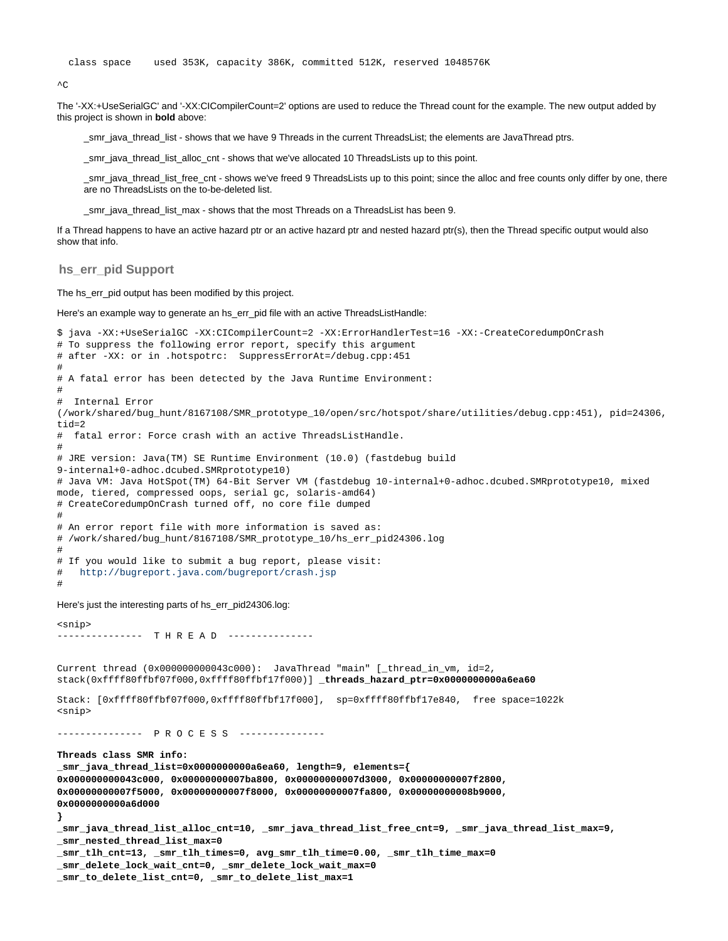```
\overline{C}
```
The '-XX:+UseSerialGC' and '-XX:CICompilerCount=2' options are used to reduce the Thread count for the example. The new output added by this project is shown in **bold** above:

\_smr\_java\_thread\_list - shows that we have 9 Threads in the current ThreadsList; the elements are JavaThread ptrs.

\_smr\_java\_thread\_list\_alloc\_cnt - shows that we've allocated 10 ThreadsLists up to this point.

\_smr\_java\_thread\_list\_free\_cnt - shows we've freed 9 ThreadsLists up to this point; since the alloc and free counts only differ by one, there are no ThreadsLists on the to-be-deleted list.

smr\_java\_thread\_list\_max - shows that the most Threads on a ThreadsList has been 9.

If a Thread happens to have an active hazard ptr or an active hazard ptr and nested hazard ptr(s), then the Thread specific output would also show that info.

<span id="page-26-0"></span>**hs\_err\_pid Support**

The hs\_err\_pid output has been modified by this project.

Here's an example way to generate an hs\_err\_pid file with an active ThreadsListHandle:

```
$ java -XX:+UseSerialGC -XX:CICompilerCount=2 -XX:ErrorHandlerTest=16 -XX:-CreateCoredumpOnCrash
# To suppress the following error report, specify this argument
# after -XX: or in .hotspotrc: SuppressErrorAt=/debug.cpp:451
#
# A fatal error has been detected by the Java Runtime Environment:
#
# Internal Error
(/work/shared/bug_hunt/8167108/SMR_prototype_10/open/src/hotspot/share/utilities/debug.cpp:451), pid=24306,
tid=2
# fatal error: Force crash with an active ThreadsListHandle.
#
# JRE version: Java(TM) SE Runtime Environment (10.0) (fastdebug build
9-internal+0-adhoc.dcubed.SMRprototype10)
# Java VM: Java HotSpot(TM) 64-Bit Server VM (fastdebug 10-internal+0-adhoc.dcubed.SMRprototype10, mixed
mode, tiered, compressed oops, serial gc, solaris-amd64)
# CreateCoredumpOnCrash turned off, no core file dumped
#
# An error report file with more information is saved as:
# /work/shared/bug_hunt/8167108/SMR_prototype_10/hs_err_pid24306.log
#
# If you would like to submit a bug report, please visit:
# http://bugreport.java.com/bugreport/crash.jsp
#
Here's just the interesting parts of hs_err_pid24306.log:
<snip>
-------------- T H R E A D ---------------
Current thread (0x000000000043c000): JavaThread "main" [_thread_in_vm, id=2,
stack(0xffff80ffbf07f000,0xffff80ffbf17f000)] _threads_hazard_ptr=0x0000000000a6ea60
Stack: [0xffff80ffbf07f000,0xffff80ffbf17f000], sp=0xffff80ffbf17e840, free space=1022k
<snip>
--------------- P R O C E S S ---------------
Threads class SMR info:
```

```
_smr_java_thread_list=0x0000000000a6ea60, length=9, elements={
0x000000000043c000, 0x00000000007ba800, 0x00000000007d3000, 0x00000000007f2800,
0x00000000007f5000, 0x00000000007f8000, 0x00000000007fa800, 0x00000000008b9000,
0x0000000000a6d000
}
_smr_java_thread_list_alloc_cnt=10, _smr_java_thread_list_free_cnt=9, _smr_java_thread_list_max=9,
_smr_nested_thread_list_max=0
_smr_tlh_cnt=13, _smr_tlh_times=0, avg_smr_tlh_time=0.00, _smr_tlh_time_max=0
_smr_delete_lock_wait_cnt=0, _smr_delete_lock_wait_max=0
_smr_to_delete_list_cnt=0, _smr_to_delete_list_max=1
```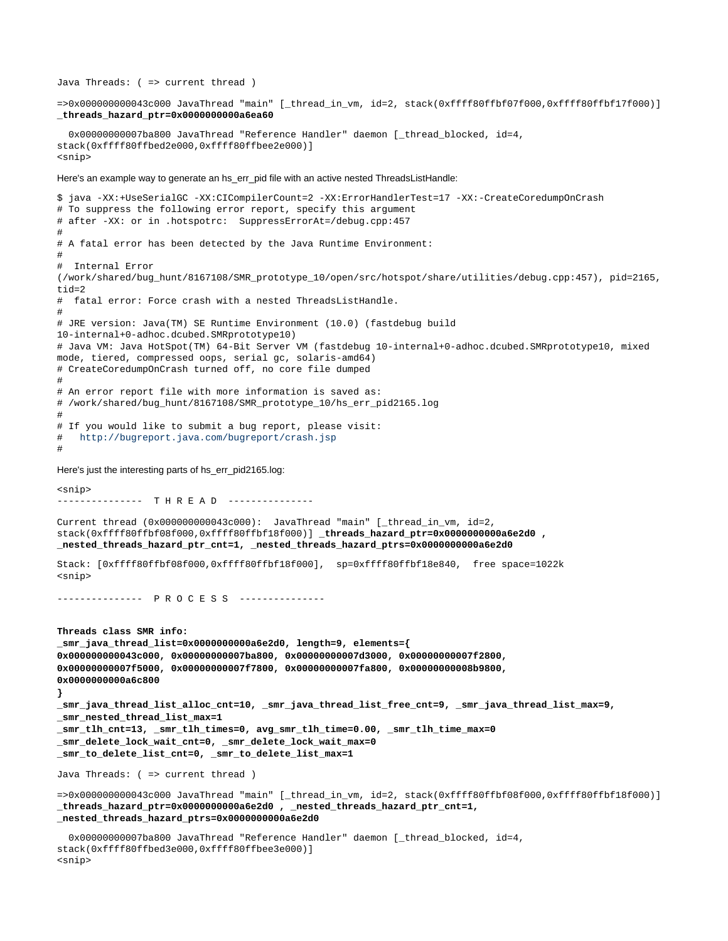Java Threads: ( => current thread ) =>0x000000000043c000 JavaThread "main" [\_thread\_in\_vm, id=2, stack(0xffff80ffbf07f000,0xffff80ffbf17f000)] **\_threads\_hazard\_ptr=0x0000000000a6ea60** 0x00000000007ba800 JavaThread "Reference Handler" daemon [\_thread\_blocked, id=4, stack(0xffff80ffbed2e000,0xffff80ffbee2e000)] <snip> Here's an example way to generate an hs\_err\_pid file with an active nested ThreadsListHandle: \$ java -XX:+UseSerialGC -XX:CICompilerCount=2 -XX:ErrorHandlerTest=17 -XX:-CreateCoredumpOnCrash # To suppress the following error report, specify this argument # after -XX: or in .hotspotrc: SuppressErrorAt=/debug.cpp:457 # # A fatal error has been detected by the Java Runtime Environment: # Internal Error (/work/shared/bug\_hunt/8167108/SMR\_prototype\_10/open/src/hotspot/share/utilities/debug.cpp:457), pid=2165, tid=2 # fatal error: Force crash with a nested ThreadsListHandle. # # JRE version: Java(TM) SE Runtime Environment (10.0) (fastdebug build 10-internal+0-adhoc.dcubed.SMRprototype10) # Java VM: Java HotSpot(TM) 64-Bit Server VM (fastdebug 10-internal+0-adhoc.dcubed.SMRprototype10, mixed mode, tiered, compressed oops, serial gc, solaris-amd64) # CreateCoredumpOnCrash turned off, no core file dumped # # An error report file with more information is saved as: # /work/shared/bug\_hunt/8167108/SMR\_prototype\_10/hs\_err\_pid2165.log # # If you would like to submit a bug report, please visit: # <http://bugreport.java.com/bugreport/crash.jsp> # Here's just the interesting parts of hs\_err\_pid2165.log: <snip> -------------- T H R E A D ---------------Current thread (0x000000000043c000): JavaThread "main" [\_thread\_in\_vm, id=2, stack(0xffff80ffbf08f000,0xffff80ffbf18f000)] **\_threads\_hazard\_ptr=0x0000000000a6e2d0 , \_nested\_threads\_hazard\_ptr\_cnt=1, \_nested\_threads\_hazard\_ptrs=0x0000000000a6e2d0** Stack: [0xffff80ffbf08f000,0xffff80ffbf18f000], sp=0xffff80ffbf18e840, free space=1022k <snip> --------------- P R O C E S S --------------- **Threads class SMR info: \_smr\_java\_thread\_list=0x0000000000a6e2d0, length=9, elements={ 0x000000000043c000, 0x00000000007ba800, 0x00000000007d3000, 0x00000000007f2800, 0x00000000007f5000, 0x00000000007f7800, 0x00000000007fa800, 0x00000000008b9800, 0x0000000000a6c800 } \_smr\_java\_thread\_list\_alloc\_cnt=10, \_smr\_java\_thread\_list\_free\_cnt=9, \_smr\_java\_thread\_list\_max=9, \_smr\_nested\_thread\_list\_max=1 \_smr\_tlh\_cnt=13, \_smr\_tlh\_times=0, avg\_smr\_tlh\_time=0.00, \_smr\_tlh\_time\_max=0 \_smr\_delete\_lock\_wait\_cnt=0, \_smr\_delete\_lock\_wait\_max=0 \_smr\_to\_delete\_list\_cnt=0, \_smr\_to\_delete\_list\_max=1** Java Threads: ( => current thread ) =>0x000000000043c000 JavaThread "main" [\_thread\_in\_vm, id=2, stack(0xffff80ffbf08f000,0xffff80ffbf18f000)] **\_threads\_hazard\_ptr=0x0000000000a6e2d0 , \_nested\_threads\_hazard\_ptr\_cnt=1, \_nested\_threads\_hazard\_ptrs=0x0000000000a6e2d0** 0x00000000007ba800 JavaThread "Reference Handler" daemon [\_thread\_blocked, id=4, stack(0xffff80ffbed3e000,0xffff80ffbee3e000)] <snip>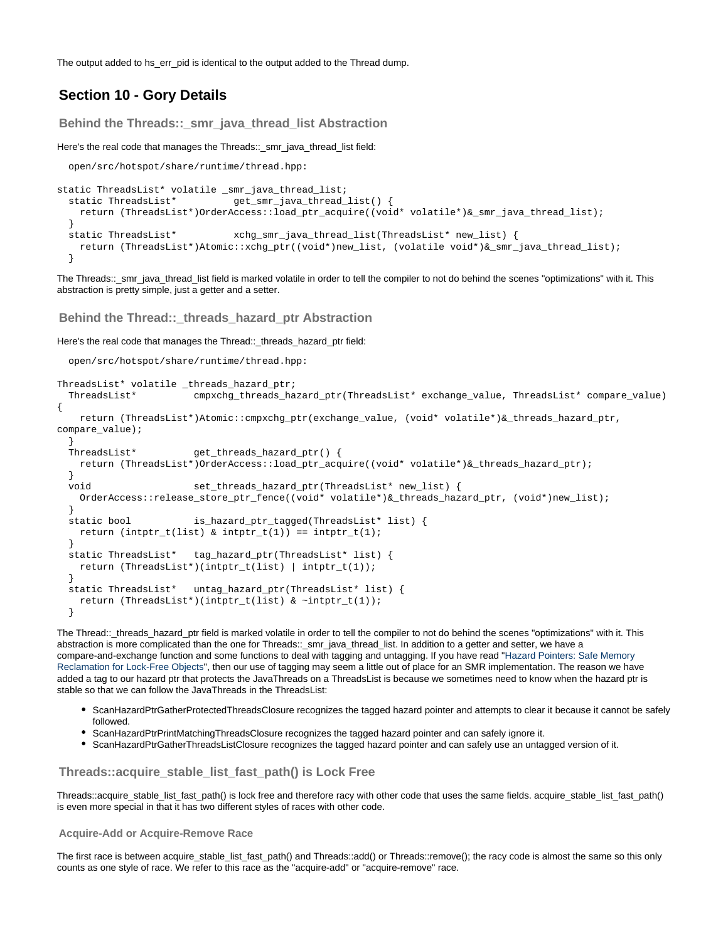The output added to hs\_err\_pid is identical to the output added to the Thread dump.

## <span id="page-28-0"></span>**Section 10 - Gory Details**

<span id="page-28-1"></span>**Behind the Threads::\_smr\_java\_thread\_list Abstraction**

Here's the real code that manages the Threads::\_smr\_java\_thread\_list field:

open/src/hotspot/share/runtime/thread.hpp:

```
static ThreadsList* volatile _smr_java_thread_list;
  static ThreadsList* get_smr_java_thread_list() {
    return (ThreadsList*)OrderAccess::load_ptr_acquire((void* volatile*)&_smr_java_thread_list);
 }
  static ThreadsList* xchg_smr_java_thread_list(ThreadsList* new_list) {
    return (ThreadsList*)Atomic::xchg_ptr((void*)new_list, (volatile void*)&_smr_java_thread_list);
   }
```
The Threads::\_smr\_java\_thread\_list field is marked volatile in order to tell the compiler to not do behind the scenes "optimizations" with it. This abstraction is pretty simple, just a getter and a setter.

<span id="page-28-2"></span>**Behind the Thread::\_threads\_hazard\_ptr Abstraction**

Here's the real code that manages the Thread::\_threads\_hazard\_ptr field:

open/src/hotspot/share/runtime/thread.hpp:

```
ThreadsList* volatile _threads_hazard_ptr;
 ThreadsList* cmpxchg_threads_hazard_ptr(ThreadsList* exchange_value, ThreadsList* compare_value)
{
    return (ThreadsList*)Atomic::cmpxchg_ptr(exchange_value, (void* volatile*)&_threads_hazard_ptr,
compare_value);
  }
  ThreadsList* get_threads_hazard_ptr() {
    return (ThreadsList*)OrderAccess::load_ptr_acquire((void* volatile*)&_threads_hazard_ptr);
 }
  void set_threads_hazard_ptr(ThreadsList* new_list) {
    OrderAccess::release_store_ptr_fence((void* volatile*)&_threads_hazard_ptr, (void*)new_list);
   }
 static bool is_hazard_ptr_tagged(ThreadsList* list) {
   return (intptr_t(list) & intptr_t(1)) == intptr_{1};
 }
  static ThreadsList* tag_hazard_ptr(ThreadsList* list) {
    return (ThreadsList*)(intptr_t(list) | intptr_t(1));
 }
  static ThreadsList* untag_hazard_ptr(ThreadsList* list) {
    return (ThreadsList*)(intptr_t(list) & ~intptr_t(1));
  }
```
The Thread::\_threads\_hazard\_ptr field is marked volatile in order to tell the compiler to not do behind the scenes "optimizations" with it. This abstraction is more complicated than the one for Threads::\_smr\_java\_thread\_list. In addition to a getter and setter, we have a compare-and-exchange function and some functions to deal with tagging and untagging. If you have read "[Hazard Pointers: Safe Memory](http://javaweb.us.oracle.com/%7Eddaugher/8167108/Hazard_Pointers_-_Safe_Memory_Reclamation_for_Lock-Free_Objects.pdf) [Reclamation for Lock-Free Objects](http://javaweb.us.oracle.com/%7Eddaugher/8167108/Hazard_Pointers_-_Safe_Memory_Reclamation_for_Lock-Free_Objects.pdf)", then our use of tagging may seem a little out of place for an SMR implementation. The reason we have added a tag to our hazard ptr that protects the JavaThreads on a ThreadsList is because we sometimes need to know when the hazard ptr is stable so that we can follow the JavaThreads in the ThreadsList:

- ScanHazardPtrGatherProtectedThreadsClosure recognizes the tagged hazard pointer and attempts to clear it because it cannot be safely followed.
- ScanHazardPtrPrintMatchingThreadsClosure recognizes the tagged hazard pointer and can safely ignore it.
- ScanHazardPtrGatherThreadsListClosure recognizes the tagged hazard pointer and can safely use an untagged version of it.

#### <span id="page-28-3"></span>**Threads::acquire\_stable\_list\_fast\_path() is Lock Free**

Threads::acquire\_stable\_list\_fast\_path() is lock free and therefore racy with other code that uses the same fields. acquire\_stable\_list\_fast\_path() is even more special in that it has two different styles of races with other code.

#### <span id="page-28-4"></span>**Acquire-Add or Acquire-Remove Race**

The first race is between acquire\_stable\_list\_fast\_path() and Threads::add() or Threads::remove(); the racy code is almost the same so this only counts as one style of race. We refer to this race as the "acquire-add" or "acquire-remove" race.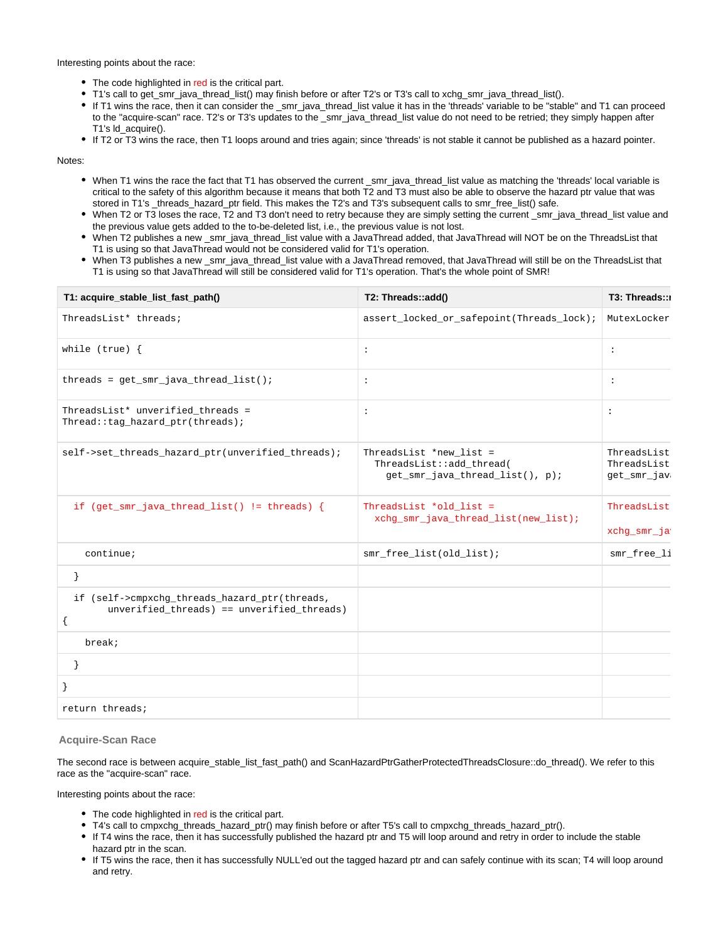Interesting points about the race:

- The code highlighted in red is the critical part.
- T1's call to get\_smr\_java\_thread\_list() may finish before or after T2's or T3's call to xchg\_smr\_java\_thread\_list().
- If T1 wins the race, then it can consider the \_smr\_java\_thread\_list value it has in the 'threads' variable to be "stable" and T1 can proceed to the "acquire-scan" race. T2's or T3's updates to the \_smr\_java\_thread\_list value do not need to be retried; they simply happen after T1's ld\_acquire().
- If T2 or T3 wins the race, then T1 loops around and tries again; since 'threads' is not stable it cannot be published as a hazard pointer.

Notes:

- When T1 wins the race the fact that T1 has observed the current \_smr\_java\_thread\_list value as matching the 'threads' local variable is critical to the safety of this algorithm because it means that both T2 and T3 must also be able to observe the hazard ptr value that was stored in T1's \_threads\_hazard\_ptr field. This makes the T2's and T3's subsequent calls to smr\_free\_list() safe.
- When T2 or T3 loses the race, T2 and T3 don't need to retry because they are simply setting the current \_smr\_java\_thread\_list value and the previous value gets added to the to-be-deleted list, i.e., the previous value is not lost.
- When T2 publishes a new \_smr\_java\_thread\_list value with a JavaThread added, that JavaThread will NOT be on the ThreadsList that T1 is using so that JavaThread would not be considered valid for T1's operation.
- When T3 publishes a new \_smr\_java\_thread\_list value with a JavaThread removed, that JavaThread will still be on the ThreadsList that T1 is using so that JavaThread will still be considered valid for T1's operation. That's the whole point of SMR!

| T1: acquire_stable_list_fast_path()                                                           | T2: Threads::add()                                                                     | T3: Threads::                             |
|-----------------------------------------------------------------------------------------------|----------------------------------------------------------------------------------------|-------------------------------------------|
| ThreadsList* threads;                                                                         | assert_locked_or_safepoint(Threads_lock);                                              | MutexLocker                               |
| while $(true)$ {                                                                              | $\ddot{\phantom{a}}$                                                                   | $\ddot{\phantom{a}}$                      |
| threads = $get\_smr\_java\_thread\_list()$ ;                                                  | $\ddot{\cdot}$                                                                         | $\ddot{\phantom{a}}$                      |
| ThreadsList* unverified_threads =<br>Thread::tag_hazard_ptr(threads);                         | $\ddot{\cdot}$                                                                         | $\ddot{\phantom{a}}$                      |
| self->set_threads_hazard_ptr(unverified_threads);                                             | ThreadsList *new_list =<br>ThreadsList::add_thread(<br>get_smr_java_thread_list(), p); | ThreadsList<br>ThreadsList<br>get_smr_jav |
| if (get_smr_java_thread_list() != threads) {                                                  | ThreadsList *old_list =<br>xchq_smr_java_thread_list(new_list);                        | ThreadsList<br>xchg_smr_ja                |
| $\text{continue:}$                                                                            | smr_free_list(old_list);                                                               | smr_free_li                               |
|                                                                                               |                                                                                        |                                           |
| if (self->cmpxchg_threads_hazard_ptr(threads,<br>$unverified_threads) == unverified_threads)$ |                                                                                        |                                           |
| break;                                                                                        |                                                                                        |                                           |
|                                                                                               |                                                                                        |                                           |
|                                                                                               |                                                                                        |                                           |
| return threads;                                                                               |                                                                                        |                                           |

<span id="page-29-0"></span>**Acquire-Scan Race**

The second race is between acquire stable list fast path() and ScanHazardPtrGatherProtectedThreadsClosure::do thread(). We refer to this race as the "acquire-scan" race.

Interesting points about the race:

- The code highlighted in red is the critical part.
- T4's call to cmpxchg\_threads\_hazard\_ptr() may finish before or after T5's call to cmpxchg\_threads\_hazard\_ptr().
- If T4 wins the race, then it has successfully published the hazard ptr and T5 will loop around and retry in order to include the stable hazard ptr in the scan.
- If T5 wins the race, then it has successfully NULL'ed out the tagged hazard ptr and can safely continue with its scan; T4 will loop around and retry.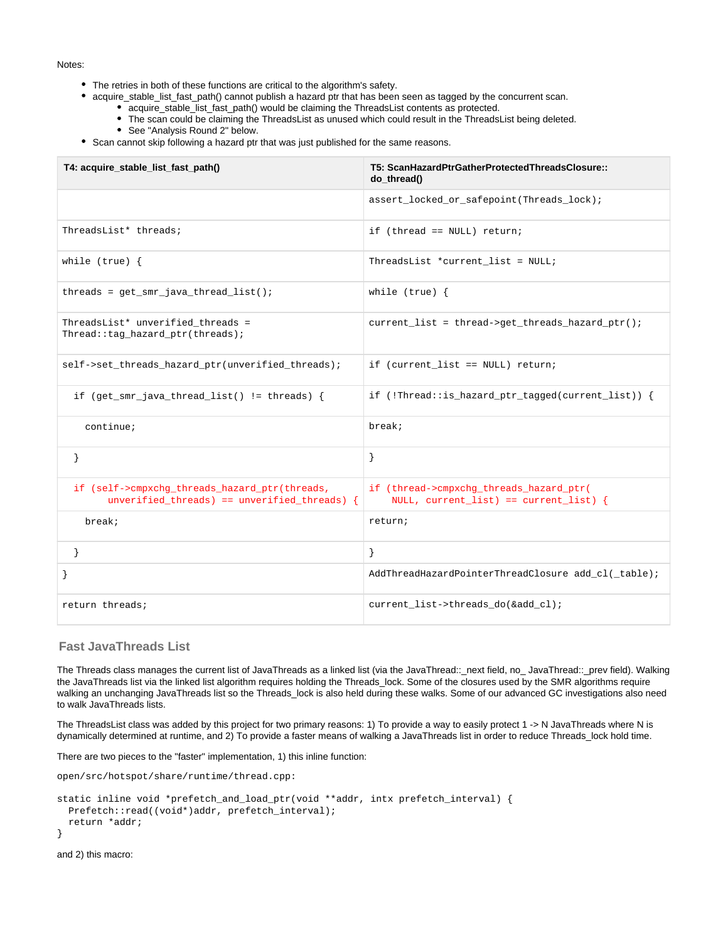Notes:

- The retries in both of these functions are critical to the algorithm's safety.
- acquire\_stable\_list\_fast\_path() cannot publish a hazard ptr that has been seen as tagged by the concurrent scan. acquire\_stable\_list\_fast\_path() would be claiming the ThreadsList contents as protected.
	- The scan could be claiming the ThreadsList as unused which could result in the ThreadsList being deleted.
	- See "Analysis Round 2" below.
- Scan cannot skip following a hazard ptr that was just published for the same reasons.

| T4: acquire_stable_list_fast_path()                                                           | T5: ScanHazardPtrGatherProtectedThreadsClosure::<br>do_thread()                     |
|-----------------------------------------------------------------------------------------------|-------------------------------------------------------------------------------------|
|                                                                                               | assert_locked_or_safepoint(Threads_lock);                                           |
| ThreadsList* threads;                                                                         | if (thread == $NULL$ ) return;                                                      |
| while $(true)$ {                                                                              | ThreadsList *current_list = NULL;                                                   |
| $threads = get\_smr\_java\_thread\_list()$ ;                                                  | while $(true)$ {                                                                    |
| ThreadsList* unverified_threads =<br>Thread::tag_hazard_ptr(threads);                         | current_list = thread->get_threads_hazard_ptr();                                    |
| self->set_threads_hazard_ptr(unverified_threads);                                             | if (current_list == NULL) return;                                                   |
| if (get_smr_java_thread_list() != threads) {                                                  | if $($ : Thread:: is_hazard_ptr_tagged(current_list)) {                             |
| continue;                                                                                     | breaki                                                                              |
| $\}$                                                                                          | }                                                                                   |
| if (self->cmpxchg_threads_hazard_ptr(threads,<br>unverified_threads) == unverified_threads) { | if (thread->cmpxchq_threads_hazard_ptr(<br>NULL, $current_list$ == $current_list$ { |
| break;                                                                                        | return;                                                                             |
|                                                                                               | }                                                                                   |
|                                                                                               | AddThreadHazardPointerThreadClosure add_cl(_table);                                 |
| return threads;                                                                               | current_list->threads_do(&add_cl);                                                  |

## <span id="page-30-0"></span>**Fast JavaThreads List**

The Threads class manages the current list of JavaThreads as a linked list (via the JavaThread::\_next field, no\_ JavaThread::\_prev field). Walking the JavaThreads list via the linked list algorithm requires holding the Threads\_lock. Some of the closures used by the SMR algorithms require walking an unchanging JavaThreads list so the Threads\_lock is also held during these walks. Some of our advanced GC investigations also need to walk JavaThreads lists.

The ThreadsList class was added by this project for two primary reasons: 1) To provide a way to easily protect 1 -> N JavaThreads where N is dynamically determined at runtime, and 2) To provide a faster means of walking a JavaThreads list in order to reduce Threads\_lock hold time.

There are two pieces to the "faster" implementation, 1) this inline function:

```
open/src/hotspot/share/runtime/thread.cpp:
```

```
static inline void *prefetch_and_load_ptr(void **addr, intx prefetch_interval) {
  Prefetch::read((void*)addr, prefetch_interval);
  return *addr;
}
```

```
and 2) this macro:
```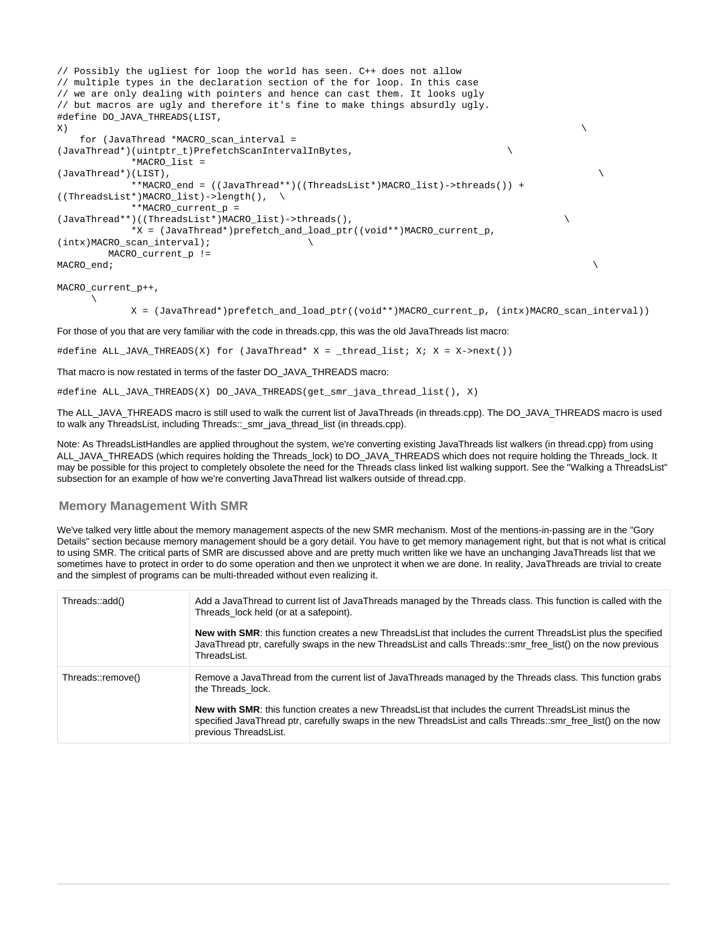```
// Possibly the ugliest for loop the world has seen. C++ does not allow
// multiple types in the declaration section of the for loop. In this case
// we are only dealing with pointers and hence can cast them. It looks ugly
// but macros are ugly and therefore it's fine to make things absurdly ugly.
#define DO_JAVA_THREADS(LIST,
\mathbf{x}) and the contract of \mathbf{x} and the contract of \mathbf{x} for (JavaThread *MACRO_scan_interval =
(JavaThread*)(uintptr_t)PrefetchScanIntervalInBytes, \
            *MACRO_list =
(JavaThread*)(LIST), \
            **MACRO_end = ((JavaThread**)((ThreadsList*)MACRO_list)->threads()) +
((ThreadsList*)MACRO_list)->length(), \
            **MACRO_current_p =
(JavaThread**)((ThreadsList*)MACRO_list)->threads(), \
            *X = (JavaThread*)prefetch_and_load_ptr((void**)MACRO_current_p,
(intx)MACRO scan interval); \setminus MACRO_current_p !=
<code>MACRO\_end</code> ; \setminus
```
MACRO\_current\_p++,

 $\mathcal{L} = \mathcal{L}$ 

X = (JavaThread\*)prefetch\_and\_load\_ptr((void\*\*)MACRO\_current\_p, (intx)MACRO\_scan\_interval))

For those of you that are very familiar with the code in threads.cpp, this was the old JavaThreads list macro:

#define ALL\_JAVA\_THREADS(X) for (JavaThread\* X = \_thread\_list; X; X = X->next())

That macro is now restated in terms of the faster DO\_JAVA\_THREADS macro:

```
#define ALL_JAVA_THREADS(X) DO_JAVA_THREADS(get_smr_java_thread_list(), X)
```
The ALL\_JAVA\_THREADS macro is still used to walk the current list of JavaThreads (in threads.cpp). The DO\_JAVA\_THREADS macro is used to walk any ThreadsList, including Threads::\_smr\_java\_thread\_list (in threads.cpp).

Note: As ThreadsListHandles are applied throughout the system, we're converting existing JavaThreads list walkers (in thread.cpp) from using ALL\_JAVA\_THREADS (which requires holding the Threads\_lock) to DO\_JAVA\_THREADS which does not require holding the Threads\_lock. It may be possible for this project to completely obsolete the need for the Threads class linked list walking support. See the "Walking a ThreadsList" subsection for an example of how we're converting JavaThread list walkers outside of thread.cpp.

## <span id="page-31-0"></span>**Memory Management With SMR**

We've talked very little about the memory management aspects of the new SMR mechanism. Most of the mentions-in-passing are in the "Gory Details" section because memory management should be a gory detail. You have to get memory management right, but that is not what is critical to using SMR. The critical parts of SMR are discussed above and are pretty much written like we have an unchanging JavaThreads list that we sometimes have to protect in order to do some operation and then we unprotect it when we are done. In reality, JavaThreads are trivial to create and the simplest of programs can be multi-threaded without even realizing it.

| Threads::add()    | Add a JavaThread to current list of JavaThreads managed by the Threads class. This function is called with the<br>Threads_lock held (or at a safepoint).                                                                                               |
|-------------------|--------------------------------------------------------------------------------------------------------------------------------------------------------------------------------------------------------------------------------------------------------|
|                   | <b>New with SMR:</b> this function creates a new ThreadsList that includes the current ThreadsList plus the specified<br>JavaThread ptr, carefully swaps in the new ThreadsList and calls Threads::smr free list() on the now previous<br>ThreadsList. |
| Threads::remove() | Remove a JavaThread from the current list of JavaThreads managed by the Threads class. This function grabs<br>the Threads lock.                                                                                                                        |
|                   | New with SMR: this function creates a new Threads List that includes the current Threads List minus the<br>specified JavaThread ptr, carefully swaps in the new ThreadsList and calls Threads::smr free list() on the now<br>previous ThreadsList.     |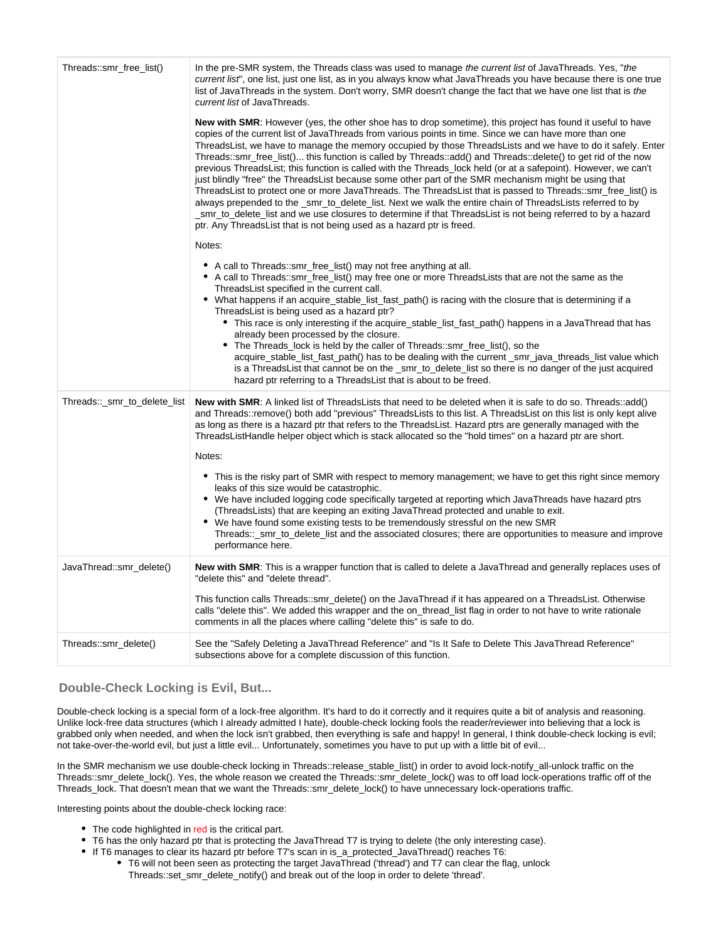| Threads::smr_free_list()     | In the pre-SMR system, the Threads class was used to manage the current list of JavaThreads. Yes, "the<br>current list", one list, just one list, as in you always know what JavaThreads you have because there is one true<br>list of JavaThreads in the system. Don't worry, SMR doesn't change the fact that we have one list that is the<br>current list of JavaThreads.                                                                                                                                                                                                                                                                                                                                                                                                                                                                                                                                                                                                                                                                                                                            |
|------------------------------|---------------------------------------------------------------------------------------------------------------------------------------------------------------------------------------------------------------------------------------------------------------------------------------------------------------------------------------------------------------------------------------------------------------------------------------------------------------------------------------------------------------------------------------------------------------------------------------------------------------------------------------------------------------------------------------------------------------------------------------------------------------------------------------------------------------------------------------------------------------------------------------------------------------------------------------------------------------------------------------------------------------------------------------------------------------------------------------------------------|
|                              | New with SMR: However (yes, the other shoe has to drop sometime), this project has found it useful to have<br>copies of the current list of JavaThreads from various points in time. Since we can have more than one<br>ThreadsList, we have to manage the memory occupied by those ThreadsLists and we have to do it safely. Enter<br>Threads::smr_free_list() this function is called by Threads::add() and Threads::delete() to get rid of the now<br>previous ThreadsList; this function is called with the Threads lock held (or at a safepoint). However, we can't<br>just blindly "free" the ThreadsList because some other part of the SMR mechanism might be using that<br>ThreadsList to protect one or more JavaThreads. The ThreadsList that is passed to Threads::smr_free_list() is<br>always prepended to the _smr_to_delete_list. Next we walk the entire chain of ThreadsLists referred to by<br>smr_to_delete_list and we use closures to determine if that ThreadsList is not being referred to by a hazard<br>ptr. Any ThreadsList that is not being used as a hazard ptr is freed. |
|                              | Notes:                                                                                                                                                                                                                                                                                                                                                                                                                                                                                                                                                                                                                                                                                                                                                                                                                                                                                                                                                                                                                                                                                                  |
|                              | • A call to Threads::smr_free_list() may not free anything at all.<br>A call to Threads::smr_free_list() may free one or more ThreadsLists that are not the same as the<br>ThreadsList specified in the current call.<br>• What happens if an acquire_stable_list_fast_path() is racing with the closure that is determining if a<br>ThreadsList is being used as a hazard ptr?<br>• This race is only interesting if the acquire_stable_list_fast_path() happens in a JavaThread that has<br>already been processed by the closure.<br>• The Threads_lock is held by the caller of Threads::smr_free_list(), so the<br>acquire_stable_list_fast_path() has to be dealing with the current_smr_java_threads_list value which<br>is a ThreadsList that cannot be on the _smr_to_delete_list so there is no danger of the just acquired<br>hazard ptr referring to a Threads List that is about to be freed.                                                                                                                                                                                              |
| Threads::_smr_to_delete_list | New with SMR: A linked list of ThreadsLists that need to be deleted when it is safe to do so. Threads::add()<br>and Threads::remove() both add "previous" ThreadsLists to this list. A ThreadsList on this list is only kept alive<br>as long as there is a hazard ptr that refers to the ThreadsList. Hazard ptrs are generally managed with the<br>ThreadsListHandle helper object which is stack allocated so the "hold times" on a hazard ptr are short.<br>Notes:                                                                                                                                                                                                                                                                                                                                                                                                                                                                                                                                                                                                                                  |
|                              | • This is the risky part of SMR with respect to memory management; we have to get this right since memory<br>leaks of this size would be catastrophic.<br>• We have included logging code specifically targeted at reporting which JavaThreads have hazard ptrs<br>(ThreadsLists) that are keeping an exiting JavaThread protected and unable to exit.<br>• We have found some existing tests to be tremendously stressful on the new SMR<br>Threads::_smr_to_delete_list and the associated closures; there are opportunities to measure and improve<br>performance here.                                                                                                                                                                                                                                                                                                                                                                                                                                                                                                                              |
| JavaThread::smr_delete()     | New with SMR: This is a wrapper function that is called to delete a JavaThread and generally replaces uses of<br>"delete this" and "delete thread".                                                                                                                                                                                                                                                                                                                                                                                                                                                                                                                                                                                                                                                                                                                                                                                                                                                                                                                                                     |
|                              | This function calls Threads::smr_delete() on the JavaThread if it has appeared on a ThreadsList. Otherwise<br>calls "delete this". We added this wrapper and the on_thread_list flag in order to not have to write rationale<br>comments in all the places where calling "delete this" is safe to do.                                                                                                                                                                                                                                                                                                                                                                                                                                                                                                                                                                                                                                                                                                                                                                                                   |
| Threads::smr_delete()        | "See the "Safely Deleting a JavaThread Reference" and "Is It Safe to Delete This JavaThread Reference<br>subsections above for a complete discussion of this function.                                                                                                                                                                                                                                                                                                                                                                                                                                                                                                                                                                                                                                                                                                                                                                                                                                                                                                                                  |

## <span id="page-32-0"></span>**Double-Check Locking is Evil, But...**

Double-check locking is a special form of a lock-free algorithm. It's hard to do it correctly and it requires quite a bit of analysis and reasoning. Unlike lock-free data structures (which I already admitted I hate), double-check locking fools the reader/reviewer into believing that a lock is grabbed only when needed, and when the lock isn't grabbed, then everything is safe and happy! In general, I think double-check locking is evil; not take-over-the-world evil, but just a little evil... Unfortunately, sometimes you have to put up with a little bit of evil...

In the SMR mechanism we use double-check locking in Threads::release\_stable\_list() in order to avoid lock-notify\_all-unlock traffic on the Threads::smr\_delete\_lock(). Yes, the whole reason we created the Threads::smr\_delete\_lock() was to off load lock-operations traffic off of the Threads\_lock. That doesn't mean that we want the Threads::smr\_delete\_lock() to have unnecessary lock-operations traffic.

Interesting points about the double-check locking race:

- The code highlighted in red is the critical part.
- T6 has the only hazard ptr that is protecting the JavaThread T7 is trying to delete (the only interesting case).
- If T6 manages to clear its hazard ptr before T7's scan in is\_a\_protected\_JavaThread() reaches T6:
	- T6 will not been seen as protecting the target JavaThread ('thread') and T7 can clear the flag, unlock Threads::set\_smr\_delete\_notify() and break out of the loop in order to delete 'thread'.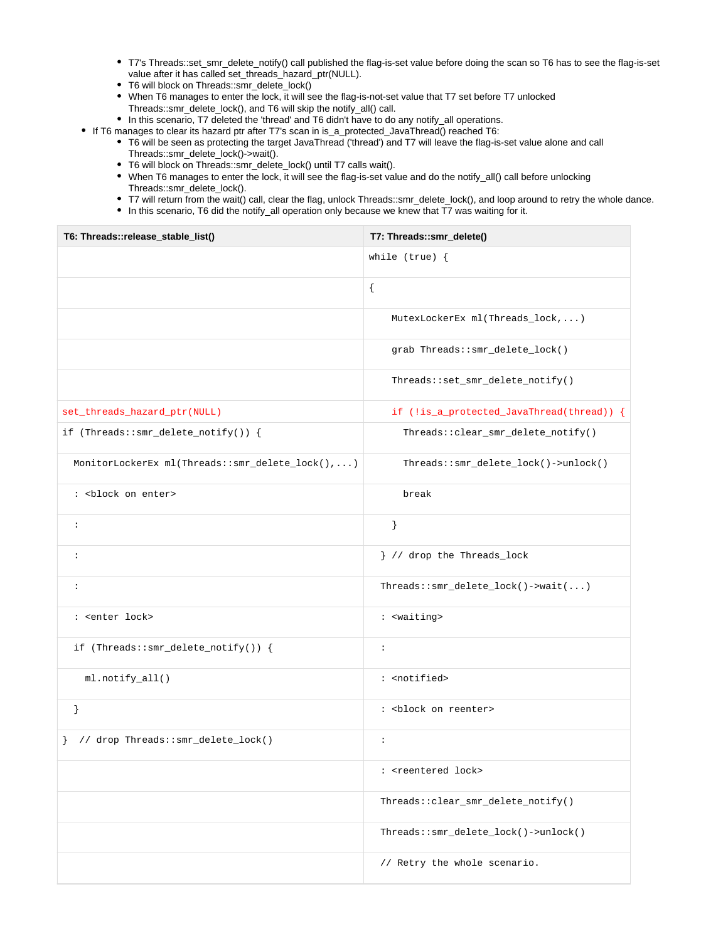- T7's Threads::set\_smr\_delete\_notify() call published the flag-is-set value before doing the scan so T6 has to see the flag-is-set value after it has called set\_threads\_hazard\_ptr(NULL).
- T6 will block on Threads::smr\_delete\_lock()
- When T6 manages to enter the lock, it will see the flag-is-not-set value that T7 set before T7 unlocked Threads::smr\_delete\_lock(), and T6 will skip the notify\_all() call.
- In this scenario, T7 deleted the 'thread' and T6 didn't have to do any notify\_all operations.
- If T6 manages to clear its hazard ptr after T7's scan in is\_a\_protected\_JavaThread() reached T6:
	- T6 will be seen as protecting the target JavaThread ('thread') and T7 will leave the flag-is-set value alone and call Threads::smr\_delete\_lock()->wait().
	- T6 will block on Threads::smr\_delete\_lock() until T7 calls wait().
	- When T6 manages to enter the lock, it will see the flag-is-set value and do the notify\_all() call before unlocking Threads::smr\_delete\_lock().
	- T7 will return from the wait() call, clear the flag, unlock Threads::smr\_delete\_lock(), and loop around to retry the whole dance.
	- In this scenario, T6 did the notify\_all operation only because we knew that T7 was waiting for it.

| T6: Threads::release_stable_list()              | T7: Threads::smr_delete()                         |
|-------------------------------------------------|---------------------------------------------------|
|                                                 | while $(true)$ {                                  |
|                                                 | $\{$                                              |
|                                                 | MutexLockerEx ml(Threads_lock,)                   |
|                                                 | grab Threads::smr_delete_lock()                   |
|                                                 | Threads::set_smr_delete_notify()                  |
| set_threads_hazard_ptr(NULL)                    | if (!is_a_protected_JavaThread(thread)) {         |
| if (Threads::smr_delete_notify()) {             | Threads::clear_smr_delete_notify()                |
| MonitorLockerEx ml(Threads::smr_delete_lock(),) | Threads::smr_delete_lock()->unlock()              |
| : <block enter="" on=""></block>                | break                                             |
| $\colon$                                        | $\}$                                              |
| $\colon$                                        | } // drop the Threads_lock                        |
| $\colon$                                        | $Threads::smr\_delete\_lock() \rightarrow wait()$ |
| : <enter lock=""></enter>                       | : <waiting></waiting>                             |
| if (Threads::smr_delete_notify()) {             | $\ddot{\phantom{a}}$                              |
| ml.notify_all()                                 | : < notified>                                     |
| $\}$                                            | : <block on="" reenter=""></block>                |
| } // drop Threads::smr_delete_lock()            | $\ddot{\phantom{a}}$                              |
|                                                 | : <reentered lock=""></reentered>                 |
|                                                 | Threads::clear_smr_delete_notify()                |
|                                                 | Threads::smr_delete_lock()->unlock()              |
|                                                 | // Retry the whole scenario.                      |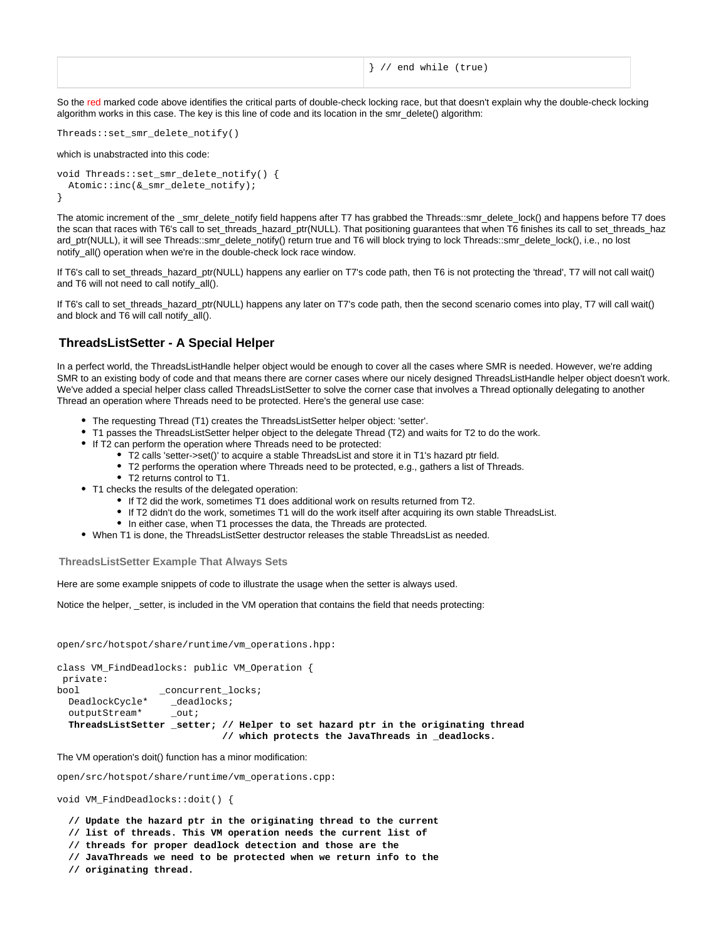So the red marked code above identifies the critical parts of double-check locking race, but that doesn't explain why the double-check locking algorithm works in this case. The key is this line of code and its location in the smr\_delete() algorithm:

```
Threads::set_smr_delete_notify()
```
which is unabstracted into this code:

```
void Threads::set_smr_delete_notify() {
  Atomic::inc(&_smr_delete_notify);
}
```
The atomic increment of the smr\_delete\_notify field happens after T7 has grabbed the Threads::smr\_delete\_lock() and happens before T7 does the scan that races with T6's call to set\_threads\_hazard\_ptr(NULL). That positioning guarantees that when T6 finishes its call to set\_threads\_haz ard\_ptr(NULL), it will see Threads::smr\_delete\_notify() return true and T6 will block trying to lock Threads::smr\_delete\_lock(), i.e., no lost notify\_all() operation when we're in the double-check lock race window.

If T6's call to set\_threads\_hazard\_ptr(NULL) happens any earlier on T7's code path, then T6 is not protecting the 'thread', T7 will not call wait() and T6 will not need to call notify all().

If T6's call to set\_threads\_hazard\_ptr(NULL) happens any later on T7's code path, then the second scenario comes into play, T7 will call wait() and block and T6 will call notify\_all().

## <span id="page-34-0"></span>**ThreadsListSetter - A Special Helper**

In a perfect world, the ThreadsListHandle helper object would be enough to cover all the cases where SMR is needed. However, we're adding SMR to an existing body of code and that means there are corner cases where our nicely designed ThreadsListHandle helper object doesn't work. We've added a special helper class called ThreadsListSetter to solve the corner case that involves a Thread optionally delegating to another Thread an operation where Threads need to be protected. Here's the general use case:

- The requesting Thread (T1) creates the ThreadsListSetter helper object: 'setter'.
- T1 passes the ThreadsListSetter helper object to the delegate Thread (T2) and waits for T2 to do the work.
- If T2 can perform the operation where Threads need to be protected:
	- T2 calls 'setter->set()' to acquire a stable ThreadsList and store it in T1's hazard ptr field.
		- T2 performs the operation where Threads need to be protected, e.g., gathers a list of Threads.
		- T2 returns control to T1.
- T1 checks the results of the delegated operation:
	- If T2 did the work, sometimes T1 does additional work on results returned from T2.
	- If T2 didn't do the work, sometimes T1 will do the work itself after acquiring its own stable ThreadsList.
	- In either case, when T1 processes the data, the Threads are protected.
- When T1 is done, the ThreadsListSetter destructor releases the stable ThreadsList as needed.

#### <span id="page-34-1"></span>**ThreadsListSetter Example That Always Sets**

Here are some example snippets of code to illustrate the usage when the setter is always used.

Notice the helper, setter, is included in the VM operation that contains the field that needs protecting:

open/src/hotspot/share/runtime/vm\_operations.hpp:

```
class VM_FindDeadlocks: public VM_Operation {
 private:
bool _concurrent_locks;
  DeadlockCycle* _deadlocks;
  outputStream* _out;
  ThreadsListSetter _setter; // Helper to set hazard ptr in the originating thread
                            // which protects the JavaThreads in _deadlocks.
```
The VM operation's doit() function has a minor modification:

open/src/hotspot/share/runtime/vm\_operations.cpp:

void VM\_FindDeadlocks::doit() {

 **// Update the hazard ptr in the originating thread to the current**

 **// list of threads. This VM operation needs the current list of**

 **// threads for proper deadlock detection and those are the**

- **// JavaThreads we need to be protected when we return info to the**
- **// originating thread.**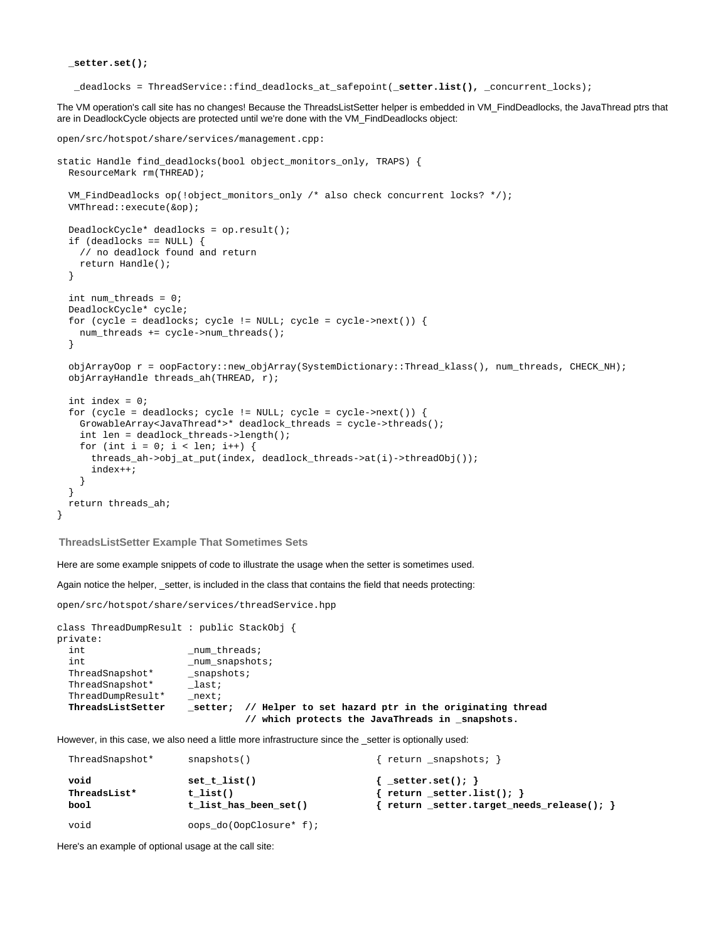**\_setter.set();**

\_deadlocks = ThreadService::find\_deadlocks\_at\_safepoint(**\_setter.list(),** \_concurrent\_locks);

The VM operation's call site has no changes! Because the ThreadsListSetter helper is embedded in VM\_FindDeadlocks, the JavaThread ptrs that are in DeadlockCycle objects are protected until we're done with the VM\_FindDeadlocks object:

```
open/src/hotspot/share/services/management.cpp:
static Handle find_deadlocks(bool object_monitors_only, TRAPS) {
  ResourceMark rm(THREAD);
  VM_FindDeadlocks op(!object_monitors_only /* also check concurrent locks? */);
  VMThread::execute(&op);
  DeadlockCycle* deadlocks = op.result();
   if (deadlocks == NULL) {
    // no deadlock found and return
    return Handle();
 }
  int num threads = 0;
   DeadlockCycle* cycle;
   for (cycle = deadlocks; cycle != NULL; cycle = cycle->next()) {
    num_threads += cycle->num_threads();
 }
   objArrayOop r = oopFactory::new_objArray(SystemDictionary::Thread_klass(), num_threads, CHECK_NH);
   objArrayHandle threads_ah(THREAD, r);
   int index = 0;
  for (cycle = deadlocks; cycle != NULL; cycle = cycle->next()) {
    GrowableArray<JavaThread*>* deadlock_threads = cycle->threads();
     int len = deadlock_threads->length();
    for (int i = 0; i < len; i++) {
       threads_ah->obj_at_put(index, deadlock_threads->at(i)->threadObj());
       index++;
     }
   }
   return threads_ah;
}
```
<span id="page-35-0"></span>**ThreadsListSetter Example That Sometimes Sets**

Here are some example snippets of code to illustrate the usage when the setter is sometimes used.

Again notice the helper, \_setter, is included in the class that contains the field that needs protecting:

open/src/hotspot/share/services/threadService.hpp

```
class ThreadDumpResult : public StackObj {
private:
   int num \tthreads;\begin{tabular}{ll} int & \textit{num\_snapshots} \\ \textit{ThreadSnapshot*} & \textit{snapshots} \\ \end{tabular}\begin{tabular}{ll} \bf Three adSnapshot* & \tt _Snaps. \\ \bf Three adSnapshot* & \tt _last \end{tabular}\begin{tabular}{ll} \texttt{ThreadShapshot*} & \texttt{last}; \\ \texttt{ThreadDumpResult*} & \texttt{next}; \\ \end{tabular}ThreadDumpResult*
    ThreadsListSetter _setter; // Helper to set hazard ptr in the originating thread
                                                          // which protects the JavaThreads in _snapshots.
```
However, in this case, we also need a little more infrastructure since the \_setter is optionally used:

| ThreadSnapshot*              | snapshots()                                         | return _snapshots;                                                                               |
|------------------------------|-----------------------------------------------------|--------------------------------------------------------------------------------------------------|
| void<br>ThreadsList*<br>bool | set $t$ list()<br>t list()<br>t list has been set() | $\{$ setter.set(); $\}$<br>return _setter.list();<br>return _setter.target_needs_release(); $\}$ |
| void                         | oops_do(OopClosure* f);                             |                                                                                                  |

Here's an example of optional usage at the call site: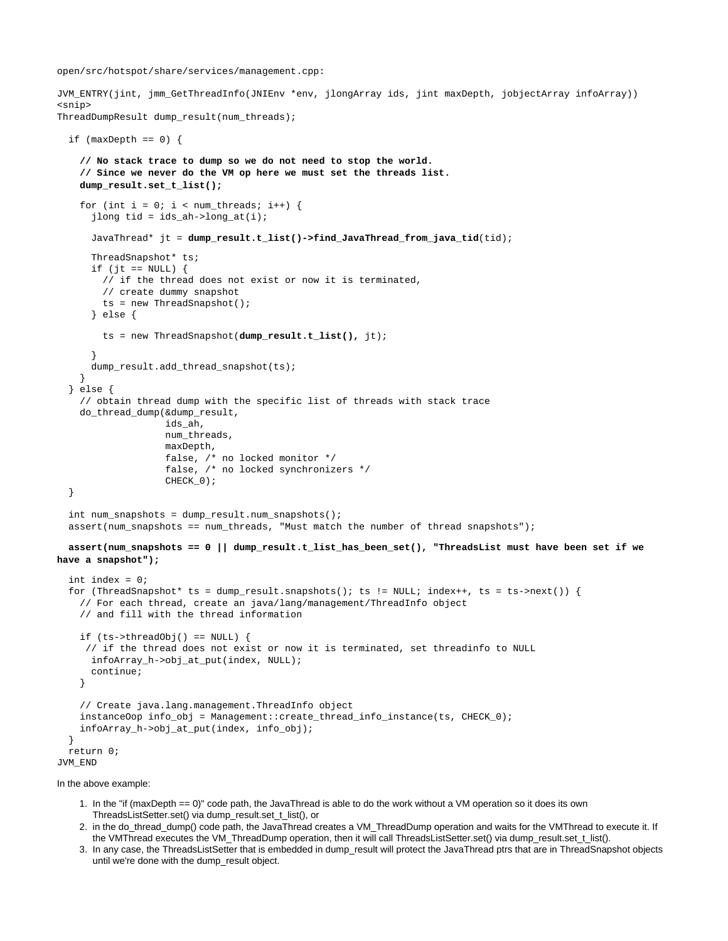open/src/hotspot/share/services/management.cpp:

JVM\_ENTRY(jint, jmm\_GetThreadInfo(JNIEnv \*env, jlongArray ids, jint maxDepth, jobjectArray infoArray)) <snip> ThreadDumpResult dump result(num threads);

```
if (maxDepth == 0) {
     // No stack trace to dump so we do not need to stop the world.
     // Since we never do the VM op here we must set the threads list.
     dump_result.set_t_list();
    for (int i = 0; i < num_threads; i++) {
       jlong tid = ids_ah->long_at(i);
       JavaThread* jt = dump_result.t_list()->find_JavaThread_from_java_tid(tid);
      ThreadSnapshot* ts;
      if (jt == NULL) {
         // if the thread does not exist or now it is terminated,
         // create dummy snapshot
         ts = new ThreadSnapshot();
       } else {
         ts = new ThreadSnapshot(dump_result.t_list(), jt);
 }
      dump_result.add_thread_snapshot(ts);
     }
   } else {
     // obtain thread dump with the specific list of threads with stack trace
     do_thread_dump(&dump_result,
                    ids_ah,
                    num_threads,
                    maxDepth,
                    false, /* no locked monitor */
                    false, /* no locked synchronizers */
                   CHECK 0);
   }
  int num_snapshots = dump\_result.num\_snapshots();
  assert(num\_snapshots == num\_threads, "Must match the number of thread snapshots"); assert(num_snapshots == 0 || dump_result.t_list_has_been_set(), "ThreadsList must have been set if we
have a snapshot");
   int index = 0;
  for (ThreadSnapshot* ts = dump_result.snapshots(); ts != NULL; index++, ts = ts->next()) {
     // For each thread, create an java/lang/management/ThreadInfo object
     // and fill with the thread information
    if (ts->threadObj() == NULL) {
      // if the thread does not exist or now it is terminated, set threadinfo to NULL
       infoArray_h->obj_at_put(index, NULL);
       continue;
     }
     // Create java.lang.management.ThreadInfo object
     instanceOop info_obj = Management::create_thread_info_instance(ts, CHECK_0);
     infoArray_h->obj_at_put(index, info_obj);
 }
   return 0;
JVM_END
```
In the above example:

- 1. In the "if (maxDepth == 0)" code path, the JavaThread is able to do the work without a VM operation so it does its own ThreadsListSetter.set() via dump\_result.set\_t\_list(), or
- 2. in the do\_thread\_dump() code path, the JavaThread creates a VM\_ThreadDump operation and waits for the VMThread to execute it. If the VMThread executes the VM\_ThreadDump operation, then it will call ThreadsListSetter.set() via dump\_result.set\_t\_list().
- 3. In any case, the ThreadsListSetter that is embedded in dump\_result will protect the JavaThread ptrs that are in ThreadSnapshot objects until we're done with the dump\_result object.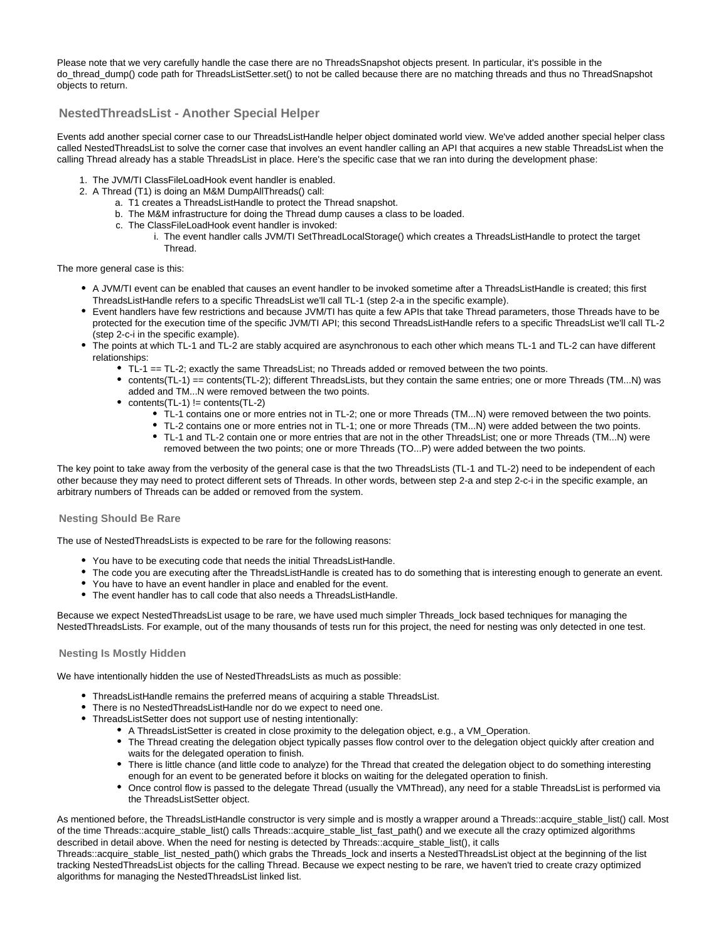Please note that we very carefully handle the case there are no ThreadsSnapshot objects present. In particular, it's possible in the do\_thread\_dump() code path for ThreadsListSetter.set() to not be called because there are no matching threads and thus no ThreadSnapshot objects to return.

## <span id="page-37-0"></span>**NestedThreadsList - Another Special Helper**

Events add another special corner case to our ThreadsListHandle helper object dominated world view. We've added another special helper class called NestedThreadsList to solve the corner case that involves an event handler calling an API that acquires a new stable ThreadsList when the calling Thread already has a stable ThreadsList in place. Here's the specific case that we ran into during the development phase:

- 1. The JVM/TI ClassFileLoadHook event handler is enabled.
- 2. A Thread (T1) is doing an M&M DumpAllThreads() call:
	- a. T1 creates a ThreadsListHandle to protect the Thread snapshot.
	- b. The M&M infrastructure for doing the Thread dump causes a class to be loaded.
	- c. The ClassFileLoadHook event handler is invoked:
		- i. The event handler calls JVM/TI SetThreadLocalStorage() which creates a ThreadsListHandle to protect the target **Thread**

The more general case is this:

- A JVM/TI event can be enabled that causes an event handler to be invoked sometime after a ThreadsListHandle is created; this first ThreadsListHandle refers to a specific ThreadsList we'll call TL-1 (step 2-a in the specific example).
- Event handlers have few restrictions and because JVM/TI has quite a few APIs that take Thread parameters, those Threads have to be protected for the execution time of the specific JVM/TI API; this second ThreadsListHandle refers to a specific ThreadsList we'll call TL-2 (step 2-c-i in the specific example).
- The points at which TL-1 and TL-2 are stably acquired are asynchronous to each other which means TL-1 and TL-2 can have different relationships:
	- TL-1 == TL-2; exactly the same ThreadsList; no Threads added or removed between the two points.
	- contents(TL-1) == contents(TL-2); different ThreadsLists, but they contain the same entries; one or more Threads (TM...N) was added and TM...N were removed between the two points.
	- $\bullet$  contents(TL-1) != contents(TL-2)
		- TL-1 contains one or more entries not in TL-2; one or more Threads (TM...N) were removed between the two points.
		- TL-2 contains one or more entries not in TL-1; one or more Threads (TM...N) were added between the two points.
		- TL-1 and TL-2 contain one or more entries that are not in the other ThreadsList; one or more Threads (TM...N) were removed between the two points; one or more Threads (TO...P) were added between the two points.

The key point to take away from the verbosity of the general case is that the two ThreadsLists (TL-1 and TL-2) need to be independent of each other because they may need to protect different sets of Threads. In other words, between step 2-a and step 2-c-i in the specific example, an arbitrary numbers of Threads can be added or removed from the system.

#### <span id="page-37-1"></span>**Nesting Should Be Rare**

The use of NestedThreadsLists is expected to be rare for the following reasons:

- You have to be executing code that needs the initial ThreadsListHandle.
- The code you are executing after the ThreadsListHandle is created has to do something that is interesting enough to generate an event.
- You have to have an event handler in place and enabled for the event.
- The event handler has to call code that also needs a ThreadsListHandle.

Because we expect NestedThreadsList usage to be rare, we have used much simpler Threads\_lock based techniques for managing the NestedThreadsLists. For example, out of the many thousands of tests run for this project, the need for nesting was only detected in one test.

#### <span id="page-37-2"></span>**Nesting Is Mostly Hidden**

We have intentionally hidden the use of NestedThreadsLists as much as possible:

- ThreadsListHandle remains the preferred means of acquiring a stable ThreadsList.
- There is no NestedThreadsListHandle nor do we expect to need one.
- ThreadsListSetter does not support use of nesting intentionally:
	- A ThreadsListSetter is created in close proximity to the delegation object, e.g., a VM\_Operation.
	- The Thread creating the delegation object typically passes flow control over to the delegation object quickly after creation and waits for the delegated operation to finish.
	- There is little chance (and little code to analyze) for the Thread that created the delegation object to do something interesting enough for an event to be generated before it blocks on waiting for the delegated operation to finish.
	- Once control flow is passed to the delegate Thread (usually the VMThread), any need for a stable ThreadsList is performed via the ThreadsListSetter object.

As mentioned before, the ThreadsListHandle constructor is very simple and is mostly a wrapper around a Threads::acquire\_stable\_list() call. Most of the time Threads::acquire\_stable\_list() calls Threads::acquire\_stable\_list\_fast\_path() and we execute all the crazy optimized algorithms described in detail above. When the need for nesting is detected by Threads::acquire\_stable\_list(), it calls

Threads::acquire\_stable\_list\_nested\_path() which grabs the Threads\_lock and inserts a NestedThreadsList object at the beginning of the list tracking NestedThreadsList objects for the calling Thread. Because we expect nesting to be rare, we haven't tried to create crazy optimized algorithms for managing the NestedThreadsList linked list.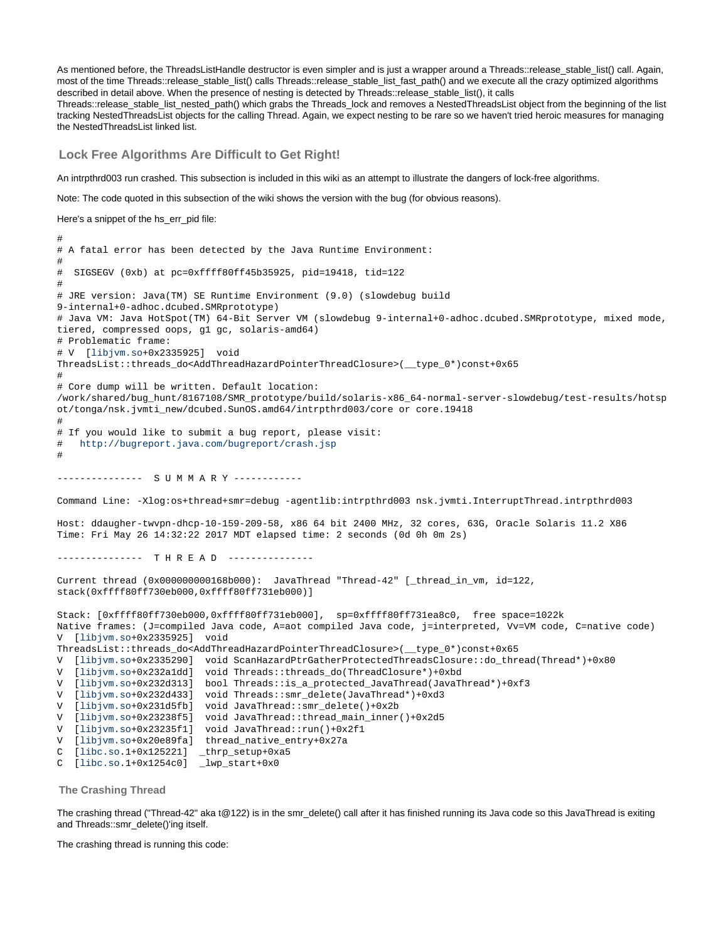As mentioned before, the ThreadsListHandle destructor is even simpler and is just a wrapper around a Threads::release\_stable\_list() call. Again, most of the time Threads::release\_stable\_list() calls Threads::release\_stable\_list\_fast\_path() and we execute all the crazy optimized algorithms described in detail above. When the presence of nesting is detected by Threads::release\_stable\_list(), it calls

Threads::release\_stable\_list\_nested\_path() which grabs the Threads\_lock and removes a NestedThreadsList object from the beginning of the list tracking NestedThreadsList objects for the calling Thread. Again, we expect nesting to be rare so we haven't tried heroic measures for managing the NestedThreadsList linked list.

<span id="page-38-0"></span>**Lock Free Algorithms Are Difficult to Get Right!**

An intrpthrd003 run crashed. This subsection is included in this wiki as an attempt to illustrate the dangers of lock-free algorithms.

Note: The code quoted in this subsection of the wiki shows the version with the bug (for obvious reasons).

Here's a snippet of the hs\_err\_pid file:

# # A fatal error has been detected by the Java Runtime Environment: # # SIGSEGV (0xb) at pc=0xffff80ff45b35925, pid=19418, tid=122 # # JRE version: Java(TM) SE Runtime Environment (9.0) (slowdebug build 9-internal+0-adhoc.dcubed.SMRprototype) # Java VM: Java HotSpot(TM) 64-Bit Server VM (slowdebug 9-internal+0-adhoc.dcubed.SMRprototype, mixed mode, tiered, compressed oops, g1 gc, solaris-amd64) # Problematic frame: # V [[libjvm.so+](http://libjvm.so)0x2335925] void ThreadsList::threads\_do<AddThreadHazardPointerThreadClosure>(\_\_type\_0\*)const+0x65 # # Core dump will be written. Default location: /work/shared/bug\_hunt/8167108/SMR\_prototype/build/solaris-x86\_64-normal-server-slowdebug/test-results/hotsp ot/tonga/nsk.jvmti\_new/dcubed.SunOS.amd64/intrpthrd003/core or core.19418 # # If you would like to submit a bug report, please visit: # <http://bugreport.java.com/bugreport/crash.jsp> # --------------- S U M M A R Y ------------ Command Line: -Xlog:os+thread+smr=debug -agentlib:intrpthrd003 nsk.jvmti.InterruptThread.intrpthrd003 Host: ddaugher-twvpn-dhcp-10-159-209-58, x86 64 bit 2400 MHz, 32 cores, 63G, Oracle Solaris 11.2 X86 Time: Fri May 26 14:32:22 2017 MDT elapsed time: 2 seconds (0d 0h 0m 2s) --------------- T H R E A D --------------- Current thread (0x000000000168b000): JavaThread "Thread-42" [\_thread\_in\_vm, id=122, stack(0xffff80ff730eb000,0xffff80ff731eb000)] Stack: [0xffff80ff730eb000,0xffff80ff731eb000], sp=0xffff80ff731ea8c0, free space=1022k Native frames: (J=compiled Java code, A=aot compiled Java code, j=interpreted, Vv=VM code, C=native code) V [\[libjvm.so](http://libjvm.so)+0x2335925] void ThreadsList::threads\_do<AddThreadHazardPointerThreadClosure>(\_\_type\_0\*)const+0x65 V [\[libjvm.so](http://libjvm.so)+0x2335290] void ScanHazardPtrGatherProtectedThreadsClosure::do\_thread(Thread\*)+0x80 V [\[libjvm.so](http://libjvm.so)+0x232a1dd] void Threads::threads\_do(ThreadClosure\*)+0xbd V [\[libjvm.so](http://libjvm.so)+0x232d313] bool Threads::is\_a\_protected\_JavaThread(JavaThread\*)+0xf3 V [\[libjvm.so](http://libjvm.so)+0x232d433] void Threads::smr\_delete(JavaThread\*)+0xd3 V [\[libjvm.so](http://libjvm.so)+0x231d5fb] void JavaThread::smr\_delete()+0x2b V [\[libjvm.so](http://libjvm.so)+0x23238f5] void JavaThread::thread\_main\_inner()+0x2d5 V [\[libjvm.so](http://libjvm.so)+0x23235f1] void JavaThread::run()+0x2f1 V [\[libjvm.so](http://libjvm.so)+0x20e89fa] thread\_native\_entry+0x27a C [\[libc.so.](http://libc.so)1+0x125221] \_thrp\_setup+0xa5 C [\[libc.so.](http://libc.so)1+0x1254c0] \_lwp\_start+0x0

<span id="page-38-1"></span>**The Crashing Thread**

The crashing thread ("Thread-42" aka t@122) is in the smr\_delete() call after it has finished running its Java code so this JavaThread is exiting and Threads::smr\_delete()'ing itself.

The crashing thread is running this code: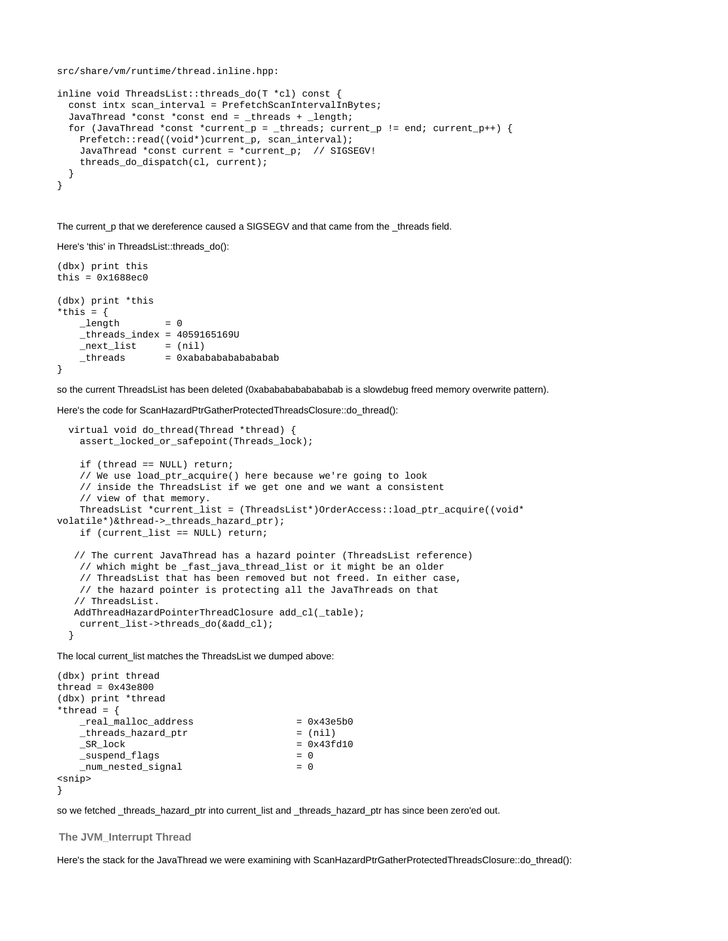```
src/share/vm/runtime/thread.inline.hpp:
```

```
inline void ThreadsList::threads_do(T *cl) const {
   const intx scan_interval = PrefetchScanIntervalInBytes;
 JavaThread *const *const end = threads + length;
   for (JavaThread *const *current_p = _threads; current_p != end; current_p++) {
    Prefetch::read((void*)current_p, scan_interval);
    JavaThread *const current = *current_p; // SIGSEGV!
     threads_do_dispatch(cl, current);
   }
}
```
The current\_p that we dereference caused a SIGSEGV and that came from the \_threads field.

#### Here's 'this' in ThreadsList::threads\_do():

```
(dbx) print this
this = 0x1688ec0(dbx) print *this
*this = {
    length = 0-th reads\_index = 4059165169U{\tt \_next\_list} = (nil)<br>
{\tt \_threads} = 0xabal
                       _threads = 0xabababababababab
}
```
so the current ThreadsList has been deleted (0xababababababababab is a slowdebug freed memory overwrite pattern).

Here's the code for ScanHazardPtrGatherProtectedThreadsClosure::do\_thread():

```
 virtual void do_thread(Thread *thread) {
     assert_locked_or_safepoint(Threads_lock);
     if (thread == NULL) return;
     // We use load_ptr_acquire() here because we're going to look
     // inside the ThreadsList if we get one and we want a consistent
     // view of that memory.
     ThreadsList *current_list = (ThreadsList*)OrderAccess::load_ptr_acquire((void*
volatile*)&thread->_threads_hazard_ptr);
     if (current_list == NULL) return;
    // The current JavaThread has a hazard pointer (ThreadsList reference)
     // which might be _fast_java_thread_list or it might be an older
     // ThreadsList that has been removed but not freed. In either case,
     // the hazard pointer is protecting all the JavaThreads on that
    // ThreadsList.
   AddThreadHazardPointerThreadClosure add_cl(_table);
     current_list->threads_do(&add_cl);
   }
```
The local current\_list matches the ThreadsList we dumped above:

```
(dbx) print thread
thread = 0x43e800(dbx) print *thread
*thread = \{\begin{array}{rcl}\n\texttt{real\_malloc\_address} & = & 0 \times 43 \text{e}5b0\n\end{array} _threads_hazard_ptr = (nil)
   SR lock = 0x43fd10 _suspend_flags = 0
    _num_nested_signal = 0
<snip>
}
```
so we fetched \_threads\_hazard\_ptr into current\_list and \_threads\_hazard\_ptr has since been zero'ed out.

#### <span id="page-39-0"></span>**The JVM\_Interrupt Thread**

Here's the stack for the JavaThread we were examining with ScanHazardPtrGatherProtectedThreadsClosure::do\_thread():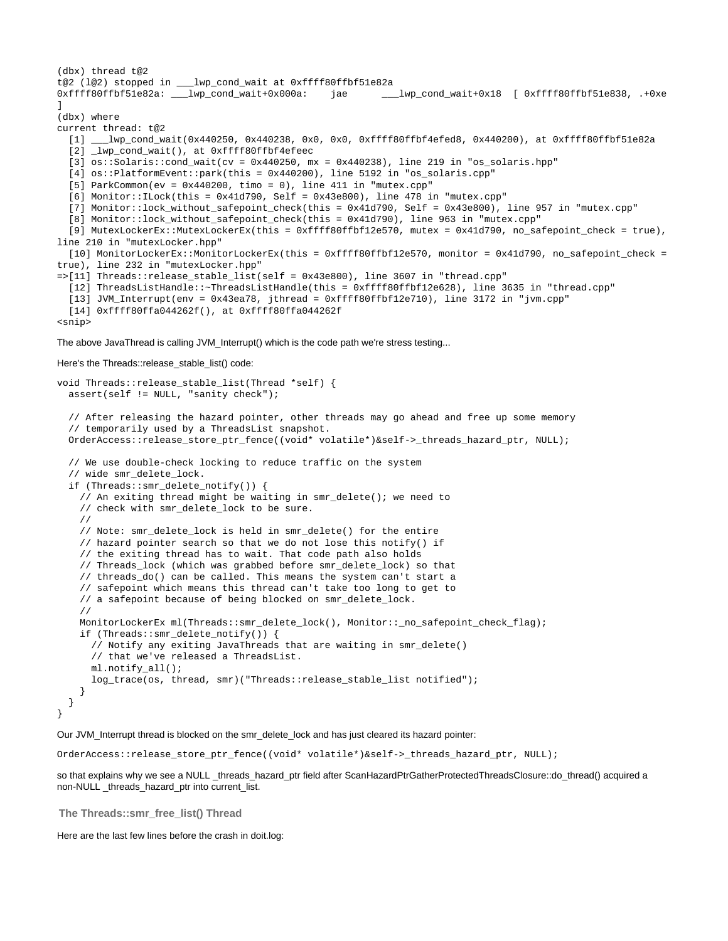```
(dbx) thread t@2
t@2 (l@2) stopped in ___lwp_cond_wait at 0xffff80ffbf51e82a
0xffff80ffbf51e82a: __lwp_cond_wait+0x000a: jae ____lwp_cond_wait+0x18 [ 0xffff80ffbf51e838, .+0xe
]
(dbx) where
current thread: t@2
  [1] ___lwp_cond_wait(0x440250, 0x440238, 0x0, 0x0, 0xffff80ffbf4efed8, 0x440200), at 0xffff80ffbf51e82a
  [2] \lnotlwp_cond_wait(), at 0xffff80ffbf4efeec
   [3] os::Solaris::cond_wait(cv = 0x440250, mx = 0x440238), line 219 in "os_solaris.hpp"
   [4] os::PlatformEvent::park(this = 0x440200), line 5192 in "os_solaris.cpp"
  [5] ParkCommon(ev = 0x440200, time = 0), line 411 in "mutex.cpp"
  [6] Monitor::ILock(this = 0x41d790, Self = 0x43e800), line 478 in "mutex.cpp"
   [7] Monitor::lock_without_safepoint_check(this = 0x41d790, Self = 0x43e800), line 957 in "mutex.cpp"
   [8] Monitor::lock_without_safepoint_check(this = 0x41d790), line 963 in "mutex.cpp"
   [9] MutexLockerEx::MutexLockerEx(this = 0xffff80ffbf12e570, mutex = 0x41d790, no_safepoint_check = true),
line 210 in "mutexLocker.hpp"
   [10] MonitorLockerEx::MonitorLockerEx(this = 0xffff80ffbf12e570, monitor = 0x41d790, no_safepoint_check =
true), line 232 in "mutexLocker.hpp"
=>[11] Threads::release_stable_list(self = 0x43e800), line 3607 in "thread.cpp"
   [12] ThreadsListHandle::~ThreadsListHandle(this = 0xffff80ffbf12e628), line 3635 in "thread.cpp"
   [13] JVM_Interrupt(env = 0x43ea78, jthread = 0xffff80ffbf12e710), line 3172 in "jvm.cpp"
   [14] 0xffff80ffa044262f(), at 0xffff80ffa044262f
<snip>
```
#### The above JavaThread is calling JVM\_Interrupt() which is the code path we're stress testing...

#### Here's the Threads::release\_stable\_list() code:

```
void Threads::release stable list(Thread *self) {
   assert(self != NULL, "sanity check");
   // After releasing the hazard pointer, other threads may go ahead and free up some memory
   // temporarily used by a ThreadsList snapshot.
   OrderAccess::release_store_ptr_fence((void* volatile*)&self->_threads_hazard_ptr, NULL);
   // We use double-check locking to reduce traffic on the system
   // wide smr_delete_lock.
   if (Threads::smr_delete_notify()) {
     // An exiting thread might be waiting in smr_delete(); we need to
     // check with smr_delete_lock to be sure.
     //
     // Note: smr_delete_lock is held in smr_delete() for the entire
     // hazard pointer search so that we do not lose this notify() if
     // the exiting thread has to wait. That code path also holds
     // Threads_lock (which was grabbed before smr_delete_lock) so that
     // threads_do() can be called. This means the system can't start a
     // safepoint which means this thread can't take too long to get to
    // a safepoint because of being blocked on smr delete lock.
     //
     MonitorLockerEx ml(Threads::smr_delete_lock(), Monitor::_no_safepoint_check_flag);
     if (Threads::smr_delete_notify()) {
       // Notify any exiting JavaThreads that are waiting in smr_delete()
       // that we've released a ThreadsList.
       ml.notify_all();
       log_trace(os, thread, smr)("Threads::release_stable_list notified");
     }
   }
}
```
#### Our JVM\_Interrupt thread is blocked on the smr\_delete\_lock and has just cleared its hazard pointer:

OrderAccess::release\_store\_ptr\_fence((void\* volatile\*)&self->\_threads\_hazard\_ptr, NULL);

so that explains why we see a NULL \_threads\_hazard\_ptr field after ScanHazardPtrGatherProtectedThreadsClosure::do\_thread() acquired a non-NULL \_threads\_hazard\_ptr into current\_list.

<span id="page-40-0"></span>**The Threads::smr\_free\_list() Thread**

Here are the last few lines before the crash in doit.log: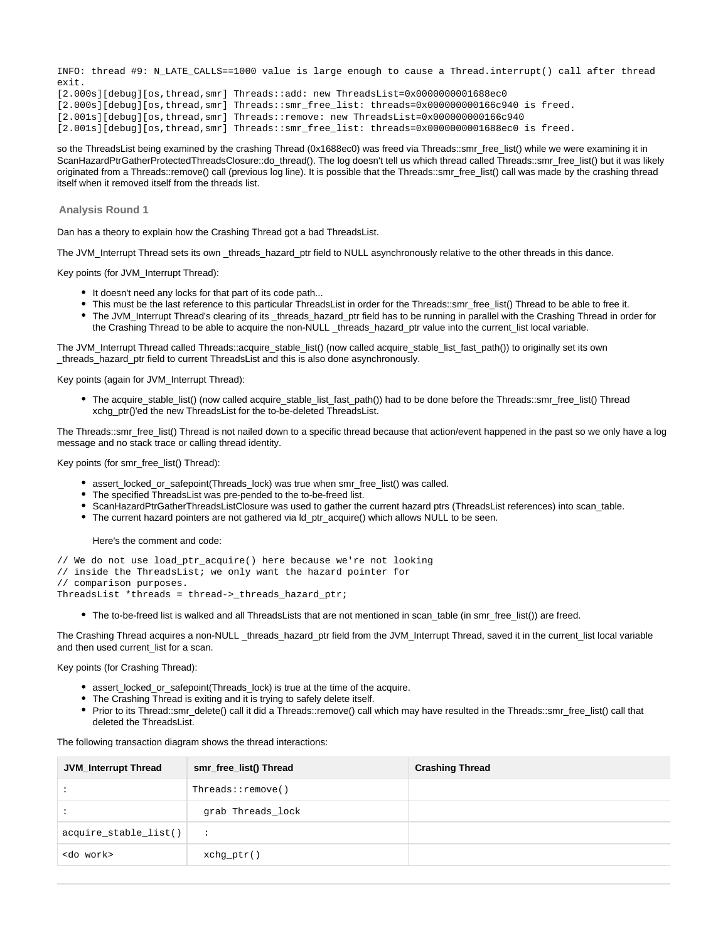INFO: thread #9: N\_LATE\_CALLS==1000 value is large enough to cause a Thread.interrupt() call after thread exit.

[2.000s][debug][os,thread,smr] Threads::add: new ThreadsList=0x0000000001688ec0 [2.000s][debug][os,thread,smr] Threads::smr\_free\_list: threads=0x000000000166c940 is freed. [2.001s][debug][os,thread,smr] Threads::remove: new ThreadsList=0x000000000166c940 [2.001s][debug][os,thread,smr] Threads::smr\_free\_list: threads=0x0000000001688ec0 is freed.

so the ThreadsList being examined by the crashing Thread (0x1688ec0) was freed via Threads::smr\_free\_list() while we were examining it in ScanHazardPtrGatherProtectedThreadsClosure::do\_thread(). The log doesn't tell us which thread called Threads::smr\_free\_list() but it was likely originated from a Threads::remove() call (previous log line). It is possible that the Threads::smr\_free\_list() call was made by the crashing thread itself when it removed itself from the threads list.

#### <span id="page-41-0"></span>**Analysis Round 1**

Dan has a theory to explain how the Crashing Thread got a bad ThreadsList.

The JVM\_Interrupt Thread sets its own \_threads\_hazard\_ptr field to NULL asynchronously relative to the other threads in this dance.

Key points (for JVM\_Interrupt Thread):

- It doesn't need any locks for that part of its code path...
- This must be the last reference to this particular ThreadsList in order for the Threads::smr\_free\_list() Thread to be able to free it.
- The JVM\_Interrupt Thread's clearing of its \_threads\_hazard\_ptr field has to be running in parallel with the Crashing Thread in order for the Crashing Thread to be able to acquire the non-NULL \_threads\_hazard\_ptr value into the current\_list local variable.

The JVM\_Interrupt Thread called Threads::acquire\_stable\_list() (now called acquire\_stable\_list\_fast\_path()) to originally set its own \_threads\_hazard\_ptr field to current ThreadsList and this is also done asynchronously.

Key points (again for JVM\_Interrupt Thread):

The acquire\_stable\_list() (now called acquire\_stable\_list\_fast\_path()) had to be done before the Threads::smr\_free\_list() Thread xchg\_ptr()'ed the new ThreadsList for the to-be-deleted ThreadsList.

The Threads::smr\_free\_list() Thread is not nailed down to a specific thread because that action/event happened in the past so we only have a log message and no stack trace or calling thread identity.

Key points (for smr\_free\_list() Thread):

- assert locked or safepoint(Threads lock) was true when smr\_free\_list() was called.
- The specified ThreadsList was pre-pended to the to-be-freed list.
- ScanHazardPtrGatherThreadsListClosure was used to gather the current hazard ptrs (ThreadsList references) into scan\_table.
- The current hazard pointers are not gathered via ld\_ptr\_acquire() which allows NULL to be seen.

Here's the comment and code:

- // We do not use load\_ptr\_acquire() here because we're not looking
- // inside the ThreadsList; we only want the hazard pointer for

// comparison purposes.

ThreadsList \*threads = thread->\_threads\_hazard\_ptr;

• The to-be-freed list is walked and all ThreadsLists that are not mentioned in scan table (in smr\_free\_list()) are freed.

The Crashing Thread acquires a non-NULL threads hazard ptr field from the JVM Interrupt Thread, saved it in the current list local variable and then used current\_list for a scan.

Key points (for Crashing Thread):

- assert\_locked\_or\_safepoint(Threads\_lock) is true at the time of the acquire.
- The Crashing Thread is exiting and it is trying to safely delete itself.
- Prior to its Thread::smr\_delete() call it did a Threads::remove() call which may have resulted in the Threads::smr\_free\_list() call that deleted the ThreadsList.

The following transaction diagram shows the thread interactions:

| <b>JVM_Interrupt Thread</b> | smr_free_list() Thread   | <b>Crashing Thread</b> |
|-----------------------------|--------------------------|------------------------|
|                             | $Threeads:$ : $remove()$ |                        |
|                             | grab Threads_lock        |                        |
| acquire_stable_list()       | $\ddot{\phantom{0}}$     |                        |
| <do work=""></do>           | $xchq_ptr()$             |                        |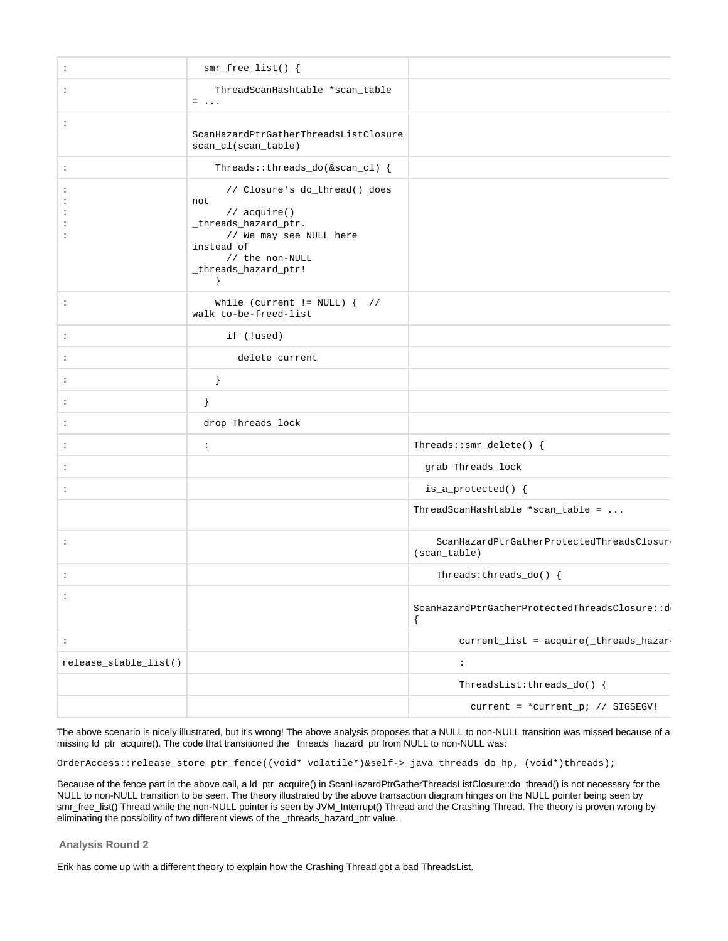| $\ddot{\phantom{a}}$  | $smr_free_list()$ {                                                                                                                                                                   |                                                             |
|-----------------------|---------------------------------------------------------------------------------------------------------------------------------------------------------------------------------------|-------------------------------------------------------------|
| $\ddot{\phantom{a}}$  | ThreadScanHashtable *scan_table<br>$=$                                                                                                                                                |                                                             |
| $\ddot{\phantom{a}}$  | ScanHazardPtrGatherThreadsListClosure<br>scan_cl(scan_table)                                                                                                                          |                                                             |
| $\ddot{\cdot}$        | Threads::threads_do(&scan_cl) {                                                                                                                                                       |                                                             |
|                       | // Closure's do_thread() does<br>not<br>// acquire()<br>_threads_hazard_ptr.<br>// We may see NULL here<br>instead of<br>// the non-NULL<br>_threads_hazard_ptr!<br>$\left\{\right\}$ |                                                             |
| $\ddot{\phantom{a}}$  | while (current != $NULL)$ { //<br>walk to-be-freed-list                                                                                                                               |                                                             |
| $\ddot{\cdot}$        | if (!used)                                                                                                                                                                            |                                                             |
| $\ddot{\phantom{a}}$  | delete current                                                                                                                                                                        |                                                             |
| $\ddot{\phantom{a}}$  | $\}$                                                                                                                                                                                  |                                                             |
| $\ddot{\cdot}$        | }                                                                                                                                                                                     |                                                             |
| $\ddot{\phantom{a}}$  | drop Threads_lock                                                                                                                                                                     |                                                             |
| $\ddot{\phantom{a}}$  | $\ddot{\phantom{a}}$                                                                                                                                                                  | Threads:: $smr$ _delete() {                                 |
| $\ddot{\phantom{a}}$  |                                                                                                                                                                                       | grab Threads_lock                                           |
| $\ddot{\phantom{a}}$  |                                                                                                                                                                                       | $is_a$ protected() {                                        |
|                       |                                                                                                                                                                                       | ThreadScanHashtable *scan_table = $\ldots$                  |
| $\ddot{\phantom{a}}$  |                                                                                                                                                                                       | ScanHazardPtrGatherProtectedThreadsClosur<br>$(scan_table)$ |
| $\ddot{\phantom{a}}$  |                                                                                                                                                                                       | Threads: $th$ reads_do() {                                  |
| $\ddot{\cdot}$        |                                                                                                                                                                                       | ScanHazardPtrGatherProtectedThreadsClosure::d<br>$\{$       |
| $\ddot{\phantom{a}}$  |                                                                                                                                                                                       | current_list = acquire(_threads_hazar                       |
| release_stable_list() |                                                                                                                                                                                       | $\ddot{\phantom{a}}$                                        |
|                       |                                                                                                                                                                                       | ThreadsList:threads_do() $\{$                               |
|                       |                                                                                                                                                                                       | current = *current_p; // SIGSEGV!                           |

The above scenario is nicely illustrated, but it's wrong! The above analysis proposes that a NULL to non-NULL transition was missed because of a missing ld\_ptr\_acquire(). The code that transitioned the \_threads\_hazard\_ptr from NULL to non-NULL was:

OrderAccess::release\_store\_ptr\_fence((void\* volatile\*)&self->\_java\_threads\_do\_hp, (void\*)threads);

Because of the fence part in the above call, a ld\_ptr\_acquire() in ScanHazardPtrGatherThreadsListClosure::do\_thread() is not necessary for the NULL to non-NULL transition to be seen. The theory illustrated by the above transaction diagram hinges on the NULL pointer being seen by smr\_free\_list() Thread while the non-NULL pointer is seen by JVM\_Interrupt() Thread and the Crashing Thread. The theory is proven wrong by eliminating the possibility of two different views of the \_threads\_hazard\_ptr value.

<span id="page-42-0"></span>**Analysis Round 2**

Erik has come up with a different theory to explain how the Crashing Thread got a bad ThreadsList.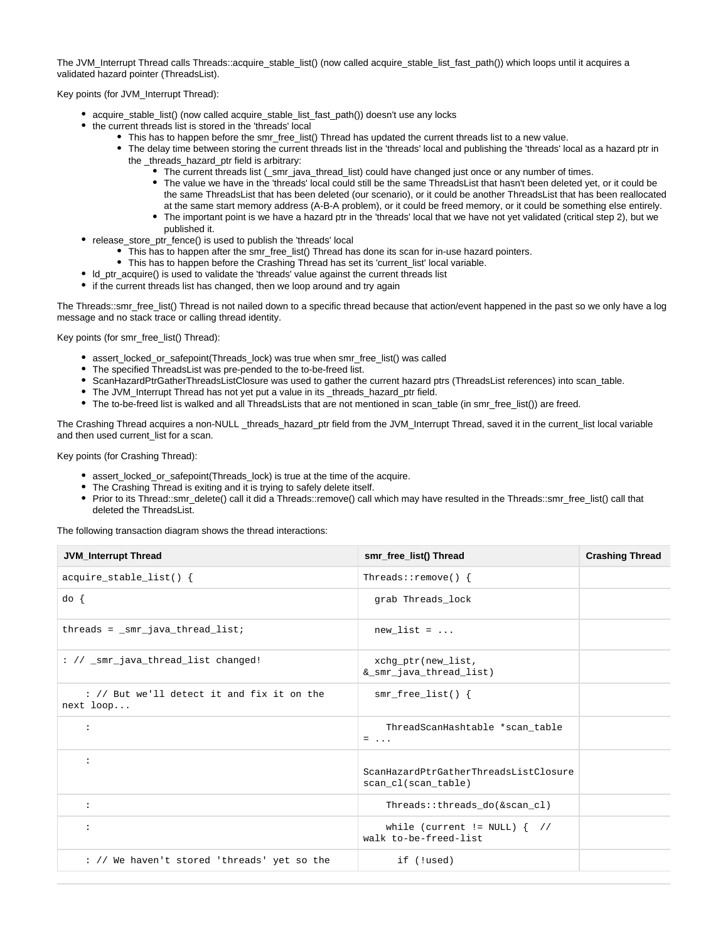The JVM\_Interrupt Thread calls Threads::acquire\_stable\_list() (now called acquire\_stable\_list\_fast\_path()) which loops until it acquires a validated hazard pointer (ThreadsList).

Key points (for JVM\_Interrupt Thread):

- acquire\_stable\_list() (now called acquire\_stable\_list\_fast\_path()) doesn't use any locks
- the current threads list is stored in the 'threads' local
	- This has to happen before the smr\_free\_list() Thread has updated the current threads list to a new value.
	- The delay time between storing the current threads list in the 'threads' local and publishing the 'threads' local as a hazard ptr in the \_threads\_hazard\_ptr field is arbitrary:
		- The current threads list (\_smr\_java\_thread\_list) could have changed just once or any number of times.
			- The value we have in the 'threads' local could still be the same ThreadsList that hasn't been deleted yet, or it could be the same ThreadsList that has been deleted (our scenario), or it could be another ThreadsList that has been reallocated at the same start memory address (A-B-A problem), or it could be freed memory, or it could be something else entirely.
			- The important point is we have a hazard ptr in the 'threads' local that we have not yet validated (critical step 2), but we published it.
- release\_store\_ptr\_fence() is used to publish the 'threads' local
	- This has to happen after the smr\_free\_list() Thread has done its scan for in-use hazard pointers.
	- This has to happen before the Crashing Thread has set its 'current\_list' local variable.
- ld\_ptr\_acquire() is used to validate the 'threads' value against the current threads list
- if the current threads list has changed, then we loop around and try again

The Threads::smr\_free\_list() Thread is not nailed down to a specific thread because that action/event happened in the past so we only have a log message and no stack trace or calling thread identity.

Key points (for smr\_free\_list() Thread):

- assert\_locked\_or\_safepoint(Threads\_lock) was true when smr\_free\_list() was called
- The specified ThreadsList was pre-pended to the to-be-freed list.
- ScanHazardPtrGatherThreadsListClosure was used to gather the current hazard ptrs (ThreadsList references) into scan\_table.
- The JVM\_Interrupt Thread has not yet put a value in its\_threads\_hazard\_ptr field.
- The to-be-freed list is walked and all ThreadsLists that are not mentioned in scan\_table (in smr\_free\_list()) are freed.

The Crashing Thread acquires a non-NULL \_threads\_hazard\_ptr field from the JVM\_Interrupt Thread, saved it in the current\_list local variable and then used current\_list for a scan.

Key points (for Crashing Thread):

- assert\_locked\_or\_safepoint(Threads\_lock) is true at the time of the acquire.
- The Crashing Thread is exiting and it is trying to safely delete itself.
- Prior to its Thread::smr\_delete() call it did a Threads::remove() call which may have resulted in the Threads::smr\_free\_list() call that deleted the ThreadsList.

The following transaction diagram shows the thread interactions:

| <b>JVM_Interrupt Thread</b>                             | smr_free_list() Thread                                       | <b>Crashing Thread</b> |
|---------------------------------------------------------|--------------------------------------------------------------|------------------------|
| $acquire\_stable\_list()$ {                             | Threads:: $remove()$ {                                       |                        |
| $do \{$                                                 | grab Threads_lock                                            |                        |
| $threads = _smr_java_thread_list$                       | new list = $\ldots$                                          |                        |
| : // _smr_java_thread_list changed!                     | xchq_ptr(new_list,<br>&_smr_java_thread_list)                |                        |
| : // But we'll detect it and fix it on the<br>next loop | $smr_free_list()$ {                                          |                        |
| $\ddot{\phantom{a}}$                                    | ThreadScanHashtable *scan_table<br>$=$                       |                        |
| $\ddot{\phantom{a}}$                                    | ScanHazardPtrGatherThreadsListClosure<br>scan_cl(scan_table) |                        |
| $\ddot{\phantom{a}}$                                    | Threads::threads do(&scan cl)                                |                        |
| $\ddot{\phantom{a}}$                                    | while (current != $NULL)$ { //<br>walk to-be-freed-list      |                        |
| : // We haven't stored 'threads' yet so the             | if (!used)                                                   |                        |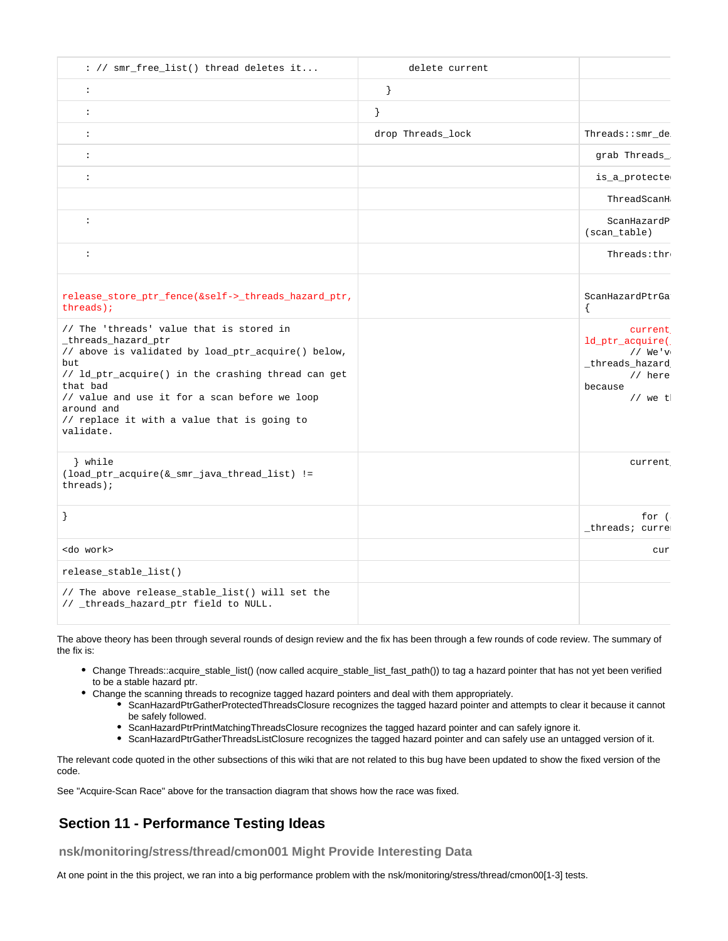| : // smr_free_list() thread deletes it                                                                                                                                                                                                                                                                                    | delete current    |                                                                                               |
|---------------------------------------------------------------------------------------------------------------------------------------------------------------------------------------------------------------------------------------------------------------------------------------------------------------------------|-------------------|-----------------------------------------------------------------------------------------------|
| $\div$                                                                                                                                                                                                                                                                                                                    | $\}$              |                                                                                               |
| $\ddot{\phantom{a}}$                                                                                                                                                                                                                                                                                                      | $\{$              |                                                                                               |
| $\ddot{\phantom{a}}$                                                                                                                                                                                                                                                                                                      | drop Threads_lock | Threads::smr_de                                                                               |
| $\ddot{\cdot}$                                                                                                                                                                                                                                                                                                            |                   | grab Threads_                                                                                 |
| $\ddot{\phantom{a}}$                                                                                                                                                                                                                                                                                                      |                   | is_a_protecte                                                                                 |
|                                                                                                                                                                                                                                                                                                                           |                   | ThreadScanH                                                                                   |
| $\ddot{\phantom{a}}$                                                                                                                                                                                                                                                                                                      |                   | ScanHazardP<br>(scan_table)                                                                   |
| $\ddot{\phantom{a}}$                                                                                                                                                                                                                                                                                                      |                   | Threads:thr                                                                                   |
| release_store_ptr_fence(&self->_threads_hazard_ptr,<br>$threads)$ ;                                                                                                                                                                                                                                                       |                   | ScanHazardPtrGa                                                                               |
| // The 'threads' value that is stored in<br>_threads_hazard_ptr<br>// above is validated by load_ptr_acquire() below,<br>but<br>// ld_ptr_acquire() in the crashing thread can get<br>that bad<br>// value and use it for a scan before we loop<br>around and<br>// replace it with a value that is going to<br>validate. |                   | current<br>ld_ptr_acquire(<br>$//$ We'v<br>_threads_hazard<br>// here<br>because<br>$//$ we t |
| } while<br>(load_ptr_acquire(&_smr_java_thread_list) !=<br>$threads)$ ;                                                                                                                                                                                                                                                   |                   | current                                                                                       |
|                                                                                                                                                                                                                                                                                                                           |                   | for (<br>_threads; curre                                                                      |
| <do work=""></do>                                                                                                                                                                                                                                                                                                         |                   | cur                                                                                           |
| release_stable_list()                                                                                                                                                                                                                                                                                                     |                   |                                                                                               |
| // The above release_stable_list() will set the<br>// _threads_hazard_ptr field to NULL.                                                                                                                                                                                                                                  |                   |                                                                                               |

The above theory has been through several rounds of design review and the fix has been through a few rounds of code review. The summary of the fix is:

- Change Threads::acquire\_stable\_list() (now called acquire\_stable\_list\_fast\_path()) to tag a hazard pointer that has not yet been verified to be a stable hazard ptr.
- Change the scanning threads to recognize tagged hazard pointers and deal with them appropriately.
	- ScanHazardPtrGatherProtectedThreadsClosure recognizes the tagged hazard pointer and attempts to clear it because it cannot be safely followed.
	- ScanHazardPtrPrintMatchingThreadsClosure recognizes the tagged hazard pointer and can safely ignore it.
	- ScanHazardPtrGatherThreadsListClosure recognizes the tagged hazard pointer and can safely use an untagged version of it.

The relevant code quoted in the other subsections of this wiki that are not related to this bug have been updated to show the fixed version of the code.

See "Acquire-Scan Race" above for the transaction diagram that shows how the race was fixed.

## <span id="page-44-0"></span>**Section 11 - Performance Testing Ideas**

<span id="page-44-1"></span>**nsk/monitoring/stress/thread/cmon001 Might Provide Interesting Data**

At one point in the this project, we ran into a big performance problem with the nsk/monitoring/stress/thread/cmon00[1-3] tests.